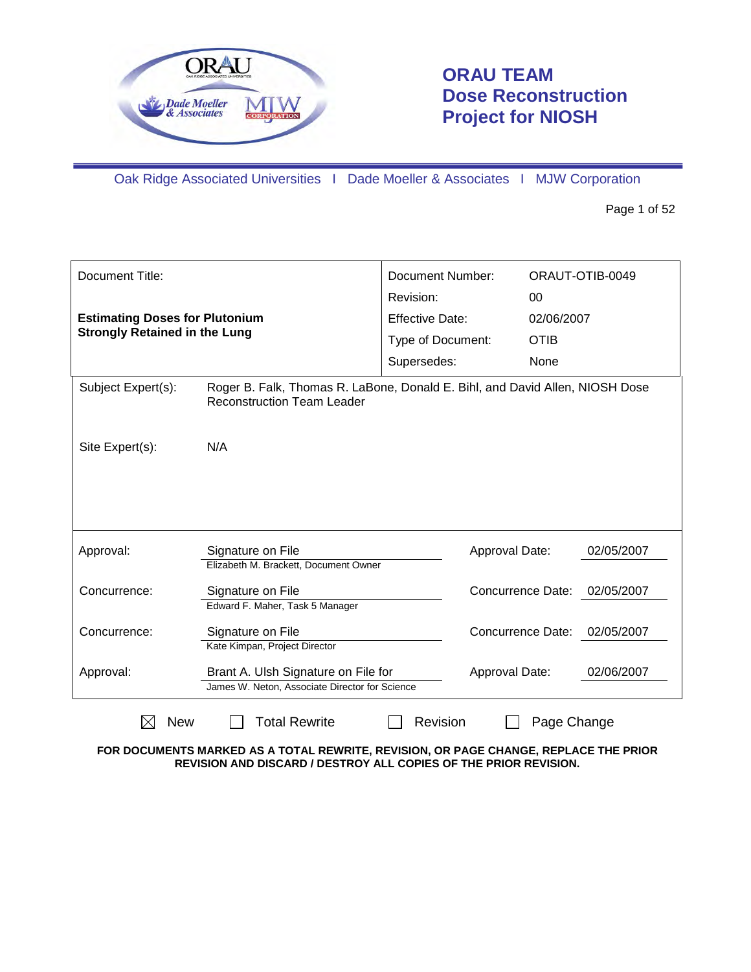

# **ORAU TEAM Dose Reconstruction Project for NIOSH**

Oak Ridge Associated Universities I Dade Moeller & Associates I MJW Corporation

Page 1 of 52

| Document Title:                                                               |                                                                                                                   | <b>Document Number:</b><br>Revision: | 00                       | ORAUT-OTIB-0049 |
|-------------------------------------------------------------------------------|-------------------------------------------------------------------------------------------------------------------|--------------------------------------|--------------------------|-----------------|
| <b>Estimating Doses for Plutonium</b><br><b>Strongly Retained in the Lung</b> |                                                                                                                   | <b>Effective Date:</b>               | 02/06/2007               |                 |
|                                                                               |                                                                                                                   | Type of Document:                    | <b>OTIB</b>              |                 |
|                                                                               |                                                                                                                   | Supersedes:                          | None                     |                 |
| Subject Expert(s):                                                            | Roger B. Falk, Thomas R. LaBone, Donald E. Bihl, and David Allen, NIOSH Dose<br><b>Reconstruction Team Leader</b> |                                      |                          |                 |
| Site Expert(s):                                                               | N/A                                                                                                               |                                      |                          |                 |
|                                                                               |                                                                                                                   |                                      |                          |                 |
| Approval:                                                                     | Signature on File                                                                                                 | Approval Date:                       |                          | 02/05/2007      |
|                                                                               | Elizabeth M. Brackett, Document Owner                                                                             |                                      |                          |                 |
| Concurrence:                                                                  | Signature on File<br>Edward F. Maher, Task 5 Manager                                                              |                                      | <b>Concurrence Date:</b> | 02/05/2007      |
|                                                                               |                                                                                                                   |                                      |                          |                 |
| Concurrence:                                                                  | Signature on File                                                                                                 |                                      | <b>Concurrence Date:</b> | 02/05/2007      |
|                                                                               | Kate Kimpan, Project Director                                                                                     |                                      |                          |                 |
| Approval:                                                                     | Brant A. Ulsh Signature on File for                                                                               | Approval Date:                       |                          | 02/06/2007      |
|                                                                               | James W. Neton, Associate Director for Science                                                                    |                                      |                          |                 |
| <b>New</b>                                                                    | <b>Total Rewrite</b>                                                                                              | Revision                             | Page Change              |                 |

**FOR DOCUMENTS MARKED AS A TOTAL REWRITE, REVISION, OR PAGE CHANGE, REPLACE THE PRIOR REVISION AND DISCARD / DESTROY ALL COPIES OF THE PRIOR REVISION.**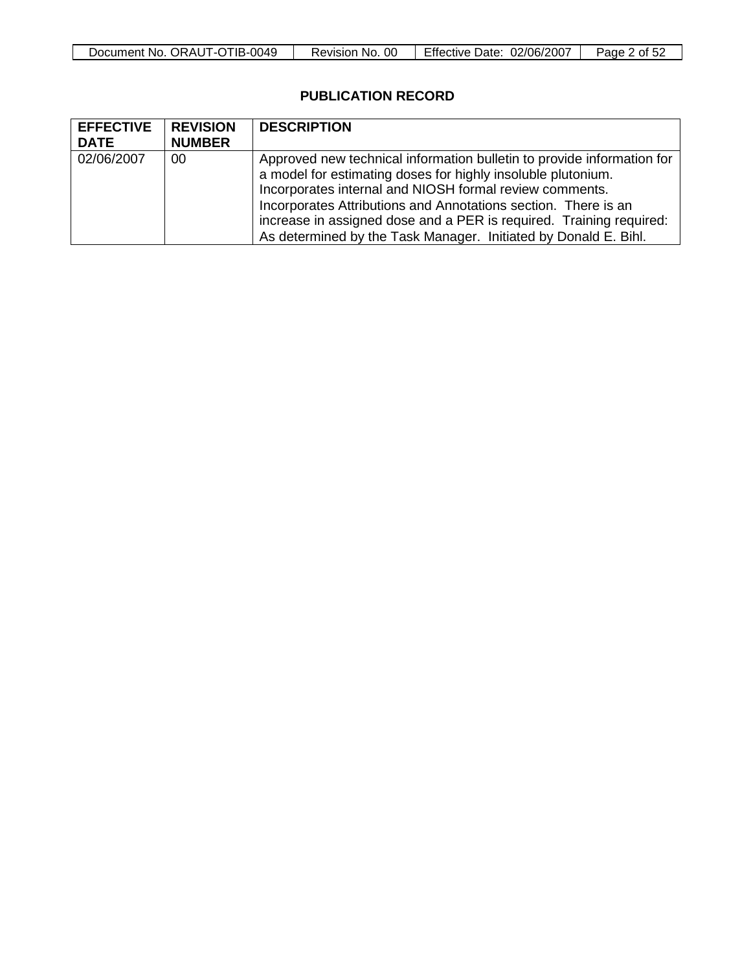| -0049          | 00       | Effective  | Page |
|----------------|----------|------------|------|
| . ORAUT-OTIB-0 | NO.      | 02/06/2007 | Οt   |
| Document No. 1 | Revision | Date:      | ാ∠   |

# **PUBLICATION RECORD**

| <b>EFFECTIVE</b><br><b>DATE</b> | <b>REVISION</b><br><b>NUMBER</b> | <b>DESCRIPTION</b>                                                                                                                                                                                                                                                                                                                                                                                            |
|---------------------------------|----------------------------------|---------------------------------------------------------------------------------------------------------------------------------------------------------------------------------------------------------------------------------------------------------------------------------------------------------------------------------------------------------------------------------------------------------------|
| 02/06/2007                      | 00                               | Approved new technical information bulletin to provide information for<br>a model for estimating doses for highly insoluble plutonium.<br>Incorporates internal and NIOSH formal review comments.<br>Incorporates Attributions and Annotations section. There is an<br>increase in assigned dose and a PER is required. Training required:<br>As determined by the Task Manager. Initiated by Donald E. Bihl. |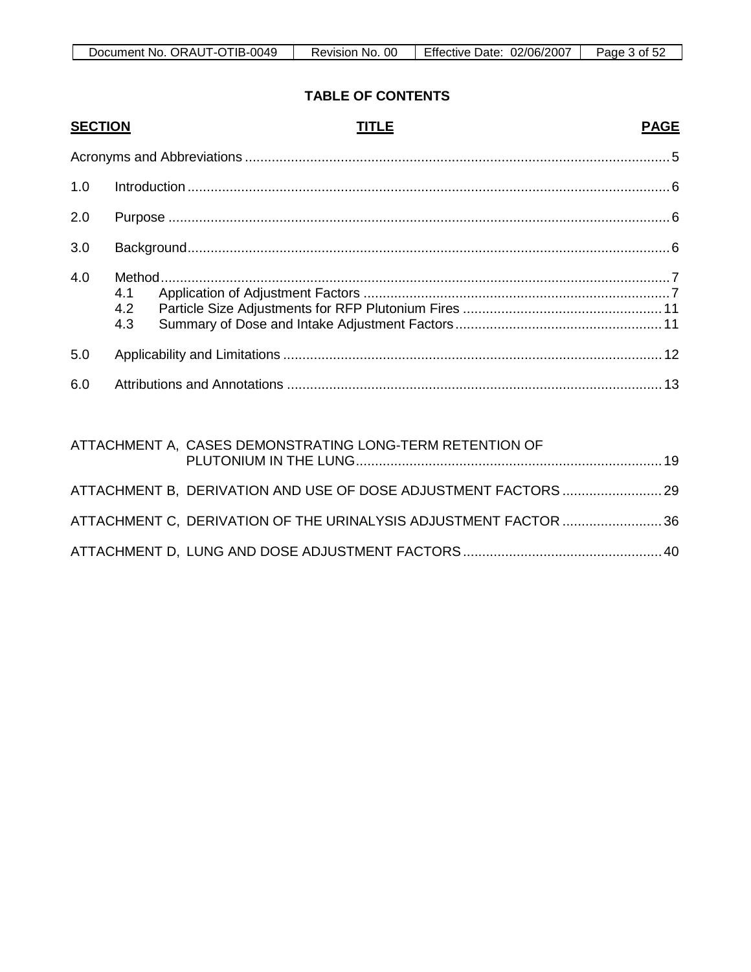| TIB-0049     | 0C       | 02/06/2007 | Page |
|--------------|----------|------------|------|
| ORAUT-O      | 'NO.     | Effective  | ∍ot  |
| Document No. | Revision | Date:      | ےرت  |

# **TABLE OF CONTENTS**

| <b>SECTION</b> |                              | <b>TITLE</b>                                                    | <b>PAGE</b> |
|----------------|------------------------------|-----------------------------------------------------------------|-------------|
|                |                              |                                                                 |             |
| 1.0            |                              |                                                                 |             |
| 2.0            |                              |                                                                 |             |
| 3.0            |                              |                                                                 |             |
| 4.0            | Method.<br>4.1<br>4.2<br>4.3 |                                                                 |             |
| 5.0            |                              |                                                                 |             |
| 6.0            |                              |                                                                 |             |
|                |                              | ATTACHMENT A, CASES DEMONSTRATING LONG-TERM RETENTION OF        |             |
|                |                              | ATTACHMENT B, DERIVATION AND USE OF DOSE ADJUSTMENT FACTORS  29 |             |
|                |                              | ATTACHMENT C, DERIVATION OF THE URINALYSIS ADJUSTMENT FACTOR 36 |             |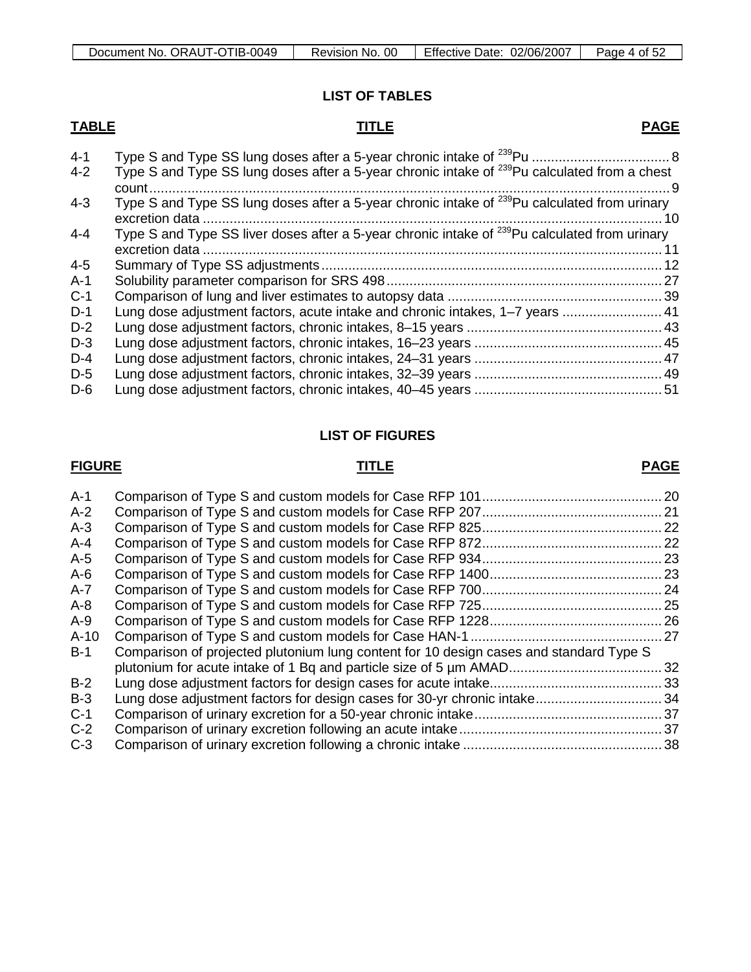# **LIST OF TABLES**

# **TABLE TITLE**

| $4 - 1$ |                                                                                                                   |  |
|---------|-------------------------------------------------------------------------------------------------------------------|--|
| $4 - 2$ | Type S and Type SS lung doses after a 5-year chronic intake of <sup>239</sup> Pu calculated from a chest<br>count |  |
| $4 - 3$ | Type S and Type SS lung doses after a 5-year chronic intake of <sup>239</sup> Pu calculated from urinary          |  |
| $4 - 4$ | Type S and Type SS liver doses after a 5-year chronic intake of <sup>239</sup> Pu calculated from urinary         |  |
| $4 - 5$ |                                                                                                                   |  |
| $A-1$   |                                                                                                                   |  |
| $C-1$   |                                                                                                                   |  |
| $D-1$   | Lung dose adjustment factors, acute intake and chronic intakes, 1-7 years  41                                     |  |
| $D-2$   |                                                                                                                   |  |
| $D-3$   |                                                                                                                   |  |
| $D-4$   |                                                                                                                   |  |
| $D-5$   |                                                                                                                   |  |
| $D-6$   |                                                                                                                   |  |

# **LIST OF FIGURES**

# **FIGURE TITLE**

# **PAGE**

| $A-1$   |                                                                                        | . 20 |
|---------|----------------------------------------------------------------------------------------|------|
| $A-2$   |                                                                                        |      |
| $A-3$   |                                                                                        | .22  |
| $A - 4$ |                                                                                        | .22  |
| $A-5$   |                                                                                        |      |
| $A-6$   |                                                                                        |      |
| $A-7$   |                                                                                        |      |
| $A - 8$ |                                                                                        | .25  |
| $A-9$   |                                                                                        | . 26 |
| $A-10$  |                                                                                        | .27  |
| $B-1$   | Comparison of projected plutonium lung content for 10 design cases and standard Type S |      |
|         |                                                                                        | . 32 |
| $B-2$   |                                                                                        |      |
| $B-3$   |                                                                                        |      |
| $C-1$   |                                                                                        |      |
| $C-2$   |                                                                                        |      |
| $C-3$   |                                                                                        |      |
|         |                                                                                        |      |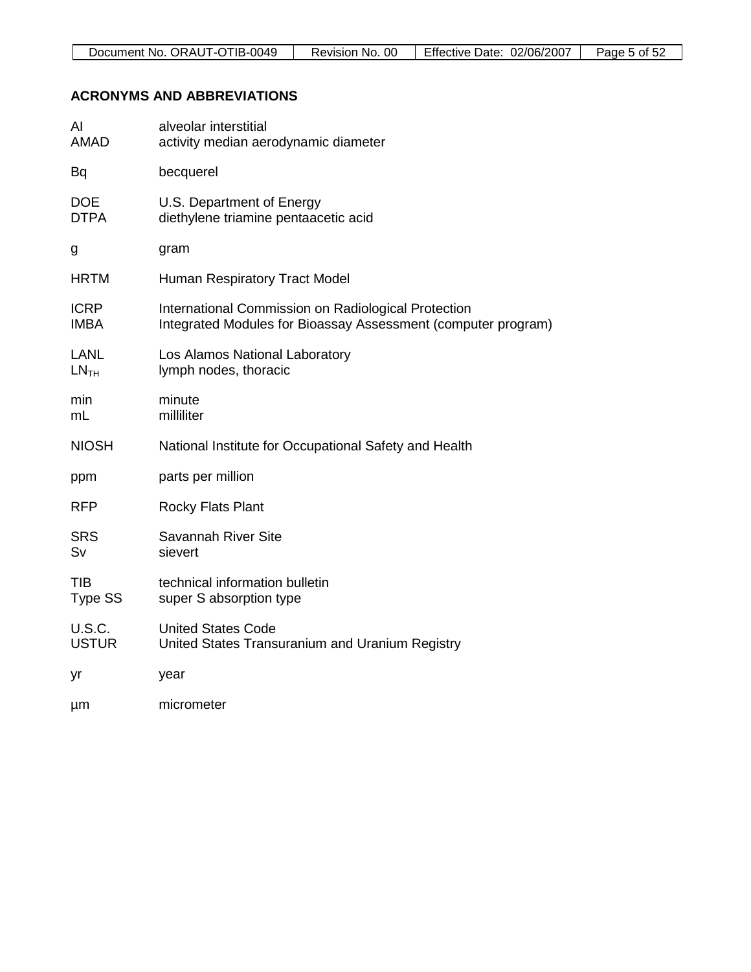# **ACRONYMS AND ABBREVIATIONS**

| AI               | alveolar interstitial                                         |
|------------------|---------------------------------------------------------------|
| <b>AMAD</b>      | activity median aerodynamic diameter                          |
| Bq               | becquerel                                                     |
| <b>DOE</b>       | U.S. Department of Energy                                     |
| <b>DTPA</b>      | diethylene triamine pentaacetic acid                          |
| g                | gram                                                          |
| <b>HRTM</b>      | Human Respiratory Tract Model                                 |
| <b>ICRP</b>      | International Commission on Radiological Protection           |
| <b>IMBA</b>      | Integrated Modules for Bioassay Assessment (computer program) |
| LANL             | Los Alamos National Laboratory                                |
| LN <sub>TH</sub> | lymph nodes, thoracic                                         |
| min              | minute                                                        |
| mL               | milliliter                                                    |
| <b>NIOSH</b>     | National Institute for Occupational Safety and Health         |
| ppm              | parts per million                                             |
| <b>RFP</b>       | <b>Rocky Flats Plant</b>                                      |
| <b>SRS</b>       | Savannah River Site                                           |
| Sv               | sievert                                                       |
| <b>TIB</b>       | technical information bulletin                                |
| Type SS          | super S absorption type                                       |
| <b>U.S.C.</b>    | <b>United States Code</b>                                     |
| <b>USTUR</b>     | United States Transuranium and Uranium Registry               |
| yr               | year                                                          |
| μm               | micrometer                                                    |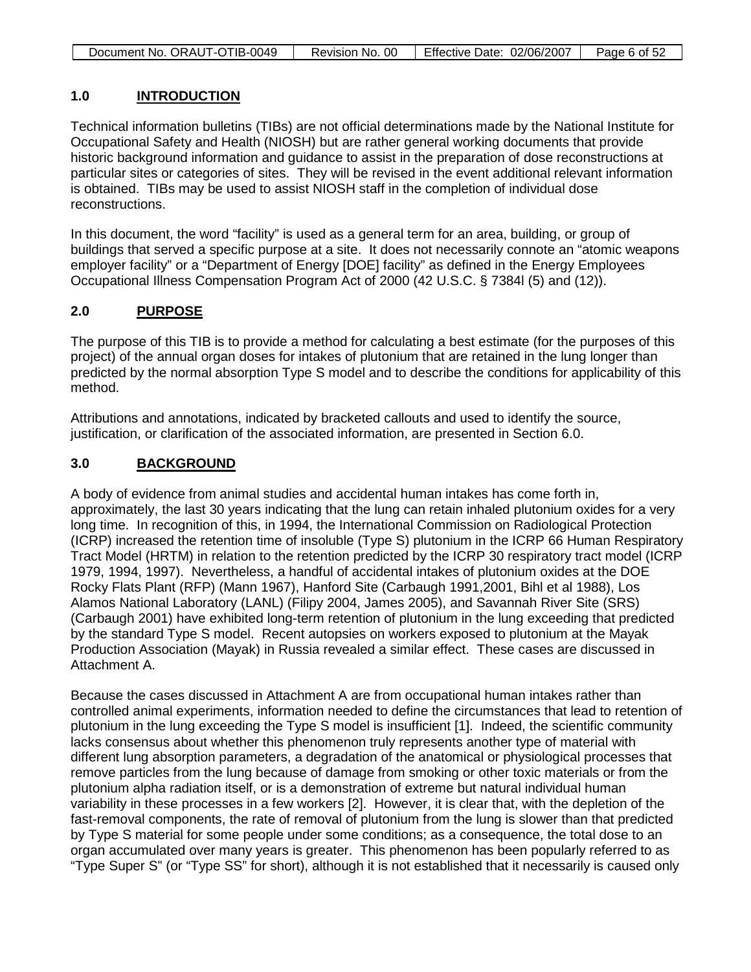| Document No. ORAUT-OTIB-0049 | Revision No. 00 | Effective Date: 02/06/2007 | Page 6 of 52 |
|------------------------------|-----------------|----------------------------|--------------|

### **1.0 INTRODUCTION**

Technical information bulletins (TIBs) are not official determinations made by the National Institute for Occupational Safety and Health (NIOSH) but are rather general working documents that provide historic background information and guidance to assist in the preparation of dose reconstructions at particular sites or categories of sites. They will be revised in the event additional relevant information is obtained. TIBs may be used to assist NIOSH staff in the completion of individual dose reconstructions.

In this document, the word "facility" is used as a general term for an area, building, or group of buildings that served a specific purpose at a site. It does not necessarily connote an "atomic weapons employer facility" or a "Department of Energy [DOE] facility" as defined in the Energy Employees Occupational Illness Compensation Program Act of 2000 (42 U.S.C. § 7384l (5) and (12)).

### **2.0 PURPOSE**

The purpose of this TIB is to provide a method for calculating a best estimate (for the purposes of this project) of the annual organ doses for intakes of plutonium that are retained in the lung longer than predicted by the normal absorption Type S model and to describe the conditions for applicability of this method.

Attributions and annotations, indicated by bracketed callouts and used to identify the source, justification, or clarification of the associated information, are presented in Section 6.0.

### **3.0 BACKGROUND**

A body of evidence from animal studies and accidental human intakes has come forth in, approximately, the last 30 years indicating that the lung can retain inhaled plutonium oxides for a very long time. In recognition of this, in 1994, the International Commission on Radiological Protection (ICRP) increased the retention time of insoluble (Type S) plutonium in the ICRP 66 Human Respiratory Tract Model (HRTM) in relation to the retention predicted by the ICRP 30 respiratory tract model (ICRP 1979, 1994, 1997). Nevertheless, a handful of accidental intakes of plutonium oxides at the DOE Rocky Flats Plant (RFP) (Mann 1967), Hanford Site (Carbaugh 1991,2001, Bihl et al 1988), Los Alamos National Laboratory (LANL) (Filipy 2004, James 2005), and Savannah River Site (SRS) (Carbaugh 2001) have exhibited long-term retention of plutonium in the lung exceeding that predicted by the standard Type S model. Recent autopsies on workers exposed to plutonium at the Mayak Production Association (Mayak) in Russia revealed a similar effect. These cases are discussed in Attachment A.

Because the cases discussed in Attachment A are from occupational human intakes rather than controlled animal experiments, information needed to define the circumstances that lead to retention of plutonium in the lung exceeding the Type S model is insufficient [1]. Indeed, the scientific community lacks consensus about whether this phenomenon truly represents another type of material with different lung absorption parameters, a degradation of the anatomical or physiological processes that remove particles from the lung because of damage from smoking or other toxic materials or from the plutonium alpha radiation itself, or is a demonstration of extreme but natural individual human variability in these processes in a few workers [2]. However, it is clear that, with the depletion of the fast-removal components, the rate of removal of plutonium from the lung is slower than that predicted by Type S material for some people under some conditions; as a consequence, the total dose to an organ accumulated over many years is greater. This phenomenon has been popularly referred to as "Type Super S" (or "Type SS" for short), although it is not established that it necessarily is caused only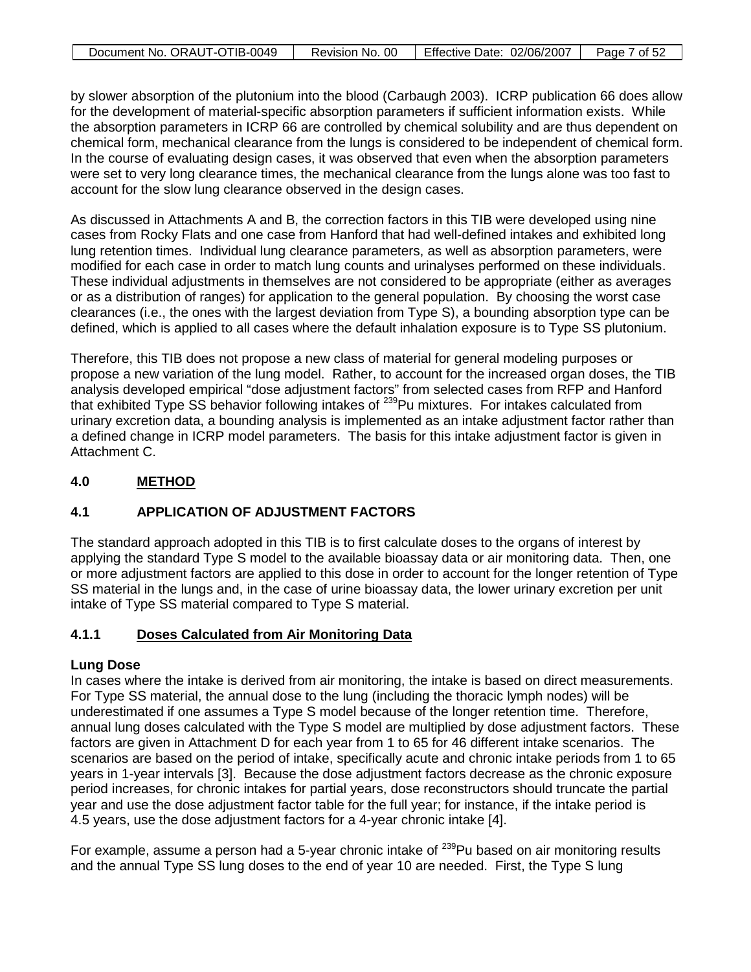| Document No. ORAUT-OTIB-0049 | Revision No. 00 | Effective Date: 02/06/2007 | Page 7 of 52 |
|------------------------------|-----------------|----------------------------|--------------|

by slower absorption of the plutonium into the blood (Carbaugh 2003). ICRP publication 66 does allow for the development of material-specific absorption parameters if sufficient information exists. While the absorption parameters in ICRP 66 are controlled by chemical solubility and are thus dependent on chemical form, mechanical clearance from the lungs is considered to be independent of chemical form. In the course of evaluating design cases, it was observed that even when the absorption parameters were set to very long clearance times, the mechanical clearance from the lungs alone was too fast to account for the slow lung clearance observed in the design cases.

As discussed in Attachments A and B, the correction factors in this TIB were developed using nine cases from Rocky Flats and one case from Hanford that had well-defined intakes and exhibited long lung retention times. Individual lung clearance parameters, as well as absorption parameters, were modified for each case in order to match lung counts and urinalyses performed on these individuals. These individual adjustments in themselves are not considered to be appropriate (either as averages or as a distribution of ranges) for application to the general population. By choosing the worst case clearances (i.e., the ones with the largest deviation from Type S), a bounding absorption type can be defined, which is applied to all cases where the default inhalation exposure is to Type SS plutonium.

Therefore, this TIB does not propose a new class of material for general modeling purposes or propose a new variation of the lung model. Rather, to account for the increased organ doses, the TIB analysis developed empirical "dose adjustment factors" from selected cases from RFP and Hanford that exhibited Type SS behavior following intakes of <sup>239</sup>Pu mixtures. For intakes calculated from urinary excretion data, a bounding analysis is implemented as an intake adjustment factor rather than a defined change in ICRP model parameters. The basis for this intake adjustment factor is given in Attachment C.

### **4.0 METHOD**

# **4.1 APPLICATION OF ADJUSTMENT FACTORS**

The standard approach adopted in this TIB is to first calculate doses to the organs of interest by applying the standard Type S model to the available bioassay data or air monitoring data. Then, one or more adjustment factors are applied to this dose in order to account for the longer retention of Type SS material in the lungs and, in the case of urine bioassay data, the lower urinary excretion per unit intake of Type SS material compared to Type S material.

### **4.1.1 Doses Calculated from Air Monitoring Data**

# **Lung Dose**

In cases where the intake is derived from air monitoring, the intake is based on direct measurements. For Type SS material, the annual dose to the lung (including the thoracic lymph nodes) will be underestimated if one assumes a Type S model because of the longer retention time. Therefore, annual lung doses calculated with the Type S model are multiplied by dose adjustment factors. These factors are given in Attachment D for each year from 1 to 65 for 46 different intake scenarios. The scenarios are based on the period of intake, specifically acute and chronic intake periods from 1 to 65 years in 1-year intervals [3]. Because the dose adjustment factors decrease as the chronic exposure period increases, for chronic intakes for partial years, dose reconstructors should truncate the partial year and use the dose adjustment factor table for the full year; for instance, if the intake period is 4.5 years, use the dose adjustment factors for a 4-year chronic intake [4].

For example, assume a person had a 5-year chronic intake of  $^{239}$ Pu based on air monitoring results and the annual Type SS lung doses to the end of year 10 are needed. First, the Type S lung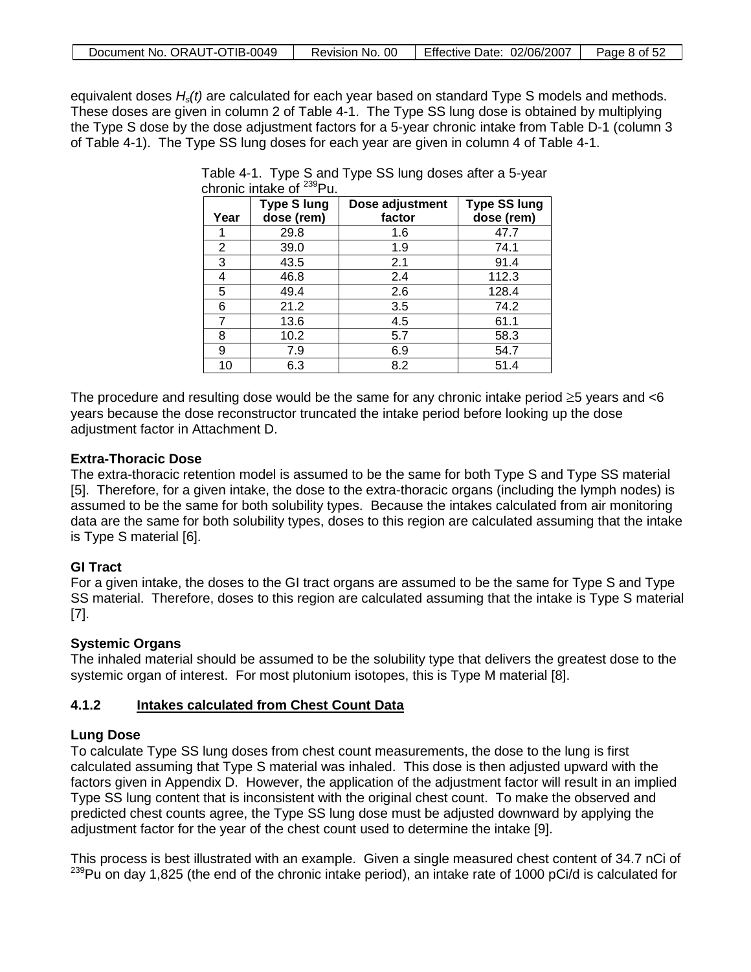| Document No. ORAUT-OTIB-0049 | Revision No. 00 | Effective Date: 02/06/2007 | Page 8 of 52 |
|------------------------------|-----------------|----------------------------|--------------|

equivalent doses *Hs(t)* are calculated for each year based on standard Type S models and methods. These doses are given in column 2 of Table 4-1. The Type SS lung dose is obtained by multiplying the Type S dose by the dose adjustment factors for a 5-year chronic intake from Table D-1 (column 3 of Table 4-1). The Type SS lung doses for each year are given in column 4 of Table 4-1.

| Year | <b>Type S lung</b><br>dose (rem) | Dose adjustment<br>factor | <b>Type SS lung</b><br>dose (rem) |
|------|----------------------------------|---------------------------|-----------------------------------|
|      | 29.8                             | 1.6                       | 47.7                              |
| 2    | 39.0                             | 1.9                       | 74.1                              |
| 3    | 43.5                             | 2.1                       | 91.4                              |
| 4    | 46.8                             | 2.4                       | 112.3                             |
| 5    | 49.4                             | 2.6                       | 128.4                             |
| 6    | 21.2                             | 3.5                       | 74.2                              |
| 7    | 13.6                             | 4.5                       | 61.1                              |
| 8    | 10.2                             | 5.7                       | 58.3                              |
| 9    | 7.9                              | 6.9                       | 54.7                              |
| 10   | 6.3                              | 8.2                       | 51.4                              |

Table 4-1. Type S and Type SS lung doses after a 5-year chronic intake of 239Pu.

The procedure and resulting dose would be the same for any chronic intake period  $\geq 5$  years and  $\lt 6$ years because the dose reconstructor truncated the intake period before looking up the dose adjustment factor in Attachment D.

# **Extra-Thoracic Dose**

The extra-thoracic retention model is assumed to be the same for both Type S and Type SS material [5]. Therefore, for a given intake, the dose to the extra-thoracic organs (including the lymph nodes) is assumed to be the same for both solubility types. Because the intakes calculated from air monitoring data are the same for both solubility types, doses to this region are calculated assuming that the intake is Type S material [6].

# **GI Tract**

For a given intake, the doses to the GI tract organs are assumed to be the same for Type S and Type SS material. Therefore, doses to this region are calculated assuming that the intake is Type S material [7].

# **Systemic Organs**

The inhaled material should be assumed to be the solubility type that delivers the greatest dose to the systemic organ of interest. For most plutonium isotopes, this is Type M material [8].

### **4.1.2 Intakes calculated from Chest Count Data**

# **Lung Dose**

To calculate Type SS lung doses from chest count measurements, the dose to the lung is first calculated assuming that Type S material was inhaled. This dose is then adjusted upward with the factors given in Appendix D. However, the application of the adjustment factor will result in an implied Type SS lung content that is inconsistent with the original chest count. To make the observed and predicted chest counts agree, the Type SS lung dose must be adjusted downward by applying the adjustment factor for the year of the chest count used to determine the intake [9].

This process is best illustrated with an example. Given a single measured chest content of 34.7 nCi of  $239$ Pu on day 1,825 (the end of the chronic intake period), an intake rate of 1000 pCi/d is calculated for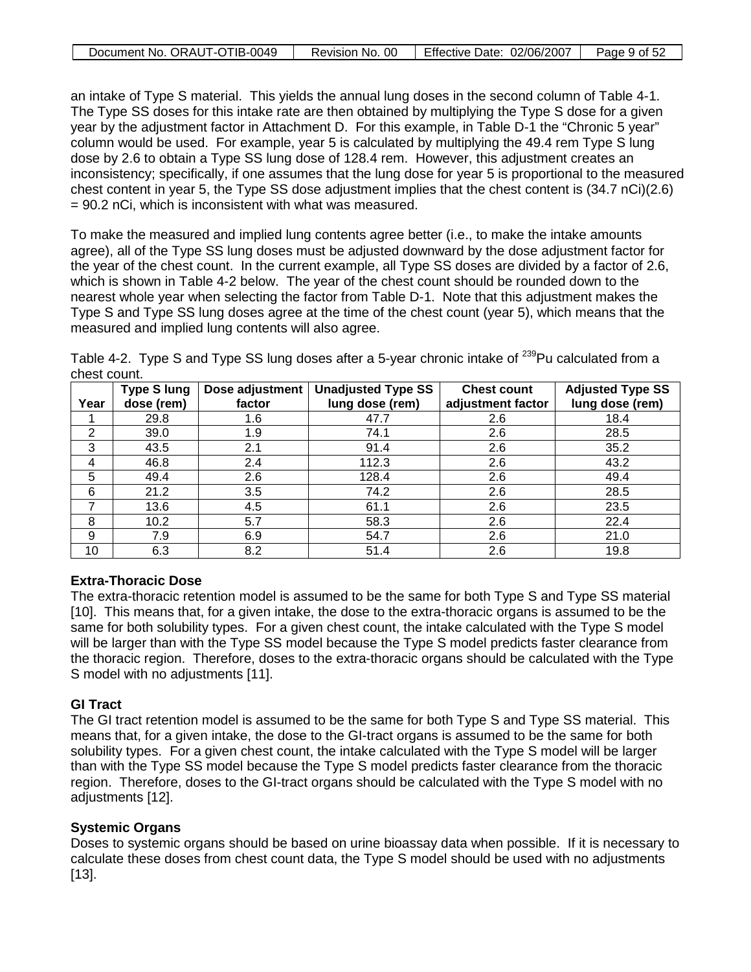| Document No. ORAUT-OTIB-0049 | Revision No. 00 | Effective Date: 02/06/2007 | Page 9 of 52 |
|------------------------------|-----------------|----------------------------|--------------|

an intake of Type S material. This yields the annual lung doses in the second column of Table 4-1. The Type SS doses for this intake rate are then obtained by multiplying the Type S dose for a given year by the adjustment factor in Attachment D. For this example, in Table D-1 the "Chronic 5 year" column would be used. For example, year 5 is calculated by multiplying the 49.4 rem Type S lung dose by 2.6 to obtain a Type SS lung dose of 128.4 rem. However, this adjustment creates an inconsistency; specifically, if one assumes that the lung dose for year 5 is proportional to the measured chest content in year 5, the Type SS dose adjustment implies that the chest content is (34.7 nCi)(2.6) = 90.2 nCi, which is inconsistent with what was measured.

To make the measured and implied lung contents agree better (i.e., to make the intake amounts agree), all of the Type SS lung doses must be adjusted downward by the dose adjustment factor for the year of the chest count. In the current example, all Type SS doses are divided by a factor of 2.6, which is shown in Table 4-2 below. The year of the chest count should be rounded down to the nearest whole year when selecting the factor from Table D-1. Note that this adjustment makes the Type S and Type SS lung doses agree at the time of the chest count (year 5), which means that the measured and implied lung contents will also agree.

Table 4-2. Type S and Type SS lung doses after a 5-year chronic intake of <sup>239</sup>Pu calculated from a chest count.

|      | <b>Type S lung</b> | Dose adjustment | <b>Unadjusted Type SS</b> | <b>Chest count</b> | <b>Adjusted Type SS</b> |
|------|--------------------|-----------------|---------------------------|--------------------|-------------------------|
| Year | dose (rem)         | factor          | lung dose (rem)           | adjustment factor  | lung dose (rem)         |
|      | 29.8               | 1.6             | 47.7                      | 2.6                | 18.4                    |
| 2    | 39.0               | 1.9             | 74.1                      | 2.6                | 28.5                    |
| 3    | 43.5               | 2.1             | 91.4                      | 2.6                | 35.2                    |
| 4    | 46.8               | 2.4             | 112.3                     | 2.6                | 43.2                    |
| 5    | 49.4               | 2.6             | 128.4                     | 2.6                | 49.4                    |
| 6    | 21.2               | 3.5             | 74.2                      | 2.6                | 28.5                    |
|      | 13.6               | 4.5             | 61.1                      | 2.6                | 23.5                    |
| 8    | 10.2               | 5.7             | 58.3                      | 2.6                | 22.4                    |
| 9    | 7.9                | 6.9             | 54.7                      | 2.6                | 21.0                    |
| 10   | 6.3                | 8.2             | 51.4                      | 2.6                | 19.8                    |

# **Extra-Thoracic Dose**

The extra-thoracic retention model is assumed to be the same for both Type S and Type SS material [10]. This means that, for a given intake, the dose to the extra-thoracic organs is assumed to be the same for both solubility types. For a given chest count, the intake calculated with the Type S model will be larger than with the Type SS model because the Type S model predicts faster clearance from the thoracic region. Therefore, doses to the extra-thoracic organs should be calculated with the Type S model with no adjustments [11].

# **GI Tract**

The GI tract retention model is assumed to be the same for both Type S and Type SS material. This means that, for a given intake, the dose to the GI-tract organs is assumed to be the same for both solubility types. For a given chest count, the intake calculated with the Type S model will be larger than with the Type SS model because the Type S model predicts faster clearance from the thoracic region. Therefore, doses to the GI-tract organs should be calculated with the Type S model with no adjustments [12].

# **Systemic Organs**

Doses to systemic organs should be based on urine bioassay data when possible. If it is necessary to calculate these doses from chest count data, the Type S model should be used with no adjustments [13].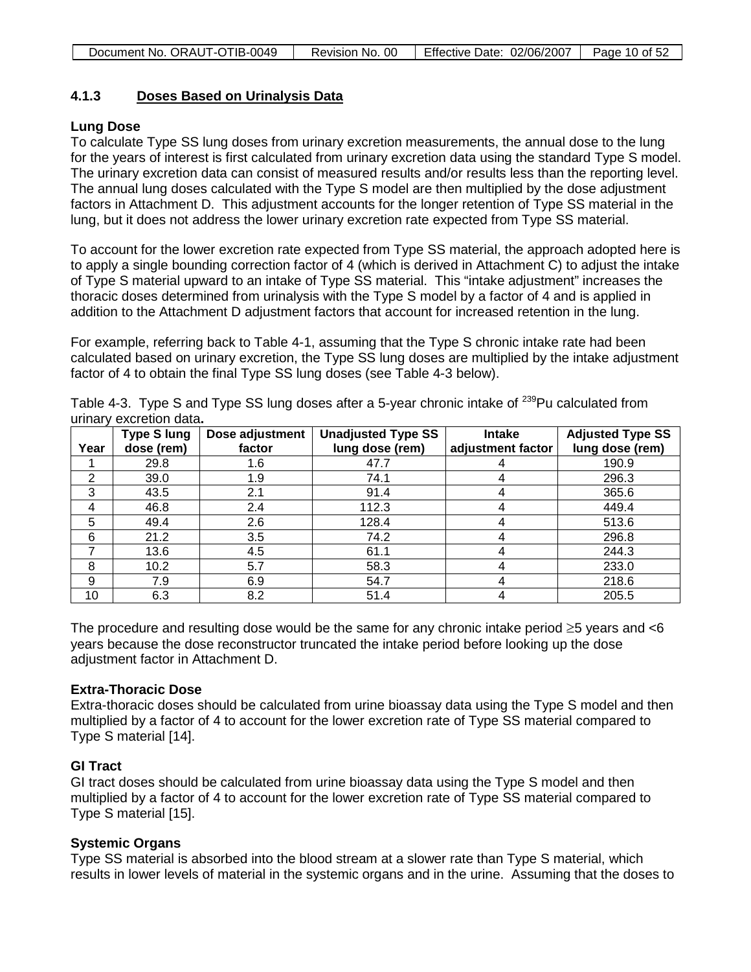### **4.1.3 Doses Based on Urinalysis Data**

# **Lung Dose**

To calculate Type SS lung doses from urinary excretion measurements, the annual dose to the lung for the years of interest is first calculated from urinary excretion data using the standard Type S model. The urinary excretion data can consist of measured results and/or results less than the reporting level. The annual lung doses calculated with the Type S model are then multiplied by the dose adjustment factors in Attachment D. This adjustment accounts for the longer retention of Type SS material in the lung, but it does not address the lower urinary excretion rate expected from Type SS material.

To account for the lower excretion rate expected from Type SS material, the approach adopted here is to apply a single bounding correction factor of 4 (which is derived in Attachment C) to adjust the intake of Type S material upward to an intake of Type SS material. This "intake adjustment" increases the thoracic doses determined from urinalysis with the Type S model by a factor of 4 and is applied in addition to the Attachment D adjustment factors that account for increased retention in the lung.

For example, referring back to Table 4-1, assuming that the Type S chronic intake rate had been calculated based on urinary excretion, the Type SS lung doses are multiplied by the intake adjustment factor of 4 to obtain the final Type SS lung doses (see Table 4-3 below).

| Year | <b>Type S lung</b><br>dose (rem) | Dose adjustment<br>factor | <b>Unadjusted Type SS</b><br>lung dose (rem) | <b>Intake</b><br>adjustment factor | <b>Adjusted Type SS</b><br>lung dose (rem) |
|------|----------------------------------|---------------------------|----------------------------------------------|------------------------------------|--------------------------------------------|
|      | 29.8                             | 1.6                       | 47.7                                         |                                    | 190.9                                      |
| 2    | 39.0                             | 1.9                       | 74.1                                         |                                    | 296.3                                      |
| 3    | 43.5                             | 2.1                       | 91.4                                         |                                    | 365.6                                      |
| 4    | 46.8                             | 2.4                       | 112.3                                        |                                    | 449.4                                      |
| 5    | 49.4                             | 2.6                       | 128.4                                        |                                    | 513.6                                      |
| 6    | 21.2                             | 3.5                       | 74.2                                         |                                    | 296.8                                      |
|      | 13.6                             | 4.5                       | 61.1                                         |                                    | 244.3                                      |
| 8    | 10.2                             | 5.7                       | 58.3                                         |                                    | 233.0                                      |
| 9    | 7.9                              | 6.9                       | 54.7                                         | 4                                  | 218.6                                      |
| 10   | 6.3                              | 8.2                       | 51.4                                         |                                    | 205.5                                      |

Table 4-3. Type S and Type SS lung doses after a 5-year chronic intake of <sup>239</sup>Pu calculated from urinary excretion data**.** 

The procedure and resulting dose would be the same for any chronic intake period  $\geq 5$  years and  $\lt 6$ years because the dose reconstructor truncated the intake period before looking up the dose adjustment factor in Attachment D.

# **Extra-Thoracic Dose**

Extra-thoracic doses should be calculated from urine bioassay data using the Type S model and then multiplied by a factor of 4 to account for the lower excretion rate of Type SS material compared to Type S material [14].

# **GI Tract**

GI tract doses should be calculated from urine bioassay data using the Type S model and then multiplied by a factor of 4 to account for the lower excretion rate of Type SS material compared to Type S material [15].

# **Systemic Organs**

Type SS material is absorbed into the blood stream at a slower rate than Type S material, which results in lower levels of material in the systemic organs and in the urine. Assuming that the doses to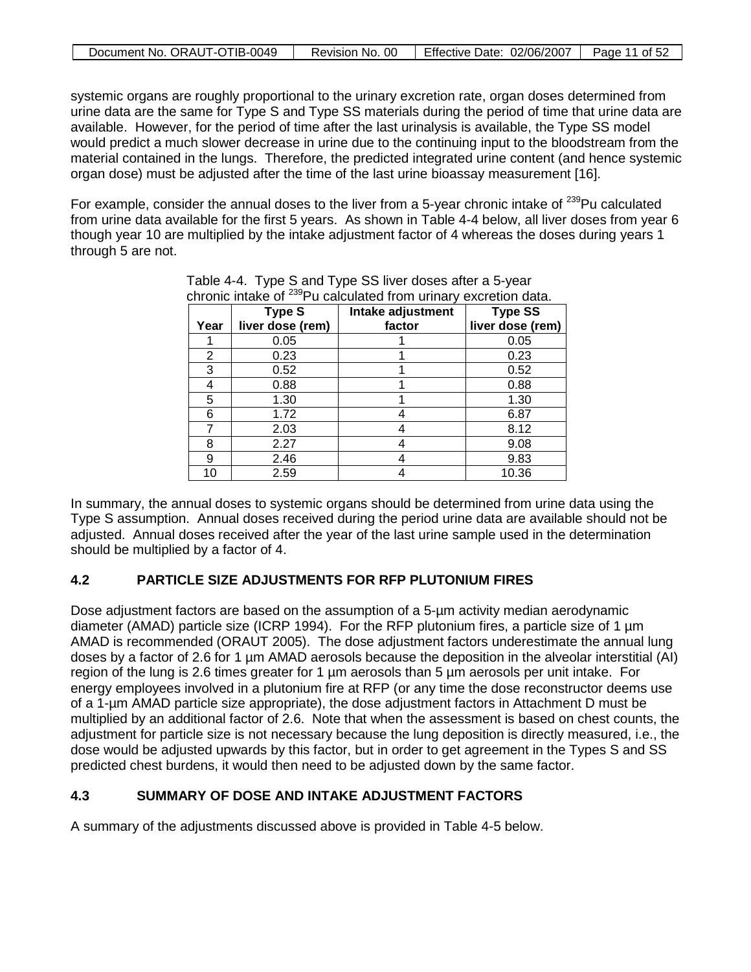| Document No. ORAUT-OTIB-0049 | Revision No. 00 | Feffective Date: 02/06/2007   Page 11 of 52 |  |
|------------------------------|-----------------|---------------------------------------------|--|

systemic organs are roughly proportional to the urinary excretion rate, organ doses determined from urine data are the same for Type S and Type SS materials during the period of time that urine data are available. However, for the period of time after the last urinalysis is available, the Type SS model would predict a much slower decrease in urine due to the continuing input to the bloodstream from the material contained in the lungs. Therefore, the predicted integrated urine content (and hence systemic organ dose) must be adjusted after the time of the last urine bioassay measurement [16].

For example, consider the annual doses to the liver from a 5-year chronic intake of  $^{239}$ Pu calculated from urine data available for the first 5 years. As shown in Table 4-4 below, all liver doses from year 6 though year 10 are multiplied by the intake adjustment factor of 4 whereas the doses during years 1 through 5 are not.

|      | <b>Type S</b>    | Intake adjustment | <b>Type SS</b>   |
|------|------------------|-------------------|------------------|
| Year | liver dose (rem) | factor            | liver dose (rem) |
|      | 0.05             |                   | 0.05             |
| 2    | 0.23             |                   | 0.23             |
| 3    | 0.52             |                   | 0.52             |
|      | 0.88             |                   | 0.88             |
| 5    | 1.30             |                   | 1.30             |
| 6    | 1.72             |                   | 6.87             |
|      | 2.03             |                   | 8.12             |
| 8    | 2.27             |                   | 9.08             |
| 9    | 2.46             |                   | 9.83             |
| 10   | 2.59             |                   | 10.36            |

Table 4-4. Type S and Type SS liver doses after a 5-year chronic intake of 239Pu calculated from urinary excretion data.

In summary, the annual doses to systemic organs should be determined from urine data using the Type S assumption. Annual doses received during the period urine data are available should not be adjusted. Annual doses received after the year of the last urine sample used in the determination should be multiplied by a factor of 4.

# **4.2 PARTICLE SIZE ADJUSTMENTS FOR RFP PLUTONIUM FIRES**

Dose adjustment factors are based on the assumption of a 5-µm activity median aerodynamic diameter (AMAD) particle size (ICRP 1994). For the RFP plutonium fires, a particle size of 1 µm AMAD is recommended (ORAUT 2005). The dose adjustment factors underestimate the annual lung doses by a factor of 2.6 for 1 µm AMAD aerosols because the deposition in the alveolar interstitial (AI) region of the lung is 2.6 times greater for 1 µm aerosols than 5 µm aerosols per unit intake. For energy employees involved in a plutonium fire at RFP (or any time the dose reconstructor deems use of a 1-µm AMAD particle size appropriate), the dose adjustment factors in Attachment D must be multiplied by an additional factor of 2.6. Note that when the assessment is based on chest counts, the adjustment for particle size is not necessary because the lung deposition is directly measured, i.e., the dose would be adjusted upwards by this factor, but in order to get agreement in the Types S and SS predicted chest burdens, it would then need to be adjusted down by the same factor.

# **4.3 SUMMARY OF DOSE AND INTAKE ADJUSTMENT FACTORS**

A summary of the adjustments discussed above is provided in Table 4-5 below.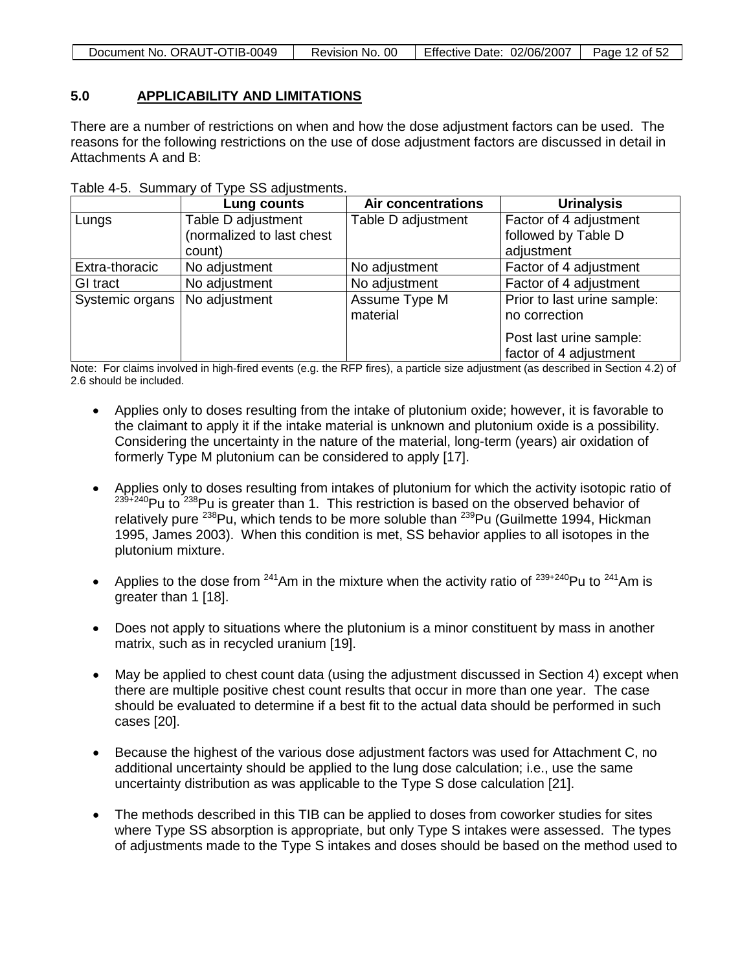| Document No. ORAUT-OTIB-0049 | Revision No. 00 | Effective Date: 02/06/2007   Page 12 of 52 |  |
|------------------------------|-----------------|--------------------------------------------|--|

### **5.0 APPLICABILITY AND LIMITATIONS**

There are a number of restrictions on when and how the dose adjustment factors can be used. The reasons for the following restrictions on the use of dose adjustment factors are discussed in detail in Attachments A and B:

| Table 4-5. Summary of Type SS adjustments. |  |  |  |  |  |  |
|--------------------------------------------|--|--|--|--|--|--|
|--------------------------------------------|--|--|--|--|--|--|

|                 | Lung counts               | <b>Air concentrations</b> | <b>Urinalysis</b>           |
|-----------------|---------------------------|---------------------------|-----------------------------|
| Lungs           | Table D adjustment        | Table D adjustment        | Factor of 4 adjustment      |
|                 | (normalized to last chest |                           | followed by Table D         |
|                 | count)                    |                           | adjustment                  |
| Extra-thoracic  | No adjustment             | No adjustment             | Factor of 4 adjustment      |
| GI tract        | No adjustment             | No adjustment             | Factor of 4 adjustment      |
| Systemic organs | No adjustment             | Assume Type M             | Prior to last urine sample: |
|                 |                           | material                  | no correction               |
|                 |                           |                           | Post last urine sample:     |
|                 |                           |                           | factor of 4 adjustment      |

Note: For claims involved in high-fired events (e.g. the RFP fires), a particle size adjustment (as described in Section 4.2) of 2.6 should be included.

- Applies only to doses resulting from the intake of plutonium oxide; however, it is favorable to the claimant to apply it if the intake material is unknown and plutonium oxide is a possibility. Considering the uncertainty in the nature of the material, long-term (years) air oxidation of formerly Type M plutonium can be considered to apply [17].
- Applies only to doses resulting from intakes of plutonium for which the activity isotopic ratio of 239+240Pu to 238Pu is greater than 1. This restriction is based on the observed behavior of relatively pure <sup>238</sup>Pu, which tends to be more soluble than <sup>239</sup>Pu (Guilmette 1994, Hickman 1995, James 2003). When this condition is met, SS behavior applies to all isotopes in the plutonium mixture.
- Applies to the dose from <sup>241</sup>Am in the mixture when the activity ratio of  $239+240$ Pu to  $241$ Am is greater than 1 [18].
- Does not apply to situations where the plutonium is a minor constituent by mass in another matrix, such as in recycled uranium [19].
- May be applied to chest count data (using the adjustment discussed in Section 4) except when there are multiple positive chest count results that occur in more than one year. The case should be evaluated to determine if a best fit to the actual data should be performed in such cases [20].
- Because the highest of the various dose adjustment factors was used for Attachment C, no additional uncertainty should be applied to the lung dose calculation; i.e., use the same uncertainty distribution as was applicable to the Type S dose calculation [21].
- The methods described in this TIB can be applied to doses from coworker studies for sites where Type SS absorption is appropriate, but only Type S intakes were assessed. The types of adjustments made to the Type S intakes and doses should be based on the method used to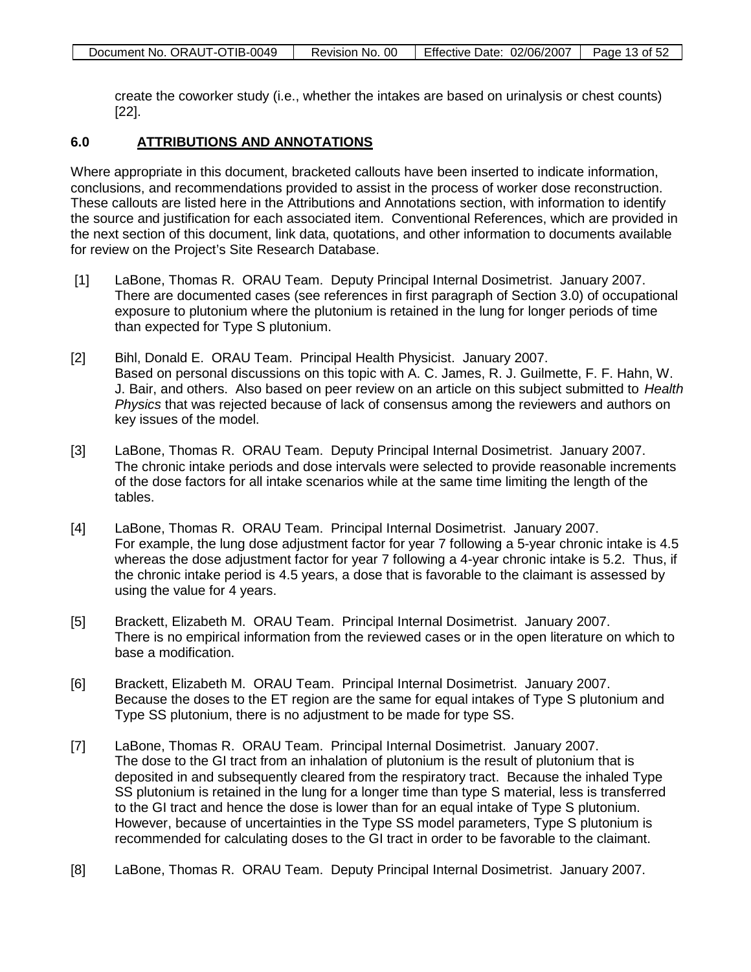| Document No. ORAUT-OTIB-0049 | Revision No. 00 | Effective Date: 02/06/2007 | Page 13 of 52 |
|------------------------------|-----------------|----------------------------|---------------|

create the coworker study (i.e., whether the intakes are based on urinalysis or chest counts) [22].

### **6.0 ATTRIBUTIONS AND ANNOTATIONS**

Where appropriate in this document, bracketed callouts have been inserted to indicate information, conclusions, and recommendations provided to assist in the process of worker dose reconstruction. These callouts are listed here in the Attributions and Annotations section, with information to identify the source and justification for each associated item. Conventional References, which are provided in the next section of this document, link data, quotations, and other information to documents available for review on the Project's Site Research Database.

- [1] LaBone, Thomas R. ORAU Team. Deputy Principal Internal Dosimetrist. January 2007. There are documented cases (see references in first paragraph of Section 3.0) of occupational exposure to plutonium where the plutonium is retained in the lung for longer periods of time than expected for Type S plutonium.
- [2] Bihl, Donald E. ORAU Team. Principal Health Physicist. January 2007. Based on personal discussions on this topic with A. C. James, R. J. Guilmette, F. F. Hahn, W. J. Bair, and others. Also based on peer review on an article on this subject submitted to *Health Physics* that was rejected because of lack of consensus among the reviewers and authors on key issues of the model.
- [3] LaBone, Thomas R. ORAU Team. Deputy Principal Internal Dosimetrist. January 2007. The chronic intake periods and dose intervals were selected to provide reasonable increments of the dose factors for all intake scenarios while at the same time limiting the length of the tables.
- [4] LaBone, Thomas R. ORAU Team. Principal Internal Dosimetrist. January 2007. For example, the lung dose adjustment factor for year 7 following a 5-year chronic intake is 4.5 whereas the dose adjustment factor for year 7 following a 4-year chronic intake is 5.2. Thus, if the chronic intake period is 4.5 years, a dose that is favorable to the claimant is assessed by using the value for 4 years.
- [5] Brackett, Elizabeth M. ORAU Team. Principal Internal Dosimetrist. January 2007. There is no empirical information from the reviewed cases or in the open literature on which to base a modification.
- [6] Brackett, Elizabeth M. ORAU Team. Principal Internal Dosimetrist. January 2007. Because the doses to the ET region are the same for equal intakes of Type S plutonium and Type SS plutonium, there is no adjustment to be made for type SS.
- [7] LaBone, Thomas R. ORAU Team. Principal Internal Dosimetrist. January 2007. The dose to the GI tract from an inhalation of plutonium is the result of plutonium that is deposited in and subsequently cleared from the respiratory tract. Because the inhaled Type SS plutonium is retained in the lung for a longer time than type S material, less is transferred to the GI tract and hence the dose is lower than for an equal intake of Type S plutonium. However, because of uncertainties in the Type SS model parameters, Type S plutonium is recommended for calculating doses to the GI tract in order to be favorable to the claimant.
- [8] LaBone, Thomas R. ORAU Team. Deputy Principal Internal Dosimetrist. January 2007.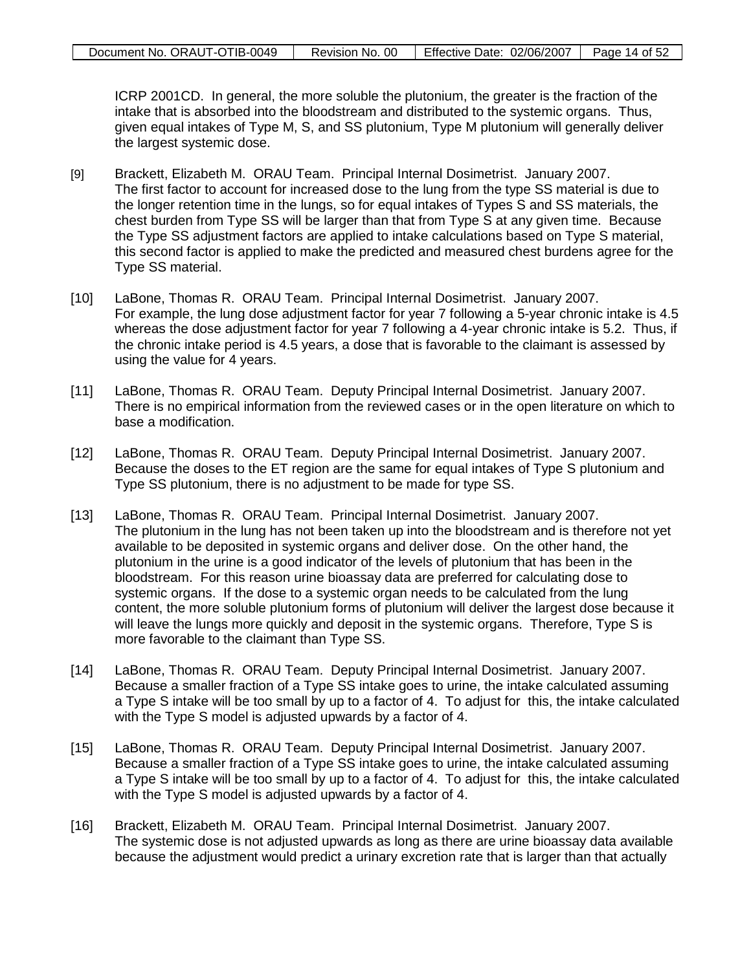| Document No. ORAUT-OTIB-0049 | Revision No. 00 | Effective Date: 02/06/2007 | Page 14 of 52 |
|------------------------------|-----------------|----------------------------|---------------|

ICRP 2001CD. In general, the more soluble the plutonium, the greater is the fraction of the intake that is absorbed into the bloodstream and distributed to the systemic organs. Thus, given equal intakes of Type M, S, and SS plutonium, Type M plutonium will generally deliver the largest systemic dose.

- [9] Brackett, Elizabeth M. ORAU Team. Principal Internal Dosimetrist. January 2007. The first factor to account for increased dose to the lung from the type SS material is due to the longer retention time in the lungs, so for equal intakes of Types S and SS materials, the chest burden from Type SS will be larger than that from Type S at any given time. Because the Type SS adjustment factors are applied to intake calculations based on Type S material, this second factor is applied to make the predicted and measured chest burdens agree for the Type SS material.
- [10] LaBone, Thomas R. ORAU Team. Principal Internal Dosimetrist. January 2007. For example, the lung dose adjustment factor for year 7 following a 5-year chronic intake is 4.5 whereas the dose adjustment factor for year 7 following a 4-year chronic intake is 5.2. Thus, if the chronic intake period is 4.5 years, a dose that is favorable to the claimant is assessed by using the value for 4 years.
- [11] LaBone, Thomas R. ORAU Team. Deputy Principal Internal Dosimetrist. January 2007. There is no empirical information from the reviewed cases or in the open literature on which to base a modification.
- [12] LaBone, Thomas R. ORAU Team. Deputy Principal Internal Dosimetrist. January 2007. Because the doses to the ET region are the same for equal intakes of Type S plutonium and Type SS plutonium, there is no adjustment to be made for type SS.
- [13] LaBone, Thomas R. ORAU Team. Principal Internal Dosimetrist. January 2007. The plutonium in the lung has not been taken up into the bloodstream and is therefore not yet available to be deposited in systemic organs and deliver dose. On the other hand, the plutonium in the urine is a good indicator of the levels of plutonium that has been in the bloodstream. For this reason urine bioassay data are preferred for calculating dose to systemic organs. If the dose to a systemic organ needs to be calculated from the lung content, the more soluble plutonium forms of plutonium will deliver the largest dose because it will leave the lungs more quickly and deposit in the systemic organs. Therefore, Type S is more favorable to the claimant than Type SS.
- [14] LaBone, Thomas R. ORAU Team. Deputy Principal Internal Dosimetrist. January 2007. Because a smaller fraction of a Type SS intake goes to urine, the intake calculated assuming a Type S intake will be too small by up to a factor of 4. To adjust for this, the intake calculated with the Type S model is adjusted upwards by a factor of 4.
- [15] LaBone, Thomas R. ORAU Team. Deputy Principal Internal Dosimetrist. January 2007. Because a smaller fraction of a Type SS intake goes to urine, the intake calculated assuming a Type S intake will be too small by up to a factor of 4. To adjust for this, the intake calculated with the Type S model is adjusted upwards by a factor of 4.
- [16] Brackett, Elizabeth M. ORAU Team. Principal Internal Dosimetrist. January 2007. The systemic dose is not adjusted upwards as long as there are urine bioassay data available because the adjustment would predict a urinary excretion rate that is larger than that actually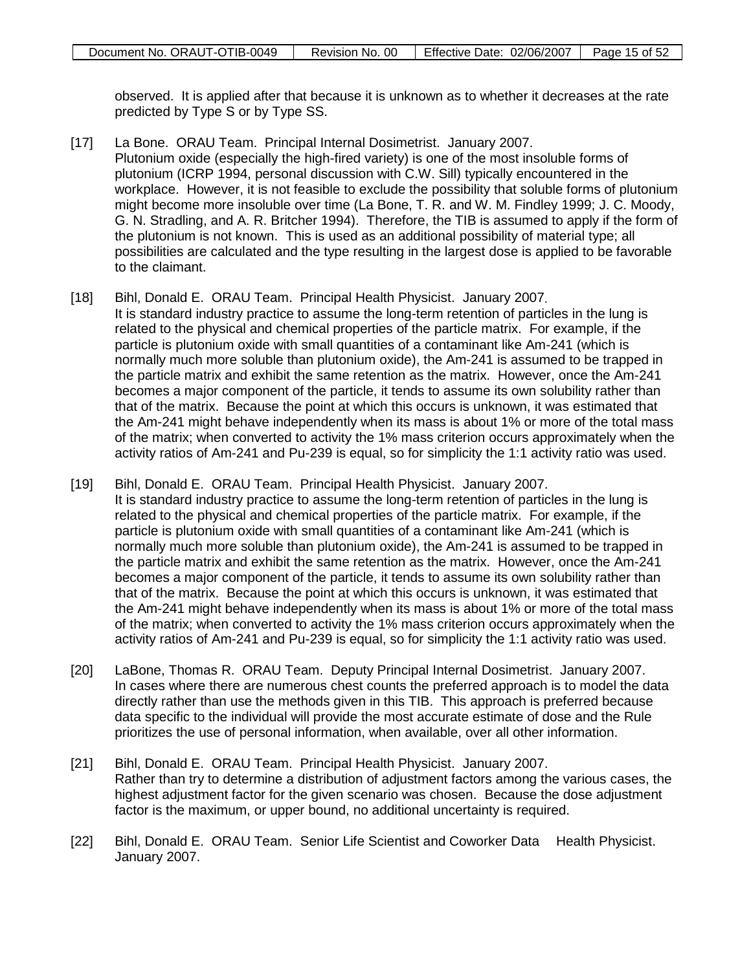observed. It is applied after that because it is unknown as to whether it decreases at the rate predicted by Type S or by Type SS.

- [17] La Bone. ORAU Team. Principal Internal Dosimetrist. January 2007. Plutonium oxide (especially the high-fired variety) is one of the most insoluble forms of plutonium (ICRP 1994, personal discussion with C.W. Sill) typically encountered in the workplace. However, it is not feasible to exclude the possibility that soluble forms of plutonium might become more insoluble over time (La Bone, T. R. and W. M. Findley 1999; J. C. Moody, G. N. Stradling, and A. R. Britcher 1994). Therefore, the TIB is assumed to apply if the form of the plutonium is not known. This is used as an additional possibility of material type; all possibilities are calculated and the type resulting in the largest dose is applied to be favorable to the claimant.
- [18] Bihl, Donald E. ORAU Team. Principal Health Physicist. January 2007. It is standard industry practice to assume the long-term retention of particles in the lung is related to the physical and chemical properties of the particle matrix. For example, if the particle is plutonium oxide with small quantities of a contaminant like Am-241 (which is normally much more soluble than plutonium oxide), the Am-241 is assumed to be trapped in the particle matrix and exhibit the same retention as the matrix. However, once the Am-241 becomes a major component of the particle, it tends to assume its own solubility rather than that of the matrix. Because the point at which this occurs is unknown, it was estimated that the Am-241 might behave independently when its mass is about 1% or more of the total mass of the matrix; when converted to activity the 1% mass criterion occurs approximately when the activity ratios of Am-241 and Pu-239 is equal, so for simplicity the 1:1 activity ratio was used.
- [19] Bihl, Donald E. ORAU Team. Principal Health Physicist. January 2007. It is standard industry practice to assume the long-term retention of particles in the lung is related to the physical and chemical properties of the particle matrix. For example, if the particle is plutonium oxide with small quantities of a contaminant like Am-241 (which is normally much more soluble than plutonium oxide), the Am-241 is assumed to be trapped in the particle matrix and exhibit the same retention as the matrix. However, once the Am-241 becomes a major component of the particle, it tends to assume its own solubility rather than that of the matrix. Because the point at which this occurs is unknown, it was estimated that the Am-241 might behave independently when its mass is about 1% or more of the total mass of the matrix; when converted to activity the 1% mass criterion occurs approximately when the activity ratios of Am-241 and Pu-239 is equal, so for simplicity the 1:1 activity ratio was used.
- [20] LaBone, Thomas R. ORAU Team. Deputy Principal Internal Dosimetrist. January 2007. In cases where there are numerous chest counts the preferred approach is to model the data directly rather than use the methods given in this TIB. This approach is preferred because data specific to the individual will provide the most accurate estimate of dose and the Rule prioritizes the use of personal information, when available, over all other information.
- [21] Bihl, Donald E. ORAU Team. Principal Health Physicist. January 2007. Rather than try to determine a distribution of adjustment factors among the various cases, the highest adjustment factor for the given scenario was chosen. Because the dose adjustment factor is the maximum, or upper bound, no additional uncertainty is required.
- [22] Bihl, Donald E. ORAU Team. Senior Life Scientist and Coworker Data Health Physicist. January 2007.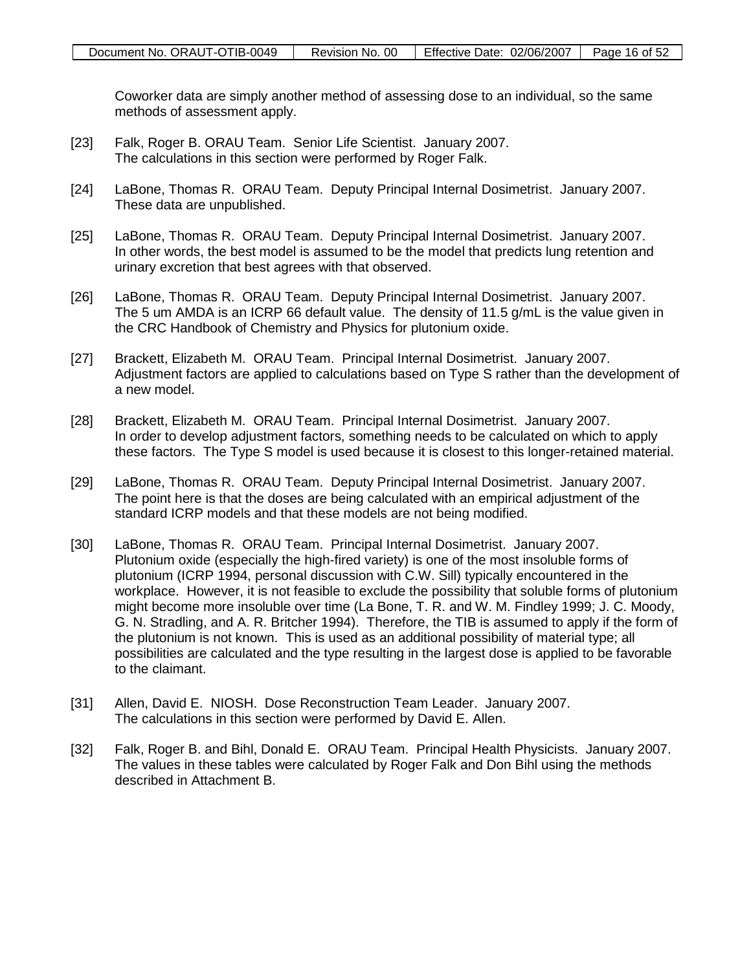Coworker data are simply another method of assessing dose to an individual, so the same methods of assessment apply.

- [23] Falk, Roger B. ORAU Team. Senior Life Scientist. January 2007. The calculations in this section were performed by Roger Falk.
- [24] LaBone, Thomas R. ORAU Team. Deputy Principal Internal Dosimetrist. January 2007. These data are unpublished.
- [25] LaBone, Thomas R. ORAU Team. Deputy Principal Internal Dosimetrist. January 2007. In other words, the best model is assumed to be the model that predicts lung retention and urinary excretion that best agrees with that observed.
- [26] LaBone, Thomas R. ORAU Team. Deputy Principal Internal Dosimetrist. January 2007. The 5 um AMDA is an ICRP 66 default value. The density of 11.5 g/mL is the value given in the CRC Handbook of Chemistry and Physics for plutonium oxide.
- [27] Brackett, Elizabeth M. ORAU Team. Principal Internal Dosimetrist. January 2007. Adjustment factors are applied to calculations based on Type S rather than the development of a new model.
- [28] Brackett, Elizabeth M. ORAU Team. Principal Internal Dosimetrist. January 2007. In order to develop adjustment factors, something needs to be calculated on which to apply these factors. The Type S model is used because it is closest to this longer-retained material.
- [29] LaBone, Thomas R. ORAU Team. Deputy Principal Internal Dosimetrist. January 2007. The point here is that the doses are being calculated with an empirical adjustment of the standard ICRP models and that these models are not being modified.
- [30] LaBone, Thomas R. ORAU Team. Principal Internal Dosimetrist. January 2007. Plutonium oxide (especially the high-fired variety) is one of the most insoluble forms of plutonium (ICRP 1994, personal discussion with C.W. Sill) typically encountered in the workplace. However, it is not feasible to exclude the possibility that soluble forms of plutonium might become more insoluble over time (La Bone, T. R. and W. M. Findley 1999; J. C. Moody, G. N. Stradling, and A. R. Britcher 1994). Therefore, the TIB is assumed to apply if the form of the plutonium is not known. This is used as an additional possibility of material type; all possibilities are calculated and the type resulting in the largest dose is applied to be favorable to the claimant.
- [31] Allen, David E. NIOSH. Dose Reconstruction Team Leader. January 2007. The calculations in this section were performed by David E. Allen.
- [32] Falk, Roger B. and Bihl, Donald E. ORAU Team. Principal Health Physicists. January 2007. The values in these tables were calculated by Roger Falk and Don Bihl using the methods described in Attachment B.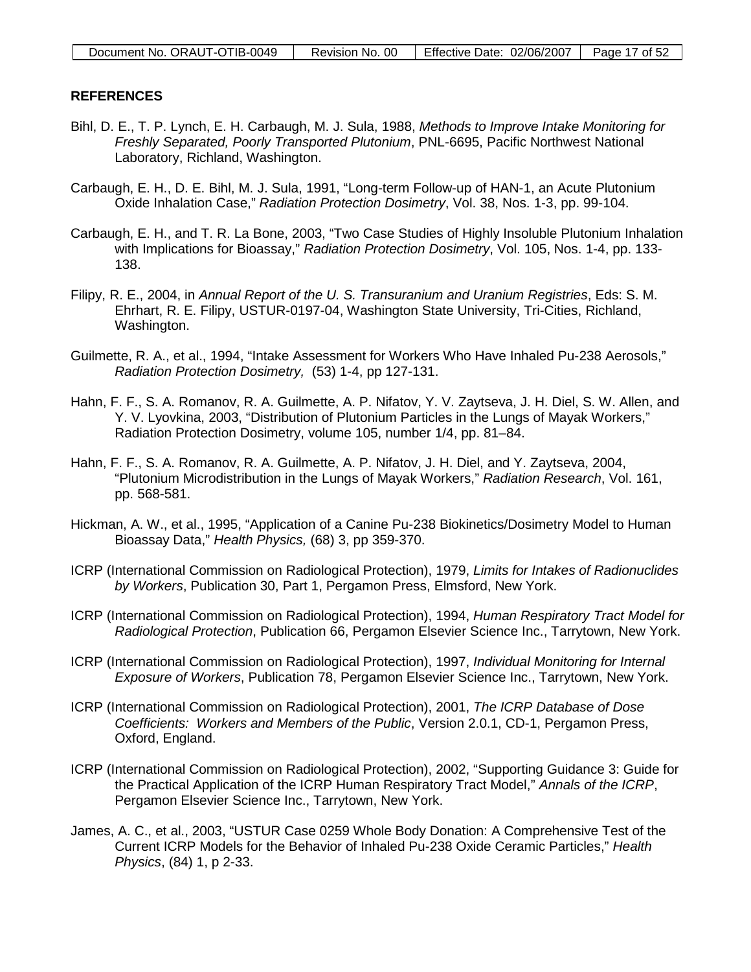## **REFERENCES**

- Bihl, D. E., T. P. Lynch, E. H. Carbaugh, M. J. Sula, 1988, *Methods to Improve Intake Monitoring for Freshly Separated, Poorly Transported Plutonium*, PNL-6695, Pacific Northwest National Laboratory, Richland, Washington.
- Carbaugh, E. H., D. E. Bihl, M. J. Sula, 1991, "Long-term Follow-up of HAN-1, an Acute Plutonium Oxide Inhalation Case," *Radiation Protection Dosimetry*, Vol. 38, Nos. 1-3, pp. 99-104.
- Carbaugh, E. H., and T. R. La Bone, 2003, "Two Case Studies of Highly Insoluble Plutonium Inhalation with Implications for Bioassay," *Radiation Protection Dosimetry*, Vol. 105, Nos. 1-4, pp. 133- 138.
- Filipy, R. E., 2004, in *Annual Report of the U. S. Transuranium and Uranium Registries*, Eds: S. M. Ehrhart, R. E. Filipy, USTUR-0197-04, Washington State University, Tri-Cities, Richland, Washington.
- Guilmette, R. A., et al., 1994, "Intake Assessment for Workers Who Have Inhaled Pu-238 Aerosols," *Radiation Protection Dosimetry,* (53) 1-4, pp 127-131.
- Hahn, F. F., S. A. Romanov, R. A. Guilmette, A. P. Nifatov, Y. V. Zaytseva, J. H. Diel, S. W. Allen, and Y. V. Lyovkina, 2003, "Distribution of Plutonium Particles in the Lungs of Mayak Workers," Radiation Protection Dosimetry, volume 105, number 1/4, pp. 81–84.
- Hahn, F. F., S. A. Romanov, R. A. Guilmette, A. P. Nifatov, J. H. Diel, and Y. Zaytseva, 2004, "Plutonium Microdistribution in the Lungs of Mayak Workers," *Radiation Research*, Vol. 161, pp. 568-581.
- Hickman, A. W., et al., 1995, "Application of a Canine Pu-238 Biokinetics/Dosimetry Model to Human Bioassay Data," *Health Physics,* (68) 3, pp 359-370.
- ICRP (International Commission on Radiological Protection), 1979, *Limits for Intakes of Radionuclides by Workers*, Publication 30, Part 1, Pergamon Press, Elmsford, New York.
- ICRP (International Commission on Radiological Protection), 1994, *Human Respiratory Tract Model for Radiological Protection*, Publication 66, Pergamon Elsevier Science Inc., Tarrytown, New York.
- ICRP (International Commission on Radiological Protection), 1997, *Individual Monitoring for Internal Exposure of Workers*, Publication 78, Pergamon Elsevier Science Inc., Tarrytown, New York.
- ICRP (International Commission on Radiological Protection), 2001, *The ICRP Database of Dose Coefficients: Workers and Members of the Public*, Version 2.0.1, CD-1, Pergamon Press, Oxford, England.
- ICRP (International Commission on Radiological Protection), 2002, "Supporting Guidance 3: Guide for the Practical Application of the ICRP Human Respiratory Tract Model," *Annals of the ICRP*, Pergamon Elsevier Science Inc., Tarrytown, New York.
- James, A. C., et al., 2003, "USTUR Case 0259 Whole Body Donation: A Comprehensive Test of the Current ICRP Models for the Behavior of Inhaled Pu-238 Oxide Ceramic Particles," *Health Physics*, (84) 1, p 2-33.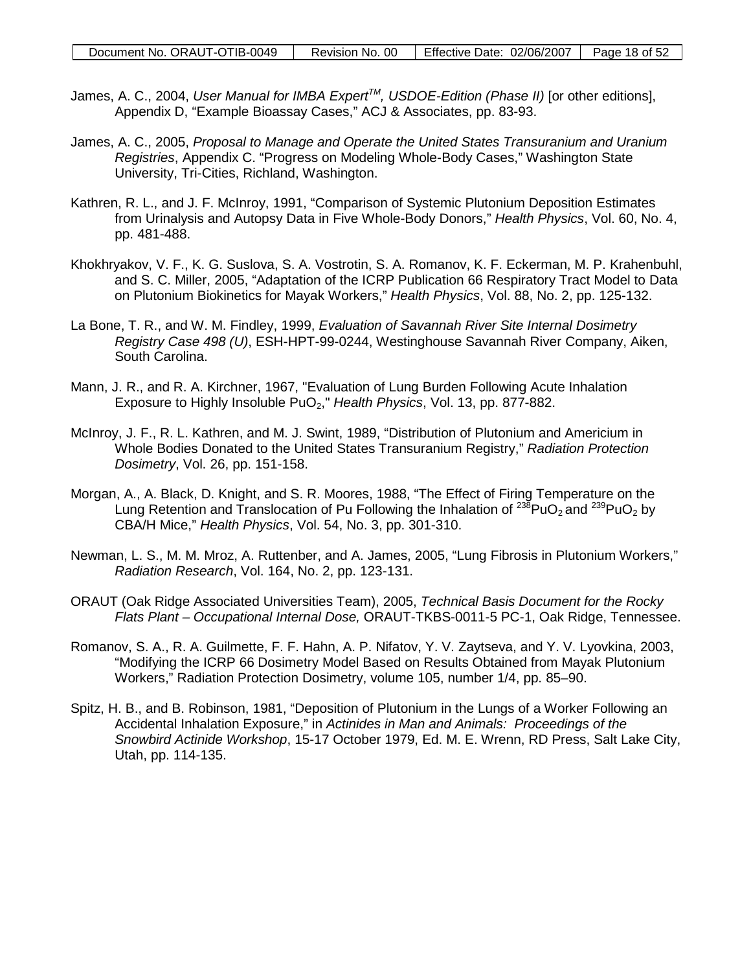- James, A. C., 2004, *User Manual for IMBA ExpertTM, USDOE-Edition (Phase II)* [or other editions], Appendix D, "Example Bioassay Cases," ACJ & Associates, pp. 83-93.
- James, A. C., 2005, *Proposal to Manage and Operate the United States Transuranium and Uranium Registries*, Appendix C. "Progress on Modeling Whole-Body Cases," Washington State University, Tri-Cities, Richland, Washington.
- Kathren, R. L., and J. F. McInroy, 1991, "Comparison of Systemic Plutonium Deposition Estimates from Urinalysis and Autopsy Data in Five Whole-Body Donors," *Health Physics*, Vol. 60, No. 4, pp. 481-488.
- Khokhryakov, V. F., K. G. Suslova, S. A. Vostrotin, S. A. Romanov, K. F. Eckerman, M. P. Krahenbuhl, and S. C. Miller, 2005, "Adaptation of the ICRP Publication 66 Respiratory Tract Model to Data on Plutonium Biokinetics for Mayak Workers," *Health Physics*, Vol. 88, No. 2, pp. 125-132.
- La Bone, T. R., and W. M. Findley, 1999, *Evaluation of Savannah River Site Internal Dosimetry Registry Case 498 (U)*, ESH-HPT-99-0244, Westinghouse Savannah River Company, Aiken, South Carolina.
- Mann, J. R., and R. A. Kirchner, 1967, "Evaluation of Lung Burden Following Acute Inhalation Exposure to Highly Insoluble PuO<sub>2</sub>," *Health Physics*, Vol. 13, pp. 877-882.
- McInroy, J. F., R. L. Kathren, and M. J. Swint, 1989, "Distribution of Plutonium and Americium in Whole Bodies Donated to the United States Transuranium Registry," *Radiation Protection Dosimetry*, Vol. 26, pp. 151-158.
- Morgan, A., A. Black, D. Knight, and S. R. Moores, 1988, "The Effect of Firing Temperature on the Lung Retention and Translocation of Pu Following the Inhalation of  $^{238}$ PuO<sub>2</sub> and  $^{239}$ PuO<sub>2</sub> by CBA/H Mice," *Health Physics*, Vol. 54, No. 3, pp. 301-310.
- Newman, L. S., M. M. Mroz, A. Ruttenber, and A. James, 2005, "Lung Fibrosis in Plutonium Workers," *Radiation Research*, Vol. 164, No. 2, pp. 123-131.
- ORAUT (Oak Ridge Associated Universities Team), 2005, *Technical Basis Document for the Rocky Flats Plant – Occupational Internal Dose,* ORAUT-TKBS-0011-5 PC-1, Oak Ridge, Tennessee.
- Romanov, S. A., R. A. Guilmette, F. F. Hahn, A. P. Nifatov, Y. V. Zaytseva, and Y. V. Lyovkina, 2003, "Modifying the ICRP 66 Dosimetry Model Based on Results Obtained from Mayak Plutonium Workers," Radiation Protection Dosimetry, volume 105, number 1/4, pp. 85–90.
- Spitz, H. B., and B. Robinson, 1981, "Deposition of Plutonium in the Lungs of a Worker Following an Accidental Inhalation Exposure," in *Actinides in Man and Animals: Proceedings of the Snowbird Actinide Workshop*, 15-17 October 1979, Ed. M. E. Wrenn, RD Press, Salt Lake City, Utah, pp. 114-135.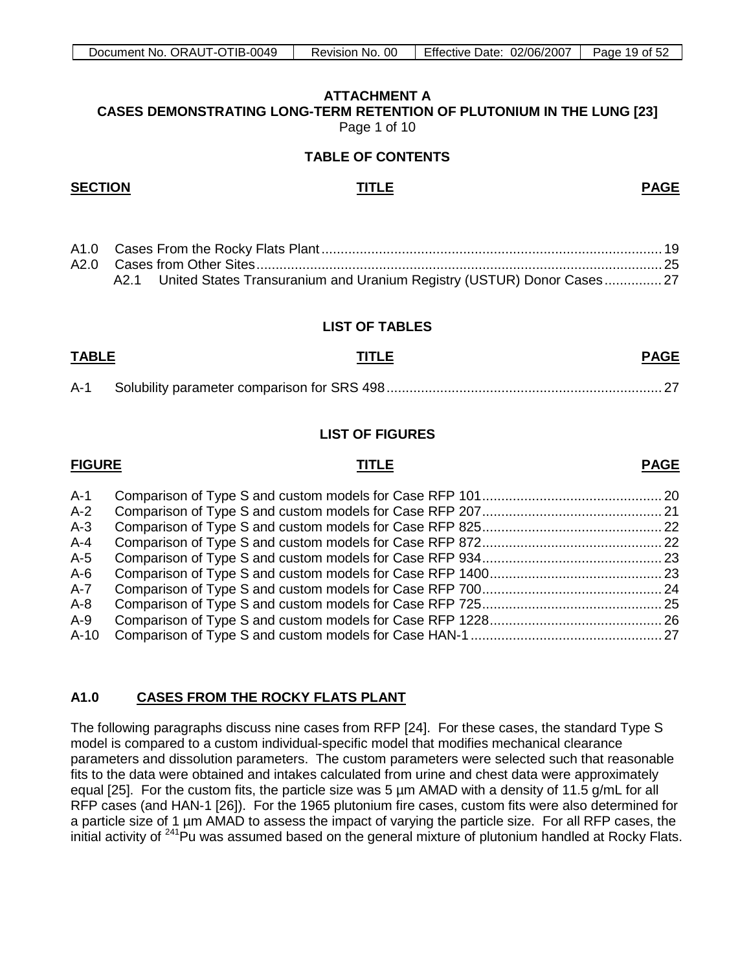# **ATTACHMENT A**

<span id="page-18-0"></span>**CASES DEMONSTRATING LONG-TERM RETENTION OF PLUTONIUM IN THE LUNG [23]**  Page 1 of 10

# **TABLE OF CONTENTS**

## **SECTION TITLE PAGE**

|  | A2.1 United States Transuranium and Uranium Registry (USTUR) Donor Cases 27 |  |
|--|-----------------------------------------------------------------------------|--|

# **LIST OF TABLES**

# **TABLE TITLE PAGE**

A-1 Solubility parameter comparison for SRS 498........................................................................ 27

# **LIST OF FIGURES**

# **FIGURE TITLE PAGE**

| A-1  |  |
|------|--|
| A-2  |  |
| A-3  |  |
| A-4  |  |
| A-5  |  |
| A-6  |  |
| A-7  |  |
| A-8  |  |
| A-9  |  |
| A-10 |  |
|      |  |

### **A1.0 CASES FROM THE ROCKY FLATS PLANT**

The following paragraphs discuss nine cases from RFP [24]. For these cases, the standard Type S model is compared to a custom individual-specific model that modifies mechanical clearance parameters and dissolution parameters. The custom parameters were selected such that reasonable fits to the data were obtained and intakes calculated from urine and chest data were approximately equal [25]. For the custom fits, the particle size was 5 um AMAD with a density of 11.5 g/mL for all RFP cases (and HAN-1 [26]). For the 1965 plutonium fire cases, custom fits were also determined for a particle size of 1 µm AMAD to assess the impact of varying the particle size. For all RFP cases, the initial activity of <sup>241</sup>Pu was assumed based on the general mixture of plutonium handled at Rocky Flats.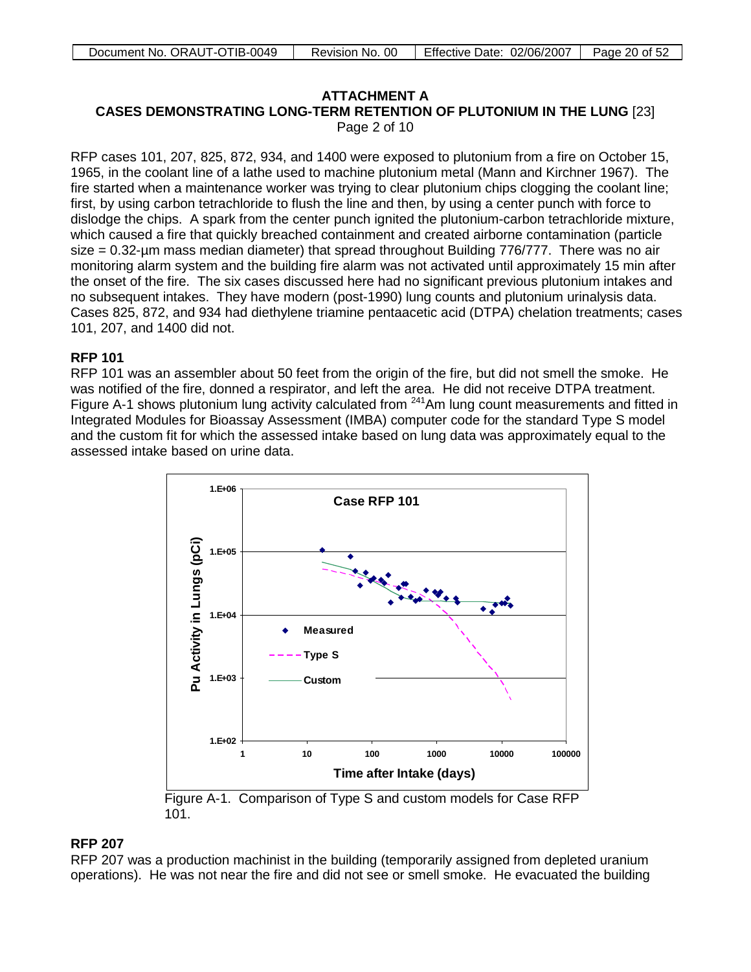# **ATTACHMENT A**

**CASES DEMONSTRATING LONG-TERM RETENTION OF PLUTONIUM IN THE LUNG** [23] Page 2 of 10

RFP cases 101, 207, 825, 872, 934, and 1400 were exposed to plutonium from a fire on October 15, 1965, in the coolant line of a lathe used to machine plutonium metal (Mann and Kirchner 1967). The fire started when a maintenance worker was trying to clear plutonium chips clogging the coolant line; first, by using carbon tetrachloride to flush the line and then, by using a center punch with force to dislodge the chips. A spark from the center punch ignited the plutonium-carbon tetrachloride mixture, which caused a fire that quickly breached containment and created airborne contamination (particle size = 0.32-µm mass median diameter) that spread throughout Building 776/777. There was no air monitoring alarm system and the building fire alarm was not activated until approximately 15 min after the onset of the fire. The six cases discussed here had no significant previous plutonium intakes and no subsequent intakes. They have modern (post-1990) lung counts and plutonium urinalysis data. Cases 825, 872, and 934 had diethylene triamine pentaacetic acid (DTPA) chelation treatments; cases 101, 207, and 1400 did not.

# **RFP 101**

RFP 101 was an assembler about 50 feet from the origin of the fire, but did not smell the smoke. He was notified of the fire, donned a respirator, and left the area. He did not receive DTPA treatment. Figure A-1 shows plutonium lung activity calculated from <sup>241</sup>Am lung count measurements and fitted in Integrated Modules for Bioassay Assessment (IMBA) computer code for the standard Type S model and the custom fit for which the assessed intake based on lung data was approximately equal to the assessed intake based on urine data.



Figure A-1. Comparison of Type S and custom models for Case RFP 101.

# **RFP 207**

RFP 207 was a production machinist in the building (temporarily assigned from depleted uranium operations). He was not near the fire and did not see or smell smoke. He evacuated the building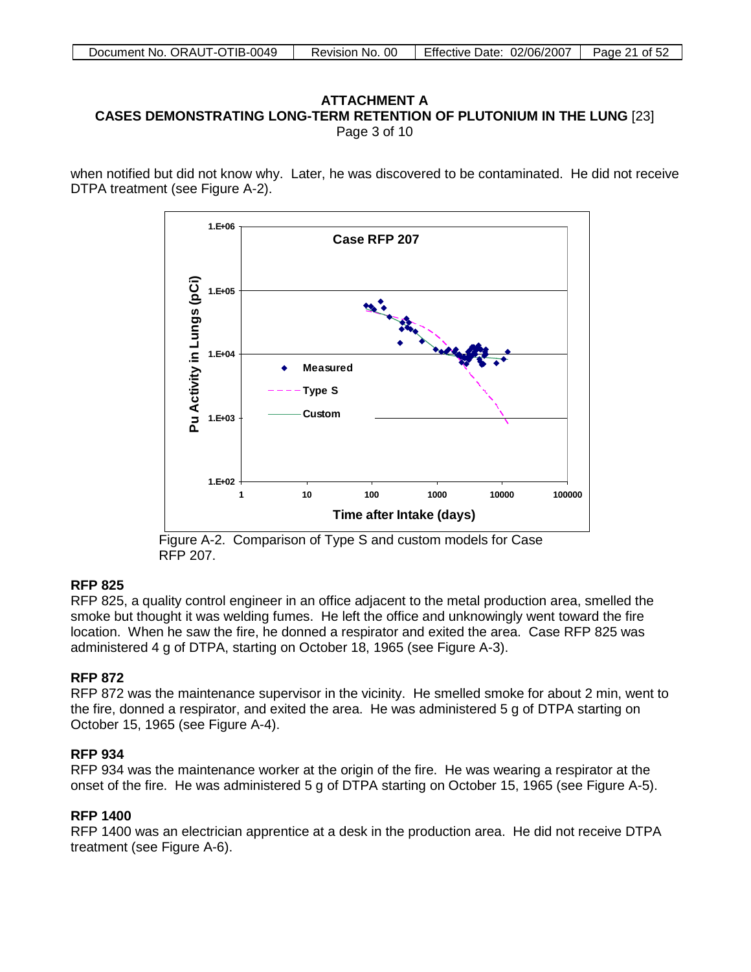## **ATTACHMENT A CASES DEMONSTRATING LONG-TERM RETENTION OF PLUTONIUM IN THE LUNG** [23] Page 3 of 10

when notified but did not know why. Later, he was discovered to be contaminated. He did not receive DTPA treatment (see Figure A-2).



Figure A-2. Comparison of Type S and custom models for Case RFP 207.

# **RFP 825**

RFP 825, a quality control engineer in an office adjacent to the metal production area, smelled the smoke but thought it was welding fumes. He left the office and unknowingly went toward the fire location. When he saw the fire, he donned a respirator and exited the area. Case RFP 825 was administered 4 g of DTPA, starting on October 18, 1965 (see Figure A-3).

# **RFP 872**

RFP 872 was the maintenance supervisor in the vicinity. He smelled smoke for about 2 min, went to the fire, donned a respirator, and exited the area. He was administered 5 g of DTPA starting on October 15, 1965 (see Figure A-4).

# **RFP 934**

RFP 934 was the maintenance worker at the origin of the fire. He was wearing a respirator at the onset of the fire. He was administered 5 g of DTPA starting on October 15, 1965 (see Figure A-5).

# **RFP 1400**

RFP 1400 was an electrician apprentice at a desk in the production area. He did not receive DTPA treatment (see Figure A-6).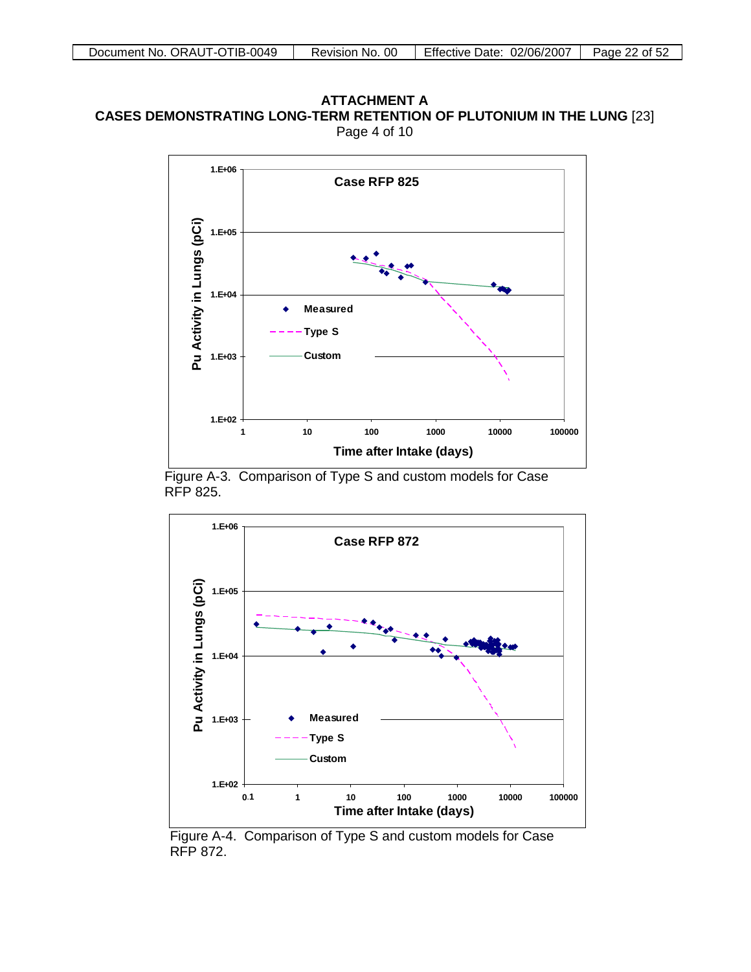## **ATTACHMENT A CASES DEMONSTRATING LONG-TERM RETENTION OF PLUTONIUM IN THE LUNG** [23] Page 4 of 10



Figure A-3. Comparison of Type S and custom models for Case RFP 825.



Figure A-4. Comparison of Type S and custom models for Case RFP 872.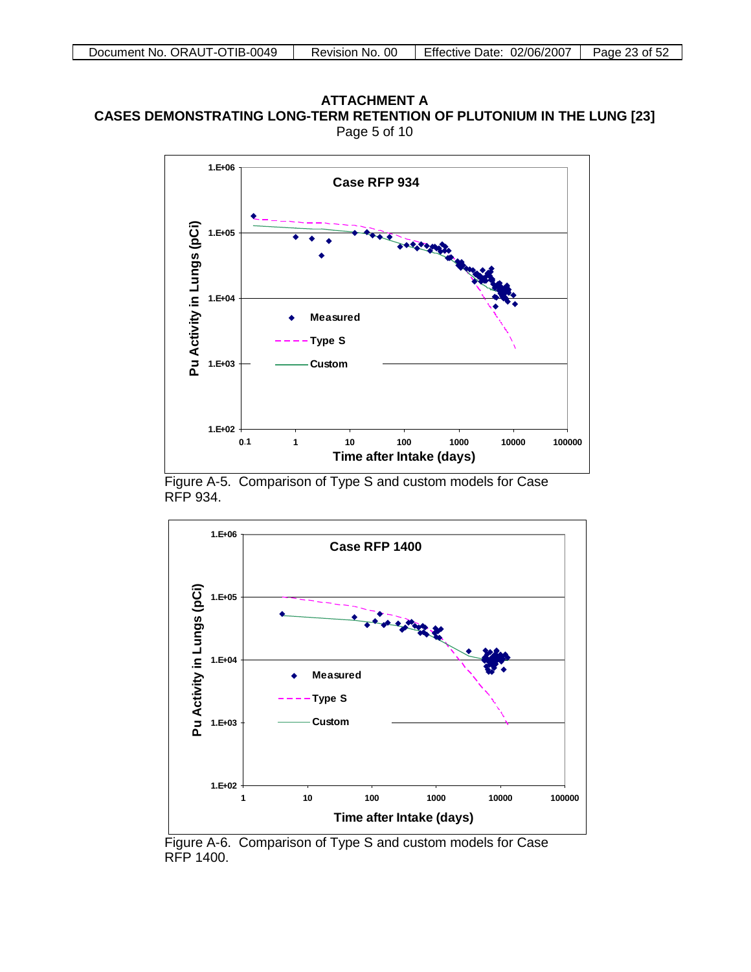# ATTACHMENT A ATTACHMENT A<br>CASES DEMONSTRATING LONG-TERM RETENTION OF PLUTONIUM IN THE LUNG [23] Page 5 of 10



Figure A-5. Comparison of Type S and custom models for Case RFP 934.



Figure A-6. Comparison of Type S and custom models for Case RFP 1400.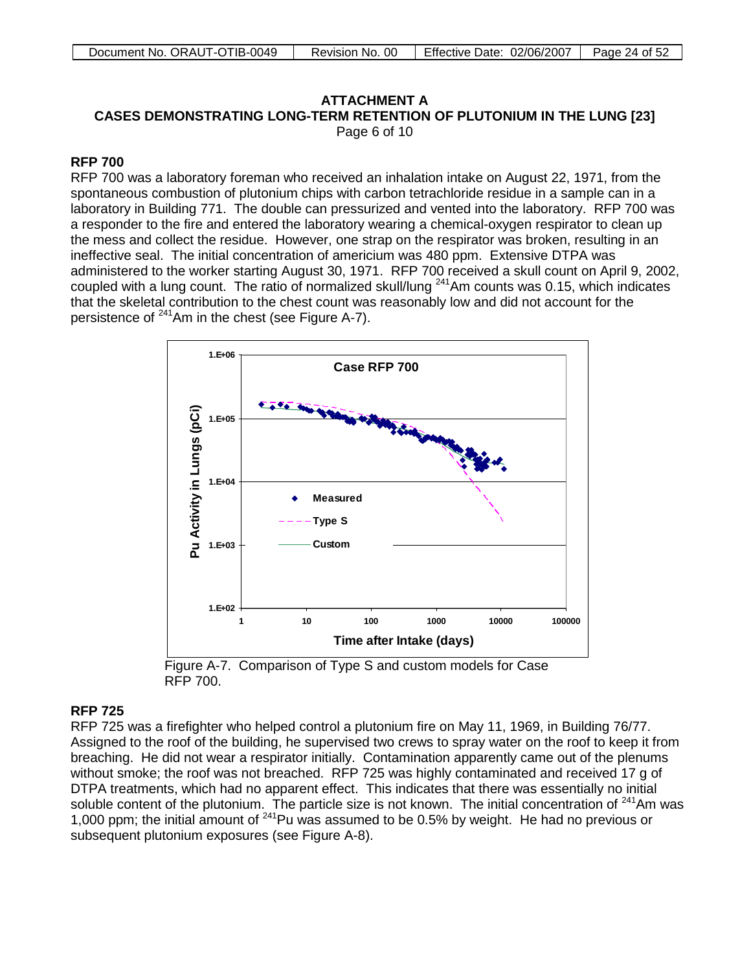# ATTACHMENT A

ATTACHMENT A<br>CASES DEMONSTRATING LONG-TERM RETENTION OF PLUTONIUM IN THE LUNG [23]

Page 6 of 10

# **RFP 700**

RFP 700 was a laboratory foreman who received an inhalation intake on August 22, 1971, from the spontaneous combustion of plutonium chips with carbon tetrachloride residue in a sample can in a laboratory in Building 771. The double can pressurized and vented into the laboratory. RFP 700 was a responder to the fire and entered the laboratory wearing a chemical-oxygen respirator to clean up the mess and collect the residue. However, one strap on the respirator was broken, resulting in an ineffective seal. The initial concentration of americium was 480 ppm. Extensive DTPA was administered to the worker starting August 30, 1971. RFP 700 received a skull count on April 9, 2002, coupled with a lung count. The ratio of normalized skull/lung 241Am counts was 0.15, which indicates that the skeletal contribution to the chest count was reasonably low and did not account for the persistence of  $241$ Am in the chest (see Figure A-7).



Figure A-7. Comparison of Type S and custom models for Case RFP 700.

# **RFP 725**

RFP 725 was a firefighter who helped control a plutonium fire on May 11, 1969, in Building 76/77. Assigned to the roof of the building, he supervised two crews to spray water on the roof to keep it from breaching. He did not wear a respirator initially. Contamination apparently came out of the plenums without smoke; the roof was not breached. RFP 725 was highly contaminated and received 17 g of DTPA treatments, which had no apparent effect. This indicates that there was essentially no initial soluble content of the plutonium. The particle size is not known. The initial concentration of <sup>241</sup>Am was 1,000 ppm; the initial amount of 241Pu was assumed to be 0.5% by weight. He had no previous or subsequent plutonium exposures (see Figure A-8).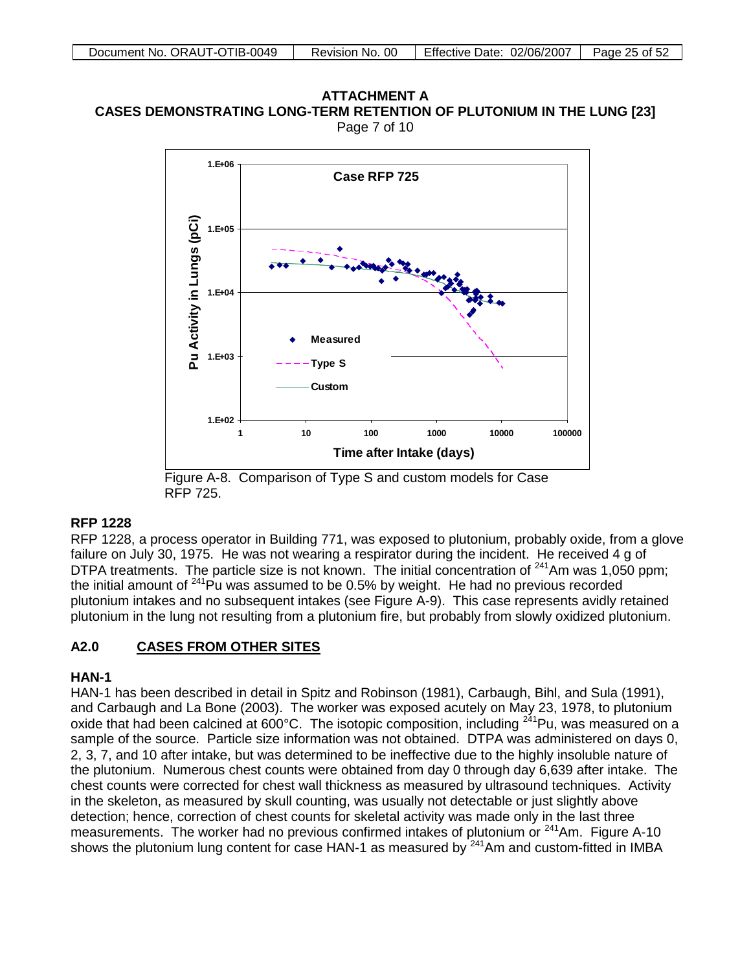



Figure A-8. Comparison of Type S and custom models for Case RFP 725.

# **RFP 1228**

RFP 1228, a process operator in Building 771, was exposed to plutonium, probably oxide, from a glove failure on July 30, 1975. He was not wearing a respirator during the incident. He received 4 g of DTPA treatments. The particle size is not known. The initial concentration of <sup>241</sup>Am was 1,050 ppm; the initial amount of  $241$ Pu was assumed to be 0.5% by weight. He had no previous recorded plutonium intakes and no subsequent intakes (see Figure A-9). This case represents avidly retained plutonium in the lung not resulting from a plutonium fire, but probably from slowly oxidized plutonium.

### **A2.0 CASES FROM OTHER SITES**

# **HAN-1**

HAN-1 has been described in detail in Spitz and Robinson (1981), Carbaugh, Bihl, and Sula (1991), and Carbaugh and La Bone (2003). The worker was exposed acutely on May 23, 1978, to plutonium oxide that had been calcined at 600°C. The isotopic composition, including  $^{241}$ Pu, was measured on a sample of the source. Particle size information was not obtained. DTPA was administered on days 0, 2, 3, 7, and 10 after intake, but was determined to be ineffective due to the highly insoluble nature of the plutonium. Numerous chest counts were obtained from day 0 through day 6,639 after intake. The chest counts were corrected for chest wall thickness as measured by ultrasound techniques. Activity in the skeleton, as measured by skull counting, was usually not detectable or just slightly above detection; hence, correction of chest counts for skeletal activity was made only in the last three measurements. The worker had no previous confirmed intakes of plutonium or  $241$ Am. Figure A-10 shows the plutonium lung content for case HAN-1 as measured by <sup>241</sup>Am and custom-fitted in IMBA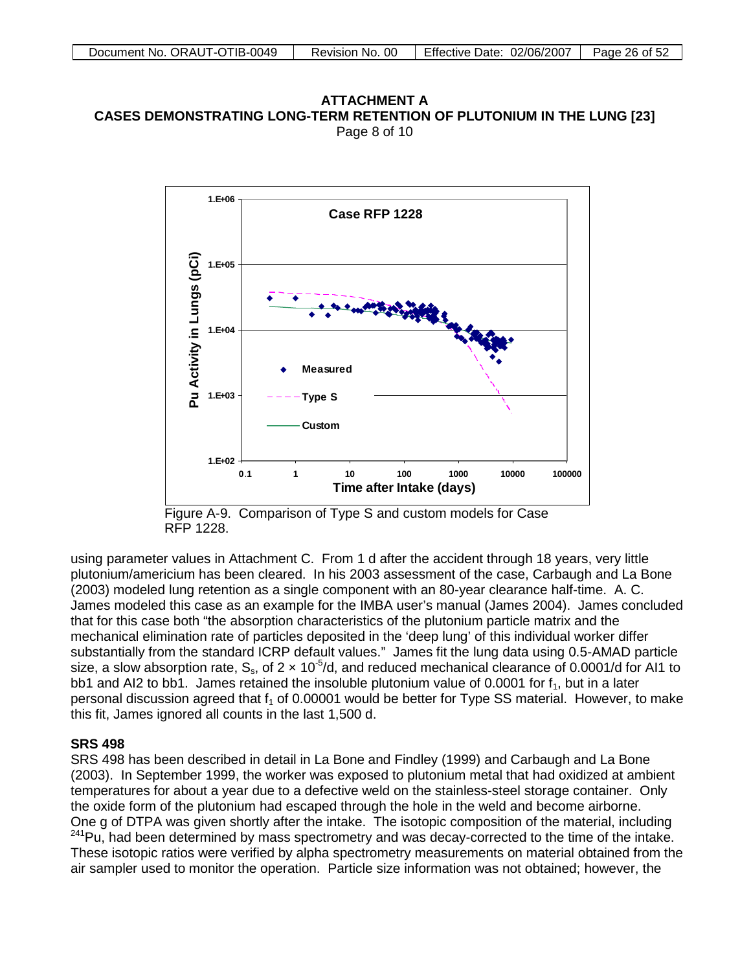**ATTACHMENT A CASES DEMONSTRATING LONG-TERM RETENTION OF PLUTONIUM IN THE LUNG [23]** Page 8 of 10



Figure A-9. Comparison of Type S and custom models for Case RFP 1228.

using parameter values in Attachment C. From 1 d after the accident through 18 years, very little plutonium/americium has been cleared. In his 2003 assessment of the case, Carbaugh and La Bone (2003) modeled lung retention as a single component with an 80-year clearance half-time. A. C. James modeled this case as an example for the IMBA user's manual (James 2004). James concluded that for this case both "the absorption characteristics of the plutonium particle matrix and the mechanical elimination rate of particles deposited in the 'deep lung' of this individual worker differ substantially from the standard ICRP default values." James fit the lung data using 0.5-AMAD particle size, a slow absorption rate,  $S_s$ , of 2  $\times$  10<sup>-5</sup>/d, and reduced mechanical clearance of 0.0001/d for AI1 to bb1 and AI2 to bb1. James retained the insoluble plutonium value of 0.0001 for  $f_1$ , but in a later personal discussion agreed that  $f_1$  of 0.00001 would be better for Type SS material. However, to make this fit, James ignored all counts in the last 1,500 d.

### **SRS 498**

SRS 498 has been described in detail in La Bone and Findley (1999) and Carbaugh and La Bone (2003). In September 1999, the worker was exposed to plutonium metal that had oxidized at ambient temperatures for about a year due to a defective weld on the stainless-steel storage container. Only the oxide form of the plutonium had escaped through the hole in the weld and become airborne. One g of DTPA was given shortly after the intake. The isotopic composition of the material, including <sup>241</sup>Pu, had been determined by mass spectrometry and was decay-corrected to the time of the intake. These isotopic ratios were verified by alpha spectrometry measurements on material obtained from the air sampler used to monitor the operation. Particle size information was not obtained; however, the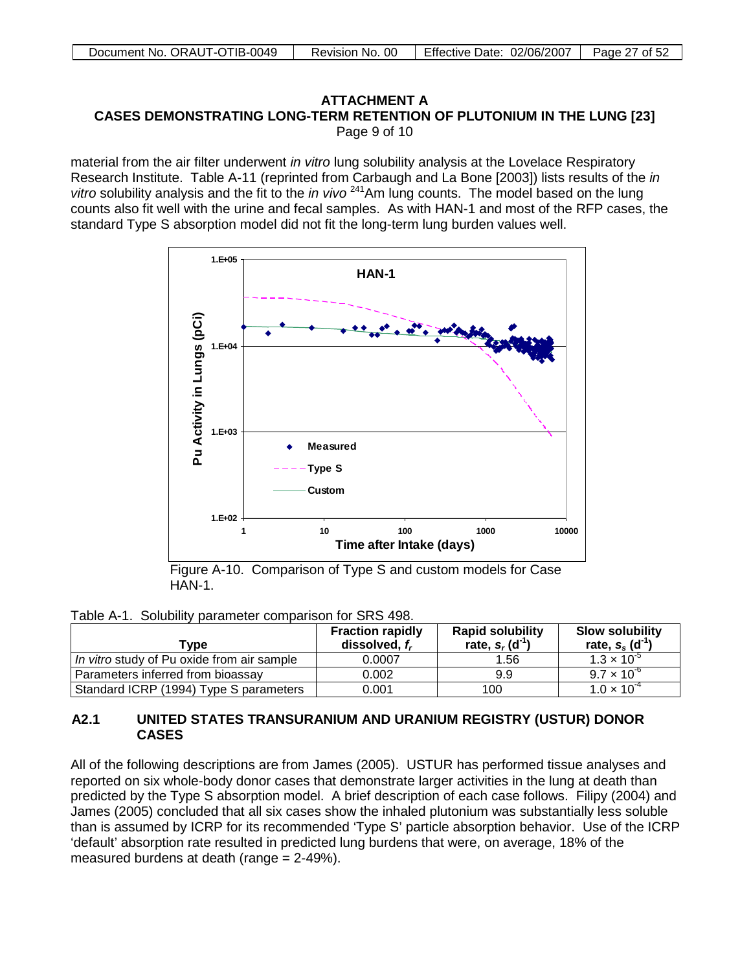# ATTACHMENT A ATTACHMENT A<br>CASES DEMONSTRATING LONG-TERM RETENTION OF PLUTONIUM IN THE LUNG [23] Page 9 of 10

material from the air filter underwent *in vitro* lung solubility analysis at the Lovelace Respiratory Research Institute. Table A-11 (reprinted from Carbaugh and La Bone [2003]) lists results of the *in vitro* solubility analysis and the fit to the *in vivo* 241Am lung counts. The model based on the lung counts also fit well with the urine and fecal samples. As with HAN-1 and most of the RFP cases, the standard Type S absorption model did not fit the long-term lung burden values well.



Figure A-10. Comparison of Type S and custom models for Case HAN-1.

|  |  |  |  | Table A-1. Solubility parameter comparison for SRS 498. |
|--|--|--|--|---------------------------------------------------------|
|--|--|--|--|---------------------------------------------------------|

| Tvpe                                       | <b>Fraction rapidly</b><br>dissolved. f. | <b>Rapid solubility</b><br>rate, $s_r$ (d <sup>-1</sup> | <b>Slow solubility</b><br>rate, $s_s$ (d <sup>-1</sup> |
|--------------------------------------------|------------------------------------------|---------------------------------------------------------|--------------------------------------------------------|
| In vitro study of Pu oxide from air sample | 0.0007                                   | 1.56                                                    | $1.3 \times 10^{-3}$                                   |
| Parameters inferred from bioassay          | 0.002                                    | 9.9                                                     | $9.7 \times 10^{-6}$                                   |
| Standard ICRP (1994) Type S parameters     | 0.001                                    | 100                                                     | $1.0 \times 10^{-4}$                                   |

# **A2.1 UNITED STATES TRANSURANIUM AND URANIUM REGISTRY (USTUR) DONOR CASES**

All of the following descriptions are from James (2005). USTUR has performed tissue analyses and reported on six whole-body donor cases that demonstrate larger activities in the lung at death than predicted by the Type S absorption model. A brief description of each case follows. Filipy (2004) and James (2005) concluded that all six cases show the inhaled plutonium was substantially less soluble than is assumed by ICRP for its recommended 'Type S' particle absorption behavior. Use of the ICRP 'default' absorption rate resulted in predicted lung burdens that were, on average, 18% of the measured burdens at death (range = 2-49%).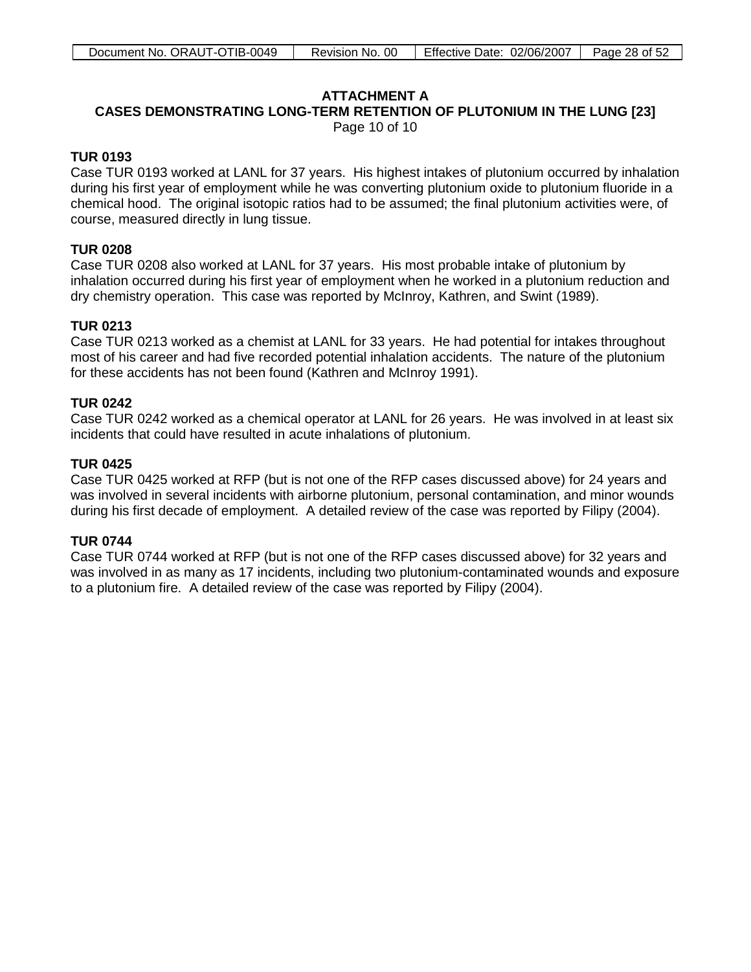# **ATTACHMENT A**

## **CASES DEMONSTRATING LONG-TERM RETENTION OF PLUTONIUM IN THE LUNG [23]** Page 10 of 10

# **TUR 0193**

Case TUR 0193 worked at LANL for 37 years. His highest intakes of plutonium occurred by inhalation during his first year of employment while he was converting plutonium oxide to plutonium fluoride in a chemical hood. The original isotopic ratios had to be assumed; the final plutonium activities were, of course, measured directly in lung tissue.

# **TUR 0208**

Case TUR 0208 also worked at LANL for 37 years. His most probable intake of plutonium by inhalation occurred during his first year of employment when he worked in a plutonium reduction and dry chemistry operation. This case was reported by McInroy, Kathren, and Swint (1989).

# **TUR 0213**

Case TUR 0213 worked as a chemist at LANL for 33 years. He had potential for intakes throughout most of his career and had five recorded potential inhalation accidents. The nature of the plutonium for these accidents has not been found (Kathren and McInroy 1991).

## **TUR 0242**

Case TUR 0242 worked as a chemical operator at LANL for 26 years. He was involved in at least six incidents that could have resulted in acute inhalations of plutonium.

## **TUR 0425**

Case TUR 0425 worked at RFP (but is not one of the RFP cases discussed above) for 24 years and was involved in several incidents with airborne plutonium, personal contamination, and minor wounds during his first decade of employment. A detailed review of the case was reported by Filipy (2004).

### **TUR 0744**

Case TUR 0744 worked at RFP (but is not one of the RFP cases discussed above) for 32 years and was involved in as many as 17 incidents, including two plutonium-contaminated wounds and exposure to a plutonium fire. A detailed review of the case was reported by Filipy (2004).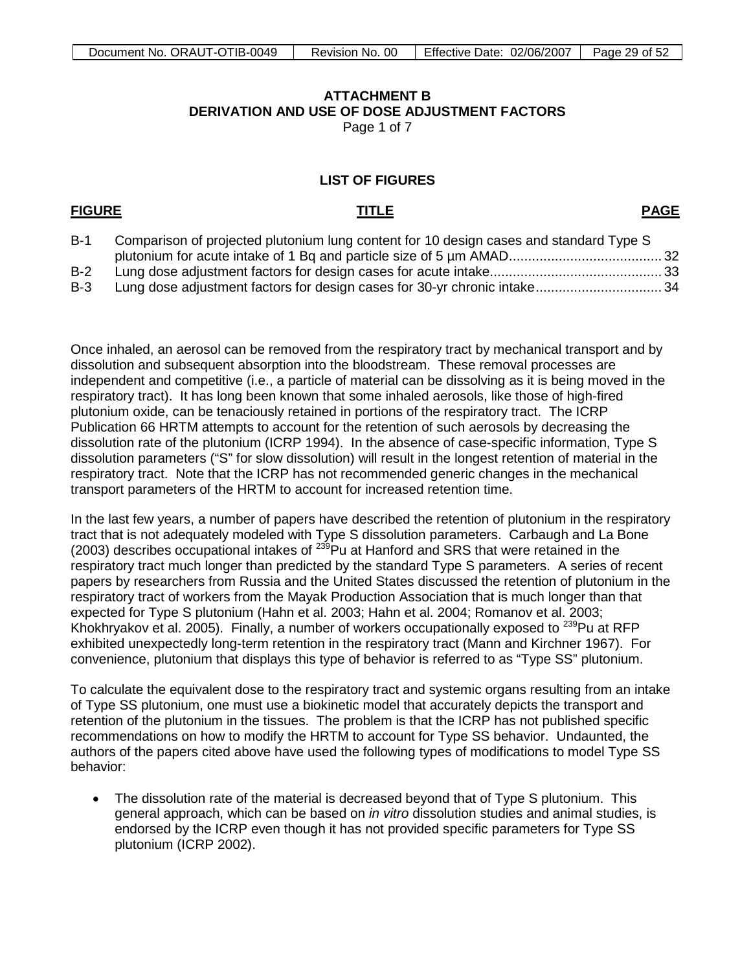# **ATTACHMENT B DERIVATION AND USE OF DOSE ADJUSTMENT FACTORS** Page 1 of 7

## **LIST OF FIGURES**

## <span id="page-28-0"></span>**FIGURE TITLE**

**PAGE**

| $B-1$ | Comparison of projected plutonium lung content for 10 design cases and standard Type S |  |
|-------|----------------------------------------------------------------------------------------|--|
|       |                                                                                        |  |
| $B-2$ |                                                                                        |  |
|       |                                                                                        |  |

B-3 Lung dose adjustment factors for design cases for 30-yr chronic intake................................. 34

Once inhaled, an aerosol can be removed from the respiratory tract by mechanical transport and by dissolution and subsequent absorption into the bloodstream. These removal processes are independent and competitive (i.e., a particle of material can be dissolving as it is being moved in the respiratory tract). It has long been known that some inhaled aerosols, like those of high-fired plutonium oxide, can be tenaciously retained in portions of the respiratory tract. The ICRP Publication 66 HRTM attempts to account for the retention of such aerosols by decreasing the dissolution rate of the plutonium (ICRP 1994). In the absence of case-specific information, Type S dissolution parameters ("S" for slow dissolution) will result in the longest retention of material in the respiratory tract. Note that the ICRP has not recommended generic changes in the mechanical transport parameters of the HRTM to account for increased retention time.

In the last few years, a number of papers have described the retention of plutonium in the respiratory tract that is not adequately modeled with Type S dissolution parameters. Carbaugh and La Bone (2003) describes occupational intakes of 239Pu at Hanford and SRS that were retained in the respiratory tract much longer than predicted by the standard Type S parameters. A series of recent papers by researchers from Russia and the United States discussed the retention of plutonium in the respiratory tract of workers from the Mayak Production Association that is much longer than that expected for Type S plutonium (Hahn et al. 2003; Hahn et al. 2004; Romanov et al. 2003; Khokhryakov et al. 2005). Finally, a number of workers occupationally exposed to  $^{239}$ Pu at RFP exhibited unexpectedly long-term retention in the respiratory tract (Mann and Kirchner 1967). For convenience, plutonium that displays this type of behavior is referred to as "Type SS" plutonium.

To calculate the equivalent dose to the respiratory tract and systemic organs resulting from an intake of Type SS plutonium, one must use a biokinetic model that accurately depicts the transport and retention of the plutonium in the tissues. The problem is that the ICRP has not published specific recommendations on how to modify the HRTM to account for Type SS behavior. Undaunted, the authors of the papers cited above have used the following types of modifications to model Type SS behavior:

• The dissolution rate of the material is decreased beyond that of Type S plutonium. This general approach, which can be based on *in vitro* dissolution studies and animal studies, is endorsed by the ICRP even though it has not provided specific parameters for Type SS plutonium (ICRP 2002).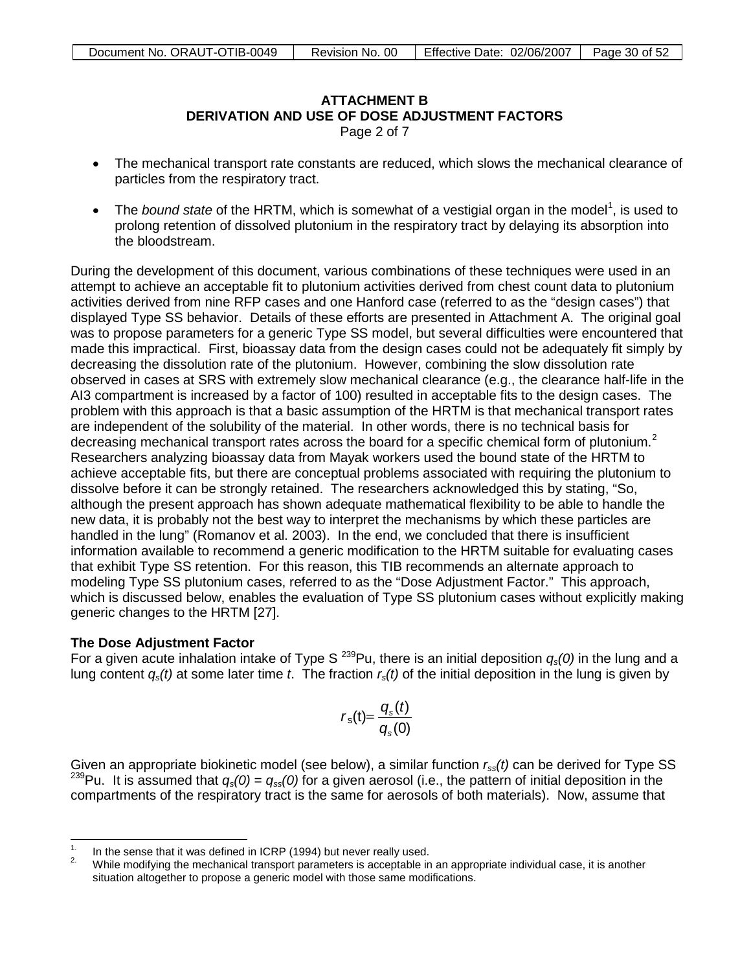# **ATTACHMENT B Derivation and Use of Dose Adjustment Factors DERIVATION AND USE OF DOSE ADJUSTMENT FACTORS**

Page 2 of 7

- The mechanical transport rate constants are reduced, which slows the mechanical clearance of particles from the respiratory tract.
- The *bound state* of the HRTM, which is somewhat of a vestigial organ in the model<sup>[1](#page-29-0)</sup>, is used to prolong retention of dissolved plutonium in the respiratory tract by delaying its absorption into the bloodstream.

During the development of this document, various combinations of these techniques were used in an attempt to achieve an acceptable fit to plutonium activities derived from chest count data to plutonium activities derived from nine RFP cases and one Hanford case (referred to as the "design cases") that displayed Type SS behavior. Details of these efforts are presented in Attachment A. The original goal was to propose parameters for a generic Type SS model, but several difficulties were encountered that made this impractical. First, bioassay data from the design cases could not be adequately fit simply by decreasing the dissolution rate of the plutonium. However, combining the slow dissolution rate observed in cases at SRS with extremely slow mechanical clearance (e.g., the clearance half-life in the AI3 compartment is increased by a factor of 100) resulted in acceptable fits to the design cases. The problem with this approach is that a basic assumption of the HRTM is that mechanical transport rates are independent of the solubility of the material. In other words, there is no technical basis for decreasing mechanical transport rates across the board for a specific chemical form of plutonium.<sup>[2](#page-29-1)</sup> Researchers analyzing bioassay data from Mayak workers used the bound state of the HRTM to achieve acceptable fits, but there are conceptual problems associated with requiring the plutonium to dissolve before it can be strongly retained. The researchers acknowledged this by stating, "So, although the present approach has shown adequate mathematical flexibility to be able to handle the new data, it is probably not the best way to interpret the mechanisms by which these particles are handled in the lung" (Romanov et al. 2003). In the end, we concluded that there is insufficient information available to recommend a generic modification to the HRTM suitable for evaluating cases that exhibit Type SS retention. For this reason, this TIB recommends an alternate approach to modeling Type SS plutonium cases, referred to as the "Dose Adjustment Factor." This approach, which is discussed below, enables the evaluation of Type SS plutonium cases without explicitly making generic changes to the HRTM [27].

# **The Dose Adjustment Factor**

For a given acute inhalation intake of Type S 239Pu, there is an initial deposition *qs(0)* in the lung and a lung content *qs(t)* at some later time *t*. The fraction *rs(t)* of the initial deposition in the lung is given by

$$
r_{\rm s}(t) = \frac{q_{\rm s}(t)}{q_{\rm s}(0)}
$$

Given an appropriate biokinetic model (see below), a similar function *rss(t)* can be derived for Type SS <sup>239</sup>Pu. It is assumed that  $q_s(0) = q_{ss}(0)$  for a given aerosol (i.e., the pattern of initial deposition in the compartments of the respiratory tract is the same for aerosols of both materials). Now, assume that

 $1.$ 

<span id="page-29-1"></span><span id="page-29-0"></span><sup>&</sup>lt;sup>1.</sup> In the sense that it was defined in ICRP (1994) but never really used.<br><sup>2.</sup> While modifying the mechanical transport parameters is acceptable in an appropriate individual case, it is another situation altogether to propose a generic model with those same modifications.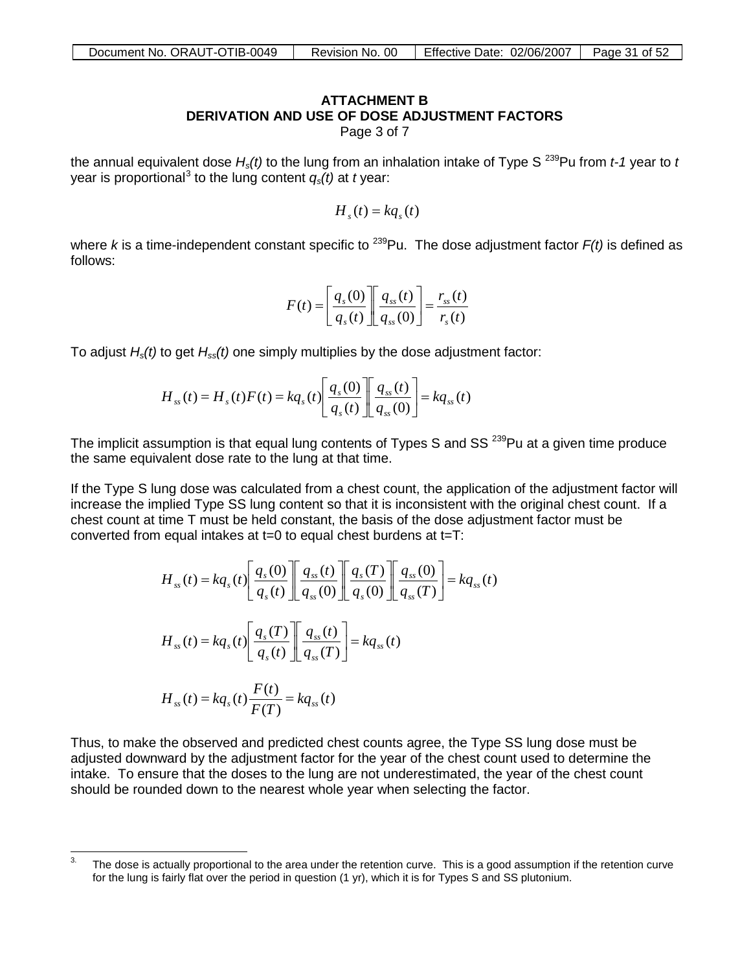# **ATTACHMENT B DERIVATION AND USE OF DOSE ADJUSTMENT FACTORS**

Page 3 of 7

the annual equivalent dose  $H_s(t)$  to the lung from an inhalation intake of Type S<sup>239</sup>Pu from *t-1* year to *t* year is proportional<sup>[3](#page-30-0)</sup> to the lung content  $q_{s}(t)$  at *t* year:

 $H_{s}(t) = kq_{s}(t)$ 

where *k* is a time-independent constant specific to <sup>239</sup>Pu. The dose adjustment factor  $F(t)$  is defined as follows:

$$
F(t) = \left[\frac{q_s(0)}{q_s(t)}\right] \left[\frac{q_{ss}(t)}{q_{ss}(0)}\right] = \frac{r_{ss}(t)}{r_s(t)}
$$

To adjust *Hs(t)* to get *Hss(t)* one simply multiplies by the dose adjustment factor:

$$
H_{ss}(t) = H_s(t)F(t) = kq_s(t)\left[\frac{q_s(0)}{q_s(t)}\right]\left[\frac{q_{ss}(t)}{q_{ss}(0)}\right] = kq_{ss}(t)
$$

The implicit assumption is that equal lung contents of Types S and SS<sup>239</sup>Pu at a given time produce the same equivalent dose rate to the lung at that time.

If the Type S lung dose was calculated from a chest count, the application of the adjustment factor will increase the implied Type SS lung content so that it is inconsistent with the original chest count. If a chest count at time T must be held constant, the basis of the dose adjustment factor must be converted from equal intakes at t=0 to equal chest burdens at t=T:

$$
H_{ss}(t) = kq_s(t) \left[ \frac{q_s(0)}{q_s(t)} \right] \left[ \frac{q_{ss}(t)}{q_{ss}(0)} \right] \left[ \frac{q_s(T)}{q_s(0)} \right] \left[ \frac{q_{ss}(0)}{q_{ss}(T)} \right] = kq_{ss}(t)
$$
  

$$
H_{ss}(t) = kq_s(t) \left[ \frac{q_s(T)}{q_s(t)} \right] \left[ \frac{q_{ss}(t)}{q_{ss}(T)} \right] = kq_{ss}(t)
$$
  

$$
H_{ss}(t) = kq_s(t) \frac{F(t)}{F(T)} = kq_{ss}(t)
$$

Thus, to make the observed and predicted chest counts agree, the Type SS lung dose must be adjusted downward by the adjustment factor for the year of the chest count used to determine the intake. To ensure that the doses to the lung are not underestimated, the year of the chest count should be rounded down to the nearest whole year when selecting the factor.

<span id="page-30-0"></span><sup>3.</sup> The dose is actually proportional to the area under the retention curve. This is a good assumption if the retention curve for the lung is fairly flat over the period in question (1 yr), which it is for Types S and SS plutonium.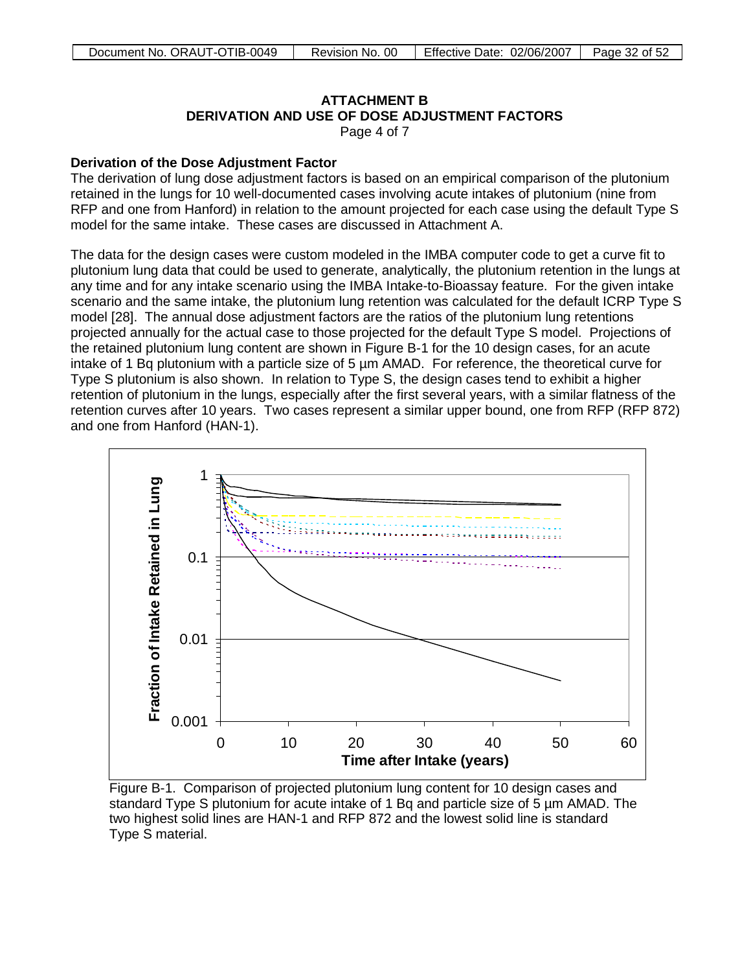# **ATTACHMENT B Derivation and Use of Dose Adjustment Factors DERIVATION AND USE OF DOSE ADJUSTMENT FACTORS**

Page 4 of 7

## **Derivation of the Dose Adjustment Factor**

The derivation of lung dose adjustment factors is based on an empirical comparison of the plutonium retained in the lungs for 10 well-documented cases involving acute intakes of plutonium (nine from RFP and one from Hanford) in relation to the amount projected for each case using the default Type S model for the same intake. These cases are discussed in Attachment A.

The data for the design cases were custom modeled in the IMBA computer code to get a curve fit to plutonium lung data that could be used to generate, analytically, the plutonium retention in the lungs at any time and for any intake scenario using the IMBA Intake-to-Bioassay feature. For the given intake scenario and the same intake, the plutonium lung retention was calculated for the default ICRP Type S model [28]. The annual dose adjustment factors are the ratios of the plutonium lung retentions projected annually for the actual case to those projected for the default Type S model. Projections of the retained plutonium lung content are shown in Figure B-1 for the 10 design cases, for an acute intake of 1 Bq plutonium with a particle size of 5 µm AMAD. For reference, the theoretical curve for Type S plutonium is also shown. In relation to Type S, the design cases tend to exhibit a higher retention of plutonium in the lungs, especially after the first several years, with a similar flatness of the retention curves after 10 years. Two cases represent a similar upper bound, one from RFP (RFP 872) and one from Hanford (HAN-1).



Figure B-1. Comparison of projected plutonium lung content for 10 design cases and standard Type S plutonium for acute intake of 1 Bq and particle size of 5 µm AMAD. The two highest solid lines are HAN-1 and RFP 872 and the lowest solid line is standard Type S material.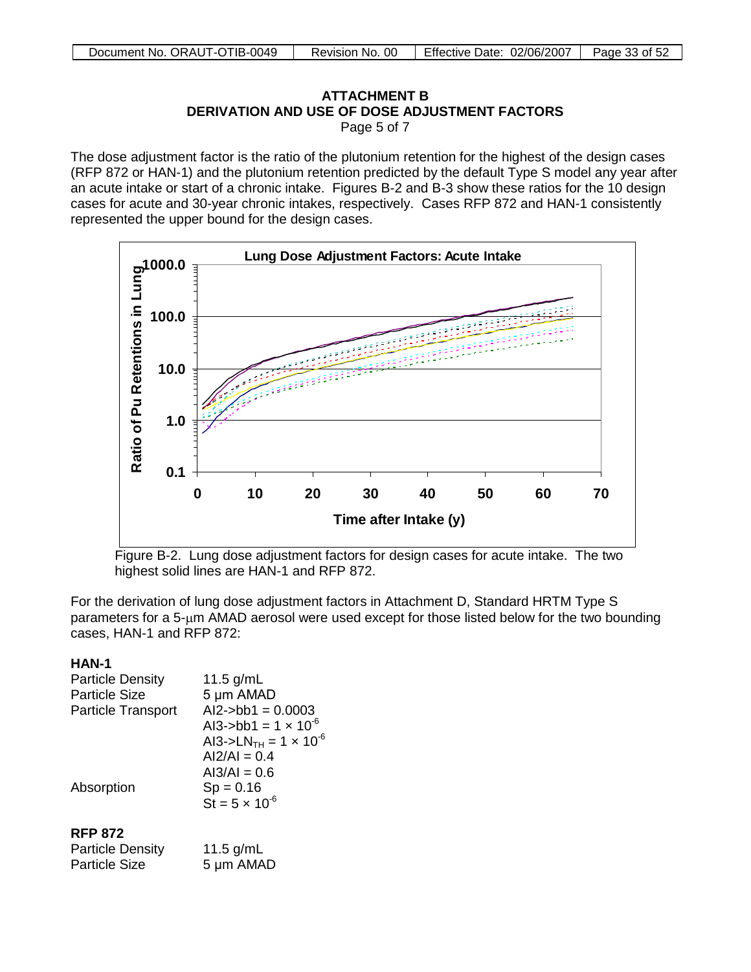# **ATTACHMENT B DERIVATION AND USE OF DOSE ADJUSTMENT FACTORS** Page 5 of 7

The dose adjustment factor is the ratio of the plutonium retention for the highest of the design cases (RFP 872 or HAN-1) and the plutonium retention predicted by the default Type S model any year after an acute intake or start of a chronic intake. Figures B-2 and B-3 show these ratios for the 10 design cases for acute and 30-year chronic intakes, respectively. Cases RFP 872 and HAN-1 consistently represented the upper bound for the design cases.



Figure B-2. Lung dose adjustment factors for design cases for acute intake. The two highest solid lines are HAN-1 and RFP 872.

For the derivation of lung dose adjustment factors in Attachment D, Standard HRTM Type S parameters for a 5-µm AMAD aerosol were used except for those listed below for the two bounding cases, HAN-1 and RFP 872:

# **HAN-1**

| <b>Particle Density</b>   | 11.5 $g/mL$                                |
|---------------------------|--------------------------------------------|
| <b>Particle Size</b>      | 5 µm AMAD                                  |
| <b>Particle Transport</b> | $Al2$ ->bb1 = 0.0003                       |
|                           | Al3->bb1 = $1 \times 10^{-6}$              |
|                           | AI3->LN <sub>TH</sub> = $1 \times 10^{-6}$ |
|                           | $Al2/Al = 0.4$                             |
|                           | $A13/AI = 0.6$                             |
| Absorption                | $Sp = 0.16$                                |
|                           | $St = 5 \times 10^{-6}$                    |
| <b>RFP 872</b>            |                                            |
| Particle Density          | 11 5 $\alpha$ /ml                          |

| Particle Density | 11.5 $g/mL$ |
|------------------|-------------|
| Particle Size    | 5 µm AMAD   |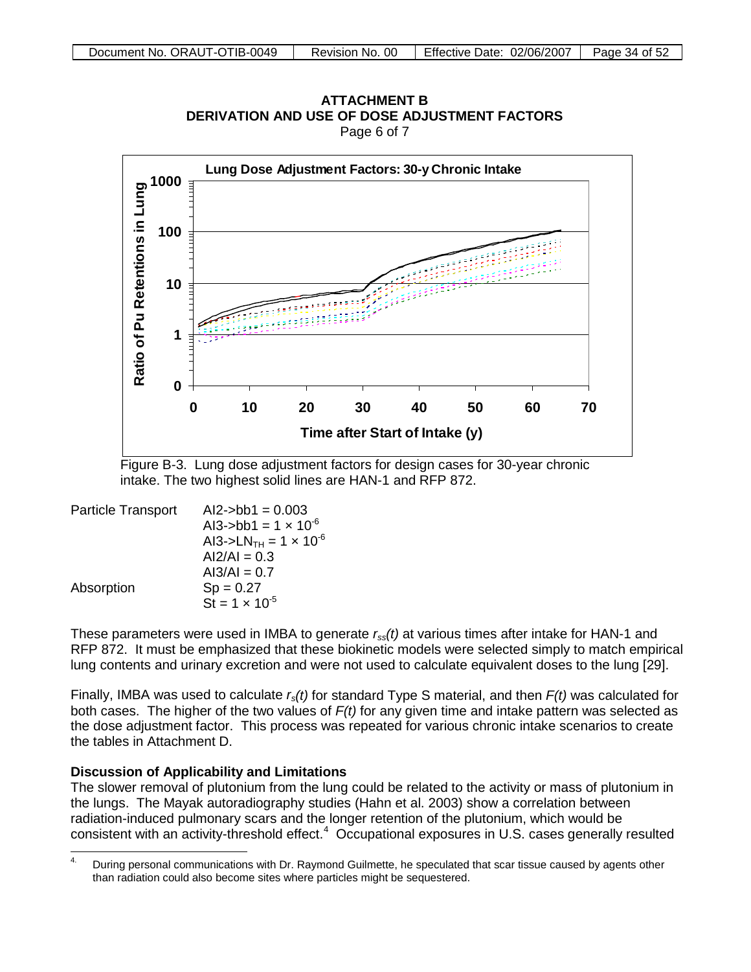

**ATTACHMENT B** DERIVATION AND USE OF DOSE ADJ USTMENT FACTORS **DERIVATION AND USE OF DOSE ADJUSTMENT FACTORS**

Page 6 of 7

Figure B-3. Lung dose adjustment factors for design cases for 30-year chronic intake. The two highest solid lines are HAN-1 and RFP 872.

| $Al2$ ->bb1 = 0.003                        |
|--------------------------------------------|
| Al3->bb1 = $1 \times 10^{-6}$              |
| AI3->LN <sub>TH</sub> = $1 \times 10^{-6}$ |
| $Al2/Al = 0.3$                             |
| $AI3/AI = 0.7$                             |
| $Sp = 0.27$                                |
| $St = 1 \times 10^{-5}$                    |
|                                            |

These parameters were used in IMBA to generate *rss(t)* at various times after intake for HAN-1 and RFP 872. It must be emphasized that these biokinetic models were selected simply to match empirical lung contents and urinary excretion and were not used to calculate equivalent doses to the lung [29].

Finally, IMBA was used to calculate *rs(t)* for standard Type S material, and then *F(t)* was calculated for both cases. The higher of the two values of *F(t)* for any given time and intake pattern was selected as the dose adjustment factor. This process was repeated for various chronic intake scenarios to create the tables in Attachment D.

# **Discussion of Applicability and Limitations**

The slower removal of plutonium from the lung could be related to the activity or mass of plutonium in the lungs. The Mayak autoradiography studies (Hahn et al. 2003) show a correlation between radiation-induced pulmonary scars and the longer retention of the plutonium, which would be consistent with an activity-threshold effect.<sup>[4](#page-33-0)</sup> Occupational exposures in U.S. cases generally resulted

<span id="page-33-0"></span> $\overline{4}$ 4. During personal communications with Dr. Raymond Guilmette, he speculated that scar tissue caused by agents other than radiation could also become sites where particles might be sequestered.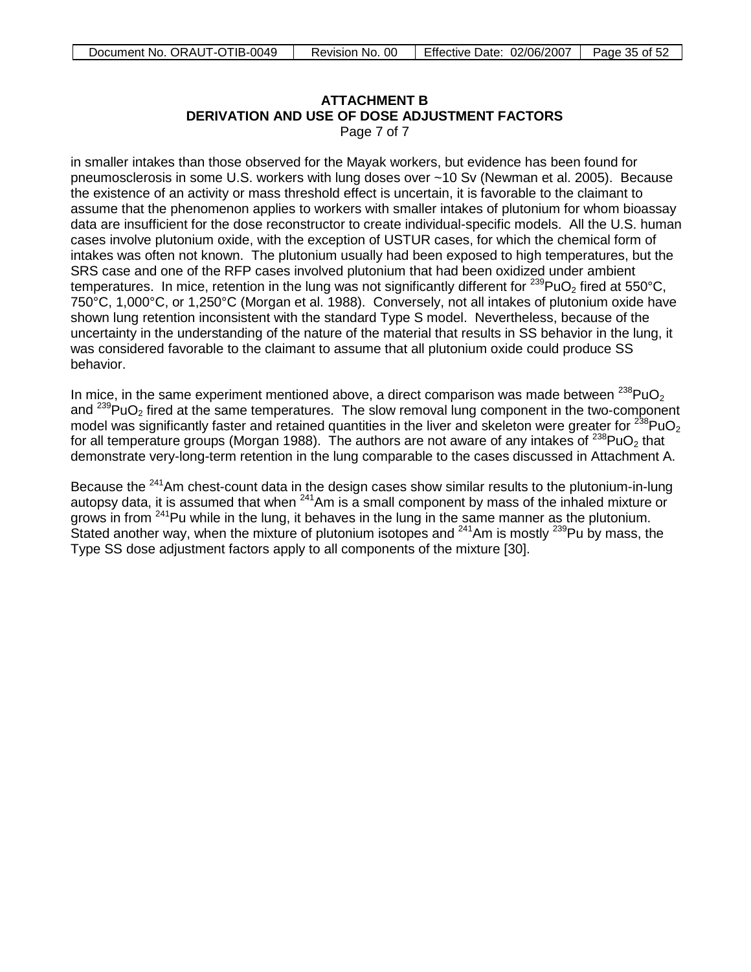# **ATTACHMENT B DERIVATION AND USE OF DOSE ADJUSTMENT FACTORS**

Page 7 of 7

in smaller intakes than those observed for the Mayak workers, but evidence has been found for pneumosclerosis in some U.S. workers with lung doses over ~10 Sv (Newman et al. 2005). Because the existence of an activity or mass threshold effect is uncertain, it is favorable to the claimant to assume that the phenomenon applies to workers with smaller intakes of plutonium for whom bioassay data are insufficient for the dose reconstructor to create individual-specific models. All the U.S. human cases involve plutonium oxide, with the exception of USTUR cases, for which the chemical form of intakes was often not known. The plutonium usually had been exposed to high temperatures, but the SRS case and one of the RFP cases involved plutonium that had been oxidized under ambient temperatures. In mice, retention in the lung was not significantly different for  $^{239}$ PuO<sub>2</sub> fired at 550°C, 750°C, 1,000°C, or 1,250°C (Morgan et al. 1988). Conversely, not all intakes of plutonium oxide have shown lung retention inconsistent with the standard Type S model. Nevertheless, because of the uncertainty in the understanding of the nature of the material that results in SS behavior in the lung, it was considered favorable to the claimant to assume that all plutonium oxide could produce SS behavior.

In mice, in the same experiment mentioned above, a direct comparison was made between  $^{238}$ PuO<sub>2</sub> and  $^{239}$ PuO<sub>2</sub> fired at the same temperatures. The slow removal lung component in the two-component model was significantly faster and retained quantities in the liver and skeleton were greater for  $^{238}PuO<sub>2</sub>$ for all temperature groups (Morgan 1988). The authors are not aware of any intakes of  $^{238}$ PuO<sub>2</sub> that demonstrate very-long-term retention in the lung comparable to the cases discussed in Attachment A.

Because the <sup>241</sup>Am chest-count data in the design cases show similar results to the plutonium-in-lung autopsy data, it is assumed that when  $241$ Am is a small component by mass of the inhaled mixture or grows in from  $241$ Pu while in the lung, it behaves in the lung in the same manner as the plutonium. Stated another way, when the mixture of plutonium isotopes and  $241$ Am is mostly  $239$ Pu by mass, the Type SS dose adjustment factors apply to all components of the mixture [30].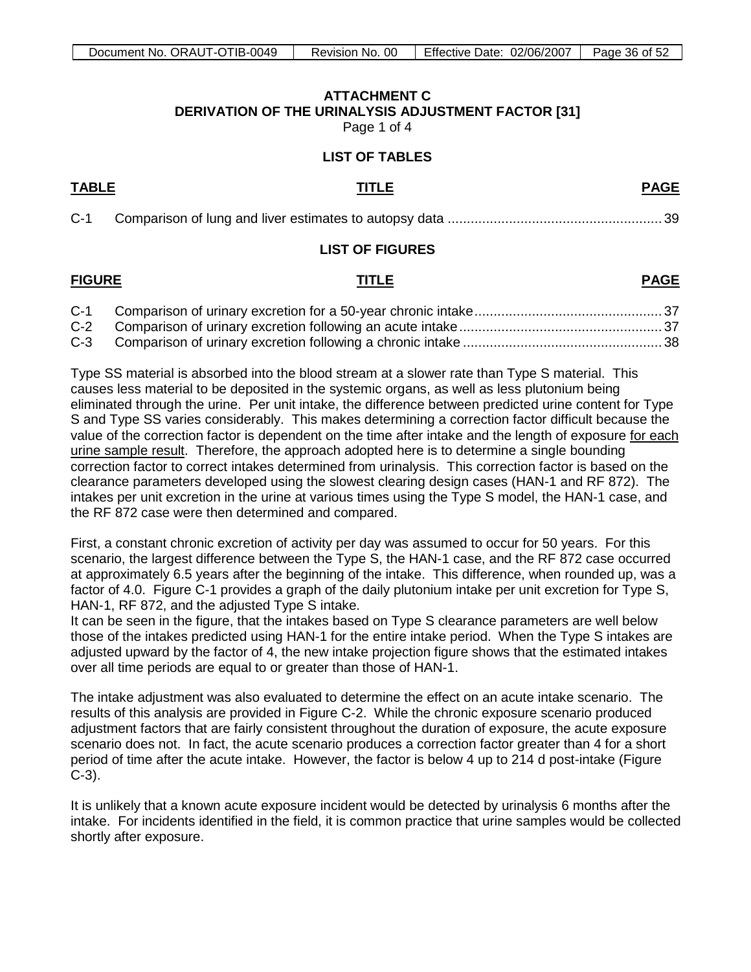# **ATTACHMENT C DERIVATION OF THE URINALYSIS ADJUSTMENT FACTOR [31]**

Page 1 of 4

## **LIST OF TABLES**

# <span id="page-35-0"></span>**TABLE TITLE PAGE**

| $C-1$ |  |  |
|-------|--|--|
|-------|--|--|

# **LIST OF FIGURES**

# **FIGURE TITLE PAGE**

Type SS material is absorbed into the blood stream at a slower rate than Type S material. This causes less material to be deposited in the systemic organs, as well as less plutonium being eliminated through the urine. Per unit intake, the difference between predicted urine content for Type S and Type SS varies considerably. This makes determining a correction factor difficult because the value of the correction factor is dependent on the time after intake and the length of exposure for each urine sample result. Therefore, the approach adopted here is to determine a single bounding correction factor to correct intakes determined from urinalysis. This correction factor is based on the clearance parameters developed using the slowest clearing design cases (HAN-1 and RF 872). The intakes per unit excretion in the urine at various times using the Type S model, the HAN-1 case, and the RF 872 case were then determined and compared.

First, a constant chronic excretion of activity per day was assumed to occur for 50 years. For this scenario, the largest difference between the Type S, the HAN-1 case, and the RF 872 case occurred at approximately 6.5 years after the beginning of the intake. This difference, when rounded up, was a factor of 4.0. Figure C-1 provides a graph of the daily plutonium intake per unit excretion for Type S, HAN-1, RF 872, and the adjusted Type S intake.

It can be seen in the figure, that the intakes based on Type S clearance parameters are well below those of the intakes predicted using HAN-1 for the entire intake period. When the Type S intakes are adjusted upward by the factor of 4, the new intake projection figure shows that the estimated intakes over all time periods are equal to or greater than those of HAN-1.

The intake adjustment was also evaluated to determine the effect on an acute intake scenario. The results of this analysis are provided in Figure C-2. While the chronic exposure scenario produced adjustment factors that are fairly consistent throughout the duration of exposure, the acute exposure scenario does not. In fact, the acute scenario produces a correction factor greater than 4 for a short period of time after the acute intake. However, the factor is below 4 up to 214 d post-intake (Figure C-3).

It is unlikely that a known acute exposure incident would be detected by urinalysis 6 months after the intake. For incidents identified in the field, it is common practice that urine samples would be collected shortly after exposure.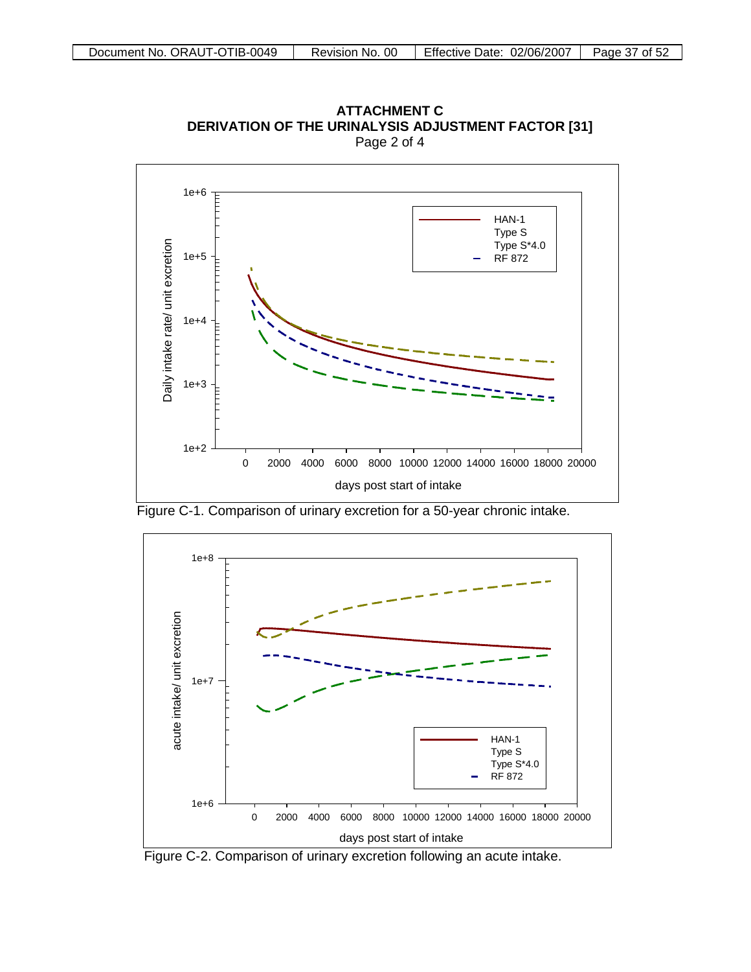

**ATTACHMENT C DERIVATION OF THE URINALYSIS ADJUSTMENT FACTOR [31]** Page 2 of 4

Figure C-1. Comparison of urinary excretion for a 50-year chronic intake.



Figure C-2. Comparison of urinary excretion following an acute intake.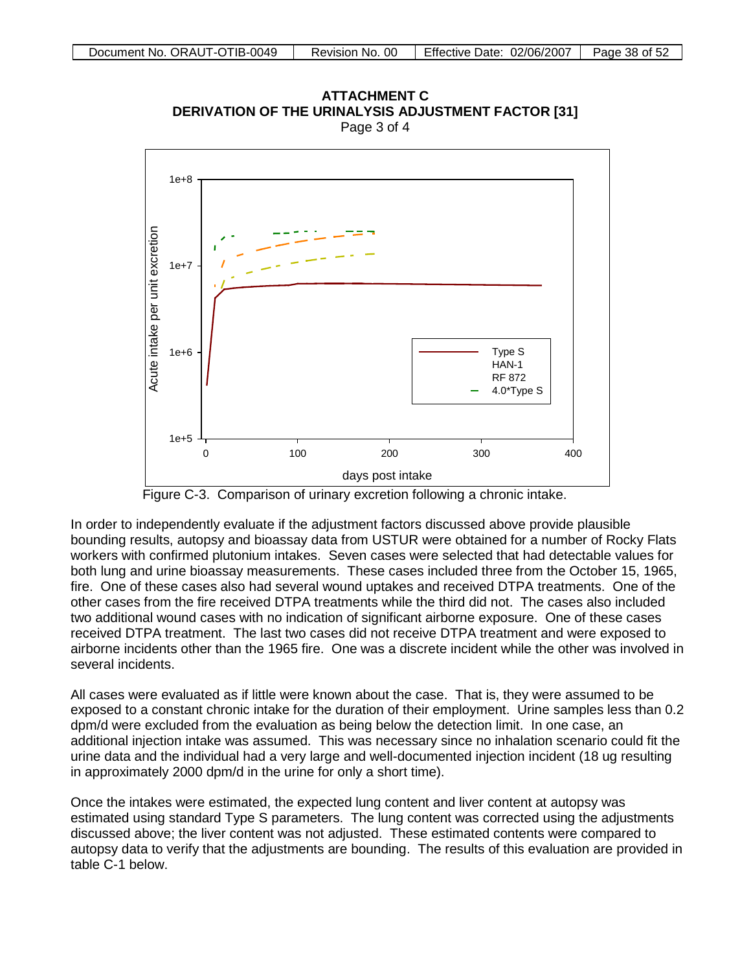

ATTACHMENT C ERIVATION OF THE URINALYSIS ADJUSTMENT FACTOR **[3** Page 3 of 4 **ATTACHMENT C<br>[31] DERIVATION OF THE URINALYSIS ADJUSTMENT FACTOR**<br>Page 3 of 4

Figure C-3. Comparison of urinary excretion following a chronic intake.

In order to independently evaluate if the adjustment factors discussed above provide plausible bounding results, autopsy and bioassay data from USTUR were obtained for a number of Rocky Flats workers with confirmed plutonium intakes. Seven cases were selected that had detectable values for both lung and urine bioassay measurements. These cases included three from the October 15, 1965, fire. One of these cases also had several wound uptakes and received DTPA treatments. One of the other cases from the fire received DTPA treatments while the third did not. The cases also included two additional wound cases with no indication of significant airborne exposure. One of these cases received DTPA treatment. The last two cases did not receive DTPA treatment and were exposed to airborne incidents other than the 1965 fire. One was a discrete incident while the other was involved in several incidents.

All cases were evaluated as if little were known about the case. That is, they were assumed to be exposed to a constant chronic intake for the duration of their employment. Urine samples less than 0.2 dpm/d were excluded from the evaluation as being below the detection limit. In one case, an additional injection intake was assumed. This was necessary since no inhalation scenario could fit the urine data and the individual had a very large and well-documented injection incident (18 ug resulting in approximately 2000 dpm/d in the urine for only a short time).

Once the intakes were estimated, the expected lung content and liver content at autopsy was estimated using standard Type S parameters. The lung content was corrected using the adjustments discussed above; the liver content was not adjusted. These estimated contents were compared to autopsy data to verify that the adjustments are bounding. The results of this evaluation are provided in table C-1 below.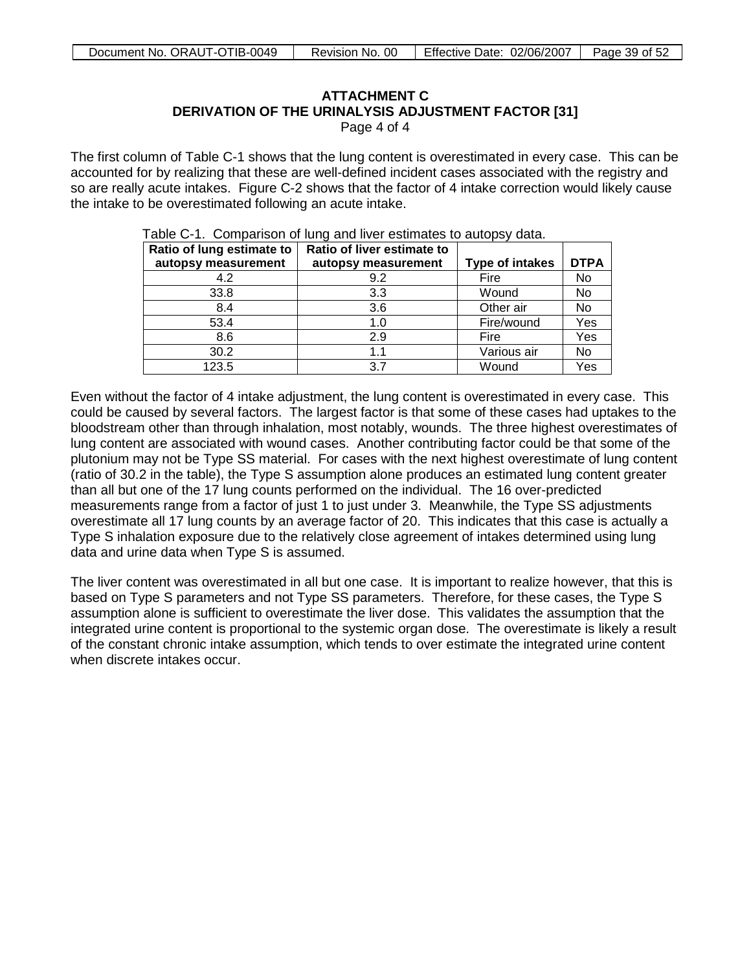# **ATTACHMENT C**

# **DERIVATION OF THE URINALYSIS ADJUSTMENT FACTOR [31]**

Page 4 of 4

The first column of Table C-1 shows that the lung content is overestimated in every case. This can be accounted for by realizing that these are well-defined incident cases associated with the registry and so are really acute intakes. Figure C-2 shows that the factor of 4 intake correction would likely cause the intake to be overestimated following an acute intake.

| Ratio of lung estimate to | Ratio of liver estimate to |                        |             |
|---------------------------|----------------------------|------------------------|-------------|
| autopsy measurement       | autopsy measurement        | <b>Type of intakes</b> | <b>DTPA</b> |
| 4.2                       | 9.2                        | Fire                   | No          |
| 33.8                      | 3.3                        | Wound                  | No          |
| 8.4                       | 3.6                        | Other air              | No          |
| 53.4                      | 1.0                        | Fire/wound             | Yes         |
| 8.6                       | 2.9                        | Fire                   | Yes         |
| 30.2                      | 1.1                        | Various air            | No          |
| 123.5                     | 3.7                        | Wound                  | Yes         |

Table C-1. Comparison of lung and liver estimates to autopsy data.

Even without the factor of 4 intake adjustment, the lung content is overestimated in every case. This could be caused by several factors. The largest factor is that some of these cases had uptakes to the bloodstream other than through inhalation, most notably, wounds. The three highest overestimates of lung content are associated with wound cases. Another contributing factor could be that some of the plutonium may not be Type SS material. For cases with the next highest overestimate of lung content (ratio of 30.2 in the table), the Type S assumption alone produces an estimated lung content greater than all but one of the 17 lung counts performed on the individual. The 16 over-predicted measurements range from a factor of just 1 to just under 3. Meanwhile, the Type SS adjustments overestimate all 17 lung counts by an average factor of 20. This indicates that this case is actually a Type S inhalation exposure due to the relatively close agreement of intakes determined using lung data and urine data when Type S is assumed.

The liver content was overestimated in all but one case. It is important to realize however, that this is based on Type S parameters and not Type SS parameters. Therefore, for these cases, the Type S assumption alone is sufficient to overestimate the liver dose. This validates the assumption that the integrated urine content is proportional to the systemic organ dose. The overestimate is likely a result of the constant chronic intake assumption, which tends to over estimate the integrated urine content when discrete intakes occur.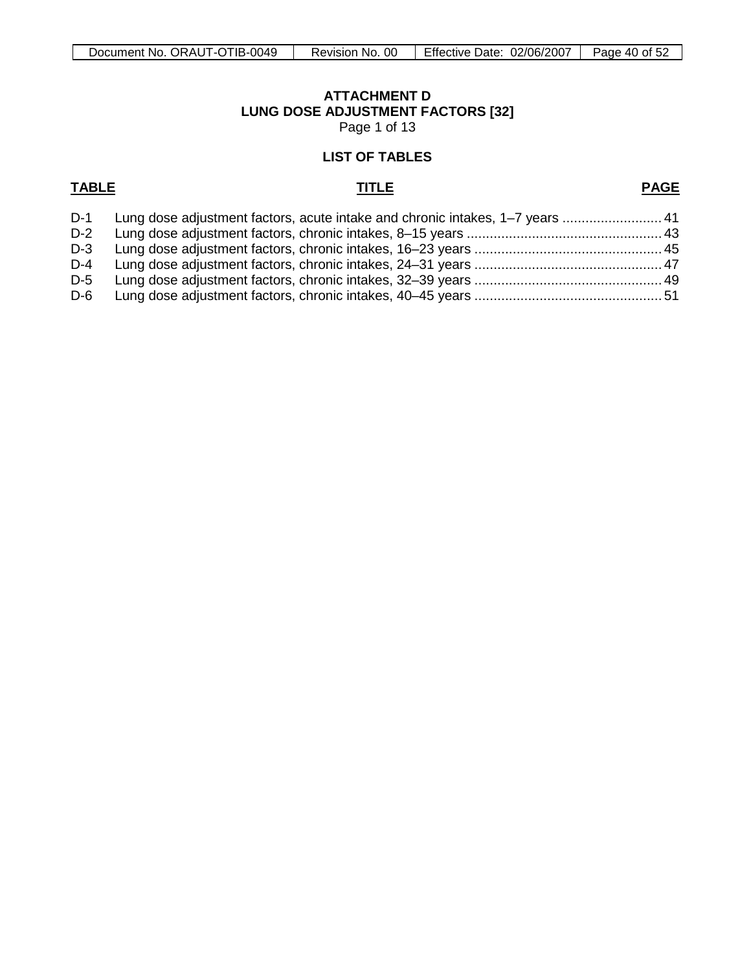# **ATTACHMENT D LUNG DOSE ADJUSTMENT FACTORS [32]**

Page 1 of 13

# **LIST OF TABLES**

# <span id="page-39-0"></span>**TABLE TITLE**

# **PAGE**

|     | D-1 Lung dose adjustment factors, acute intake and chronic intakes, 1–7 years  41 |  |
|-----|-----------------------------------------------------------------------------------|--|
| D-2 |                                                                                   |  |
|     |                                                                                   |  |
| D-4 |                                                                                   |  |
|     |                                                                                   |  |
|     |                                                                                   |  |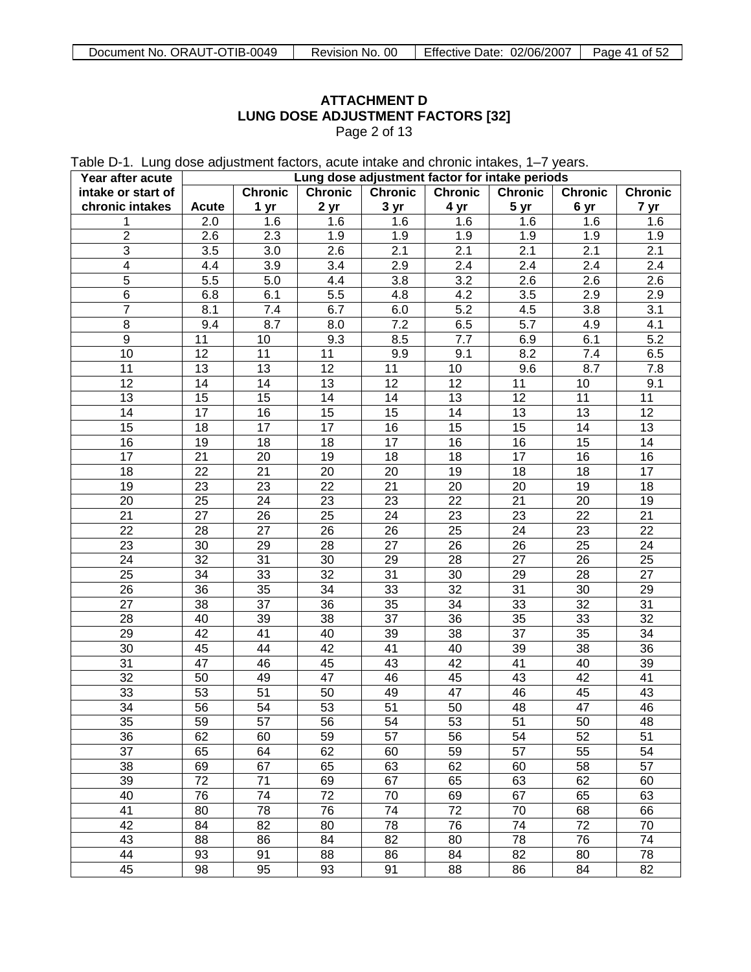# **ATTACHMENT D LUNG DOSE ADJUSTMENT FACTORS [32]**

Page 2 of 13

Table D-1. Lung dose adjustment factors, acute intake and chronic intakes, 1–7 years.

| Year after acute   |                  |                 |                  |                  | Lung dose adjustment factor for intake periods |                  |                  |                  |
|--------------------|------------------|-----------------|------------------|------------------|------------------------------------------------|------------------|------------------|------------------|
| intake or start of |                  | <b>Chronic</b>  | <b>Chronic</b>   | <b>Chronic</b>   | <b>Chronic</b>                                 | <b>Chronic</b>   | <b>Chronic</b>   | <b>Chronic</b>   |
| chronic intakes    | <b>Acute</b>     | 1 yr            | 2 yr             | 3 yr             | 4 yr                                           | 5 yr             | 6 yr             | 7 yr             |
| 1                  | 2.0              | 1.6             | $1.\overline{6}$ | 1.6              | 1.6                                            | 1.6              | 1.6              | 1.6              |
| $\overline{2}$     | 2.6              | 2.3             | 1.9              | 1.9              | 1.9                                            | 1.9              | 1.9              | 1.9              |
| $\overline{3}$     | $\overline{3.5}$ | 3.0             | 2.6              | $\overline{2.1}$ | 2.1                                            | 2.1              | 2.1              | 2.1              |
| $\overline{4}$     | 4.4              | 3.9             | 3.4              | $\overline{2.9}$ | 2.4                                            | 2.4              | $\overline{2.4}$ | $\overline{2.4}$ |
| $\overline{5}$     | $\overline{5.5}$ | 5.0             | 4.4              | $\overline{3.8}$ | $\overline{3.2}$                               | $\overline{2.6}$ | $\overline{2.6}$ | $\overline{2.6}$ |
| $\overline{6}$     | 6.8              | 6.1             | $\overline{5.5}$ | 4.8              | 4.2                                            | $\overline{3.5}$ | $\overline{2.9}$ | $\overline{2.9}$ |
| $\overline{7}$     | 8.1              | 7.4             | 6.7              | 6.0              | $\overline{5.2}$                               | 4.5              | 3.8              | 3.1              |
| $\overline{8}$     | 9.4              | 8.7             | 8.0              | $\overline{7.2}$ | 6.5                                            | $\overline{5.7}$ | 4.9              | 4.1              |
| $\overline{9}$     | $\overline{11}$  | 10              | 9.3              | 8.5              | 7.7                                            | 6.9              | 6.1              | $\overline{5.2}$ |
| $\overline{10}$    | $\overline{12}$  | $\overline{11}$ | $\overline{11}$  | 9.9              | 9.1                                            | 8.2              | $\overline{7.4}$ | 6.5              |
| $\overline{11}$    | $\overline{13}$  | $\overline{13}$ | $\overline{12}$  | $\overline{11}$  | 10                                             | 9.6              | 8.7              | 7.8              |
| $\overline{12}$    | 14               | $\overline{14}$ | $\overline{13}$  | 12               | 12                                             | 11               | 10               | 9.1              |
| $\overline{13}$    | $\overline{15}$  | $\overline{15}$ | 14               | 14               | $\overline{13}$                                | 12               | $\overline{11}$  | 11               |
| $\overline{14}$    | 17               | $\overline{16}$ | $\overline{15}$  | $\overline{15}$  | $\overline{14}$                                | 13               | $\overline{13}$  | $\overline{12}$  |
| $\overline{15}$    | 18               | 17              | 17               | $\overline{16}$  | $\overline{15}$                                | 15               | 14               | 13               |
| 16                 | $\overline{19}$  | $\overline{18}$ | 18               | 17               | $\overline{16}$                                | 16               | 15               | 14               |
| $\overline{17}$    | $\overline{21}$  | $\overline{20}$ | $\overline{19}$  | $\overline{18}$  | $\overline{18}$                                | 17               | $\overline{16}$  | 16               |
| $\overline{18}$    | $\overline{22}$  | $\overline{21}$ | 20               | $\overline{20}$  | $\overline{19}$                                | $\overline{18}$  | 18               | $\overline{17}$  |
| $\overline{19}$    | $\overline{23}$  | $\overline{23}$ | $\overline{22}$  | $\overline{21}$  | $\overline{20}$                                | $\overline{20}$  | $\overline{19}$  | 18               |
| 20                 | $\overline{25}$  | $\overline{24}$ | $\overline{23}$  | $\overline{23}$  | $\overline{22}$                                | $\overline{21}$  | 20               | 19               |
| $\overline{21}$    | $\overline{27}$  | $\overline{26}$ | $\overline{25}$  | $\overline{24}$  | $\overline{23}$                                | $\overline{23}$  | $\overline{22}$  | 21               |
| $\overline{22}$    | $\overline{28}$  | $\overline{27}$ | 26               | $\overline{26}$  | $\overline{25}$                                | $\overline{24}$  | $\overline{23}$  | 22               |
| $\overline{23}$    | $\overline{30}$  | $\overline{29}$ | 28               | $\overline{27}$  | $\overline{26}$                                | $\overline{26}$  | $\overline{25}$  | 24               |
| $\overline{24}$    | $\overline{32}$  | $\overline{31}$ | 30               | $\overline{29}$  | $\overline{28}$                                | $\overline{27}$  | 26               | 25               |
| $\overline{25}$    | $\overline{34}$  | 33              | $\overline{32}$  | $\overline{31}$  | $\overline{30}$                                | $\overline{29}$  | 28               | $\overline{27}$  |
| $\overline{26}$    | $\overline{36}$  | 35              | $\overline{34}$  | 33               | $\overline{32}$                                | $\overline{31}$  | 30               | 29               |
| $\overline{27}$    | $\overline{38}$  | $\overline{37}$ | 36               | $\overline{35}$  | $\overline{34}$                                | 33               | $\overline{32}$  | 31               |
| $\overline{28}$    | 40               | 39              | 38               | $\overline{37}$  | $\overline{36}$                                | 35               | 33               | 32               |
| $\overline{29}$    | $\overline{42}$  | $\overline{41}$ | 40               | 39               | $\overline{38}$                                | $\overline{37}$  | $\overline{35}$  | 34               |
| $\overline{30}$    | 45               | 44              | $\overline{42}$  | $\overline{41}$  | 40                                             | 39               | 38               | 36               |
| $\overline{31}$    | $\overline{47}$  | 46              | 45               | 43               | 42                                             | 41               | 40               | 39               |
| $\overline{32}$    | $\overline{50}$  | 49              | $\overline{47}$  | 46               | 45                                             | 43               | 42               | 41               |
| 33                 | 53               | $\overline{51}$ | 50               | 49               | 47                                             | 46               | 45               | 43               |
| $\overline{34}$    | $\overline{56}$  | 54              | 53               | 51               | $\overline{50}$                                | 48               | $\overline{47}$  | 46               |
| 35                 | 59               | 57              | 56               | 54               | 53                                             | $\overline{51}$  | 50               | 48               |
| 36                 | 62               | 60              | 59               | 57               | 56                                             | 54               | 52               | 51               |
| $\overline{37}$    | 65               | 64              | 62               | 60               | 59                                             | 57               | 55               | 54               |
| 38                 | 69               | 67              | 65               | 63               | 62                                             | 60               | 58               | 57               |
| 39                 | $\overline{72}$  | $\overline{71}$ | 69               | 67               | 65                                             | 63               | 62               | 60               |
| 40                 | $\overline{76}$  | $\overline{74}$ | $\overline{72}$  | 70               | 69                                             | 67               | 65               | 63               |
| 41                 | 80               | $\overline{78}$ | $\overline{76}$  | 74               | $\overline{72}$                                | 70               | 68               | 66               |
| 42                 | 84               | 82              | 80               | 78               | 76                                             | 74               | 72               | 70               |
| 43                 | 88               | 86              | 84               | 82               | 80                                             | 78               | 76               | 74               |
| 44                 | 93               | 91              | 88               | 86               | 84                                             | 82               | 80               | 78               |
| 45                 | 98               | 95              | 93               | 91               | 88                                             | 86               | 84               | 82               |
|                    |                  |                 |                  |                  |                                                |                  |                  |                  |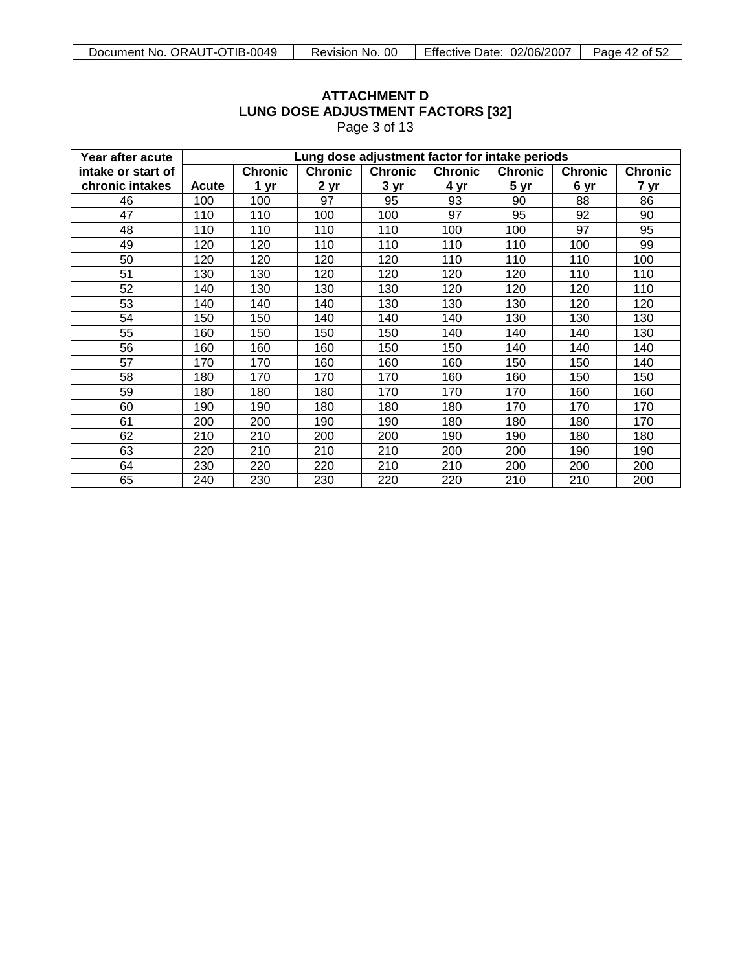| Year after acute   |       | Lung dose adjustment factor for intake periods |                |                |                |                |                |                |  |  |
|--------------------|-------|------------------------------------------------|----------------|----------------|----------------|----------------|----------------|----------------|--|--|
| intake or start of |       | <b>Chronic</b>                                 | <b>Chronic</b> | <b>Chronic</b> | <b>Chronic</b> | <b>Chronic</b> | <b>Chronic</b> | <b>Chronic</b> |  |  |
| chronic intakes    | Acute | 1 yr                                           | 2 yr           | 3 yr           | 4 yr           | 5 yr           | 6 yr           | 7 yr           |  |  |
| 46                 | 100   | 100                                            | 97             | 95             | 93             | 90             | 88             | 86             |  |  |
| 47                 | 110   | 110                                            | 100            | 100            | 97             | 95             | 92             | 90             |  |  |
| 48                 | 110   | 110                                            | 110            | 110            | 100            | 100            | 97             | 95             |  |  |
| 49                 | 120   | 120                                            | 110            | 110            | 110            | 110            | 100            | 99             |  |  |
| 50                 | 120   | 120                                            | 120            | 120            | 110            | 110            | 110            | 100            |  |  |
| 51                 | 130   | 130                                            | 120            | 120            | 120            | 120            | 110            | 110            |  |  |
| 52                 | 140   | 130                                            | 130            | 130            | 120            | 120            | 120            | 110            |  |  |
| 53                 | 140   | 140                                            | 140            | 130            | 130            | 130            | 120            | 120            |  |  |
| 54                 | 150   | 150                                            | 140            | 140            | 140            | 130            | 130            | 130            |  |  |
| 55                 | 160   | 150                                            | 150            | 150            | 140            | 140            | 140            | 130            |  |  |
| 56                 | 160   | 160                                            | 160            | 150            | 150            | 140            | 140            | 140            |  |  |
| 57                 | 170   | 170                                            | 160            | 160            | 160            | 150            | 150            | 140            |  |  |
| 58                 | 180   | 170                                            | 170            | 170            | 160            | 160            | 150            | 150            |  |  |
| 59                 | 180   | 180                                            | 180            | 170            | 170            | 170            | 160            | 160            |  |  |
| 60                 | 190   | 190                                            | 180            | 180            | 180            | 170            | 170            | 170            |  |  |
| 61                 | 200   | 200                                            | 190            | 190            | 180            | 180            | 180            | 170            |  |  |
| 62                 | 210   | 210                                            | 200            | 200            | 190            | 190            | 180            | 180            |  |  |
| 63                 | 220   | 210                                            | 210            | 210            | 200            | 200            | 190            | 190            |  |  |
| 64                 | 230   | 220                                            | 220            | 210            | 210            | 200            | 200            | 200            |  |  |
| 65                 | 240   | 230                                            | 230            | 220            | 220            | 210            | 210            | 200            |  |  |

# **ATTACHMENT D LUNG DOSE ADJUSTMENT FACTORS [32]**

Page 3 of 13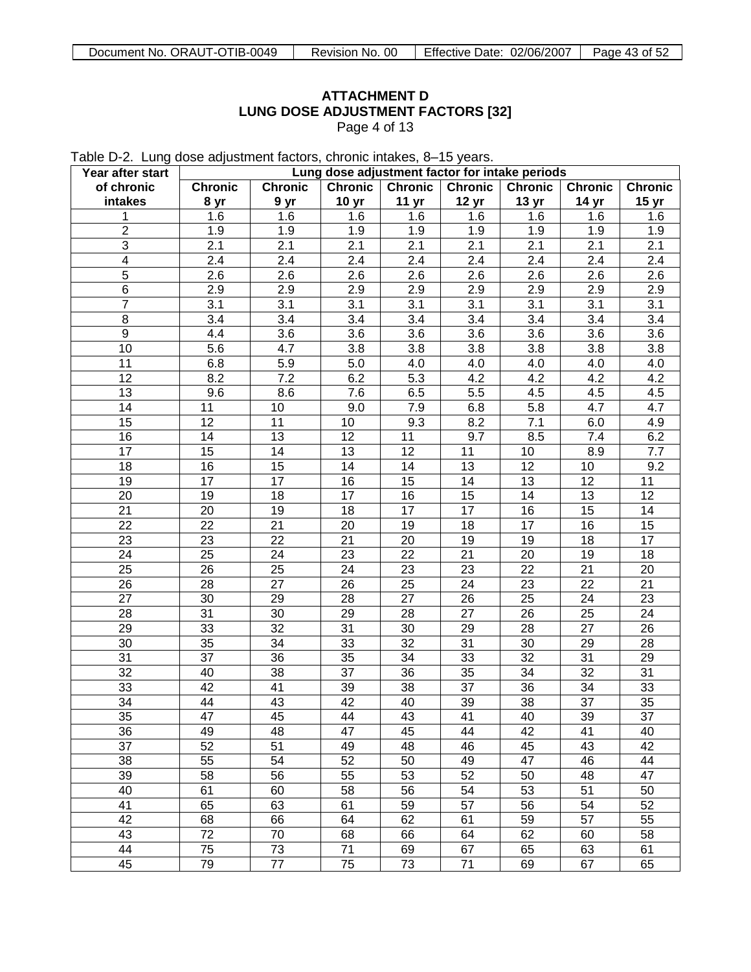# **ATTACHMENT D LUNG DOSE ADJUSTMENT FACTORS [32]** Page 4 of 13

Table D-2. Lung dose adjustment factors, chronic intakes, 8–15 years.

| Year after start        |                |                |                  |                  | Lung dose adjustment factor for intake periods |                  |                |                  |
|-------------------------|----------------|----------------|------------------|------------------|------------------------------------------------|------------------|----------------|------------------|
| of chronic              | <b>Chronic</b> | <b>Chronic</b> | <b>Chronic</b>   | <b>Chronic</b>   | <b>Chronic</b>                                 | <b>Chronic</b>   | <b>Chronic</b> | <b>Chronic</b>   |
| intakes                 | 8 yr           | 9 yr           | 10 <sub>yr</sub> | 11 <sub>yr</sub> | 12 <sub>yr</sub>                               | 13 <sub>yr</sub> | 14 yr          | 15 <sub>yr</sub> |
| 1                       | 1.6            | 1.6            | 1.6              | 1.6              | 1.6                                            | 1.6              | 1.6            | 1.6              |
| $\overline{2}$          | 1.9            | 1.9            | 1.9              | 1.9              | 1.9                                            | 1.9              | 1.9            | 1.9              |
| $\overline{3}$          | 2.1            | 2.1            | 2.1              | 2.1              | 2.1                                            | 2.1              | 2.1            | 2.1              |
| $\overline{\mathbf{4}}$ | 2.4            | 2.4            | 2.4              | 2.4              | 2.4                                            | 2.4              | 2.4            | 2.4              |
| 5                       | 2.6            | 2.6            | 2.6              | 2.6              | 2.6                                            | 2.6              | 2.6            | 2.6              |
| 6                       | 2.9            | 2.9            | 2.9              | $\overline{2.9}$ | 2.9                                            | 2.9              | 2.9            | 2.9              |
| $\overline{7}$          | 3.1            | 3.1            | 3.1              | 3.1              | 3.1                                            | 3.1              | 3.1            | 3.1              |
| 8                       | 3.4            | 3.4            | 3.4              | 3.4              | 3.4                                            | 3.4              | 3.4            | 3.4              |
| 9                       | 4.4            | 3.6            | 3.6              | 3.6              | 3.6                                            | 3.6              | 3.6            | 3.6              |
| 10                      | 5.6            | 4.7            | 3.8              | 3.8              | 3.8                                            | 3.8              | 3.8            | 3.8              |
| 11                      | 6.8            | 5.9            | 5.0              | 4.0              | 4.0                                            | 4.0              | 4.0            | 4.0              |
| 12                      | 8.2            | 7.2            | 6.2              | 5.3              | 4.2                                            | 4.2              | 4.2            | 4.2              |
| 13                      | 9.6            | 8.6            | 7.6              | 6.5              | 5.5                                            | 4.5              | 4.5            | 4.5              |
| 14                      | 11             | 10             | 9.0              | 7.9              | 6.8                                            | 5.8              | 4.7            | 4.7              |
| 15                      | 12             | 11             | 10               | 9.3              | 8.2                                            | 7.1              | 6.0            | 4.9              |
| 16                      | 14             | 13             | 12               | 11               | 9.7                                            | 8.5              | 7.4            | 6.2              |
| 17                      | 15             | 14             | 13               | 12               | 11                                             | 10               | 8.9            | 7.7              |
| 18                      | 16             | 15             | 14               | 14               | 13                                             | 12               | 10             | 9.2              |
| 19                      | 17             | 17             | 16               | 15               | 14                                             | 13               | 12             | 11               |
| 20                      | 19             | 18             | 17               | 16               | 15                                             | 14               | 13             | 12               |
| 21                      | 20             | 19             | 18               | 17               | 17                                             | 16               | 15             | 14               |
| 22                      | 22             | 21             | 20               | 19               | 18                                             | 17               | 16             | 15               |
| 23                      | 23             | 22             | 21               | 20               | 19                                             | 19               | 18             | 17               |
| 24                      | 25             | 24             | 23               | 22               | 21                                             | 20               | 19             | 18               |
| 25                      | 26             | 25             | 24               | 23               | 23                                             | 22               | 21             | 20               |
| 26                      | 28             | 27             | 26               | 25               | 24                                             | 23               | 22             | 21               |
| 27                      | 30             | 29             | 28               | 27               | 26                                             | 25               | 24             | 23               |
| 28                      | 31             | 30             | 29               | 28               | 27                                             | 26               | 25             | 24               |
| 29                      | 33             | 32             | 31               | 30               | 29                                             | 28               | 27             | 26               |
| 30                      | 35             | 34             | 33               | 32               | 31                                             | 30               | 29             | 28               |
| 31                      | 37             | 36             | 35               | 34               | 33                                             | 32               | 31             | 29               |
| 32                      | 40             | 38             | 37               | 36               | 35                                             | 34               | 32             | 31               |
| 33                      | 42             | 41             | 39               | 38               | 37                                             | 36               | 34             | 33               |
| 34                      | 44             | 43             | 42               | 40               | 39                                             | 38               | 37             | 35               |
| $\overline{35}$         | 47             | 45             | 44               | 43               | 41                                             | 40               | 39             | $\overline{37}$  |
| 36                      | 49             | 48             | 47               | 45               | 44                                             | 42               | 41             | 40               |
| 37                      | 52             | 51             | 49               | 48               | 46                                             | 45               | 43             | 42               |
| 38                      | 55             | 54             | 52               | 50               | 49                                             | 47               | 46             | 44               |
| 39                      | 58             | 56             | 55               | 53               | 52                                             | 50               | 48             | 47               |
| 40                      | 61             | 60             | 58               | 56               | 54                                             | 53               | 51             | 50               |
| 41                      | 65             | 63             | 61               | 59               | 57                                             | 56               | 54             | 52               |
| 42                      | 68             | 66             | 64               | 62               | 61                                             | 59               | 57             | 55               |
| 43                      | 72             | 70             | 68               | 66               | 64                                             | 62               | 60             | 58               |
| 44                      | 75             | 73             | 71               | 69               | 67                                             | 65               | 63             | 61               |
| 45                      | 79             | 77             | 75               | 73               | 71                                             | 69               | 67             | 65               |
|                         |                |                |                  |                  |                                                |                  |                |                  |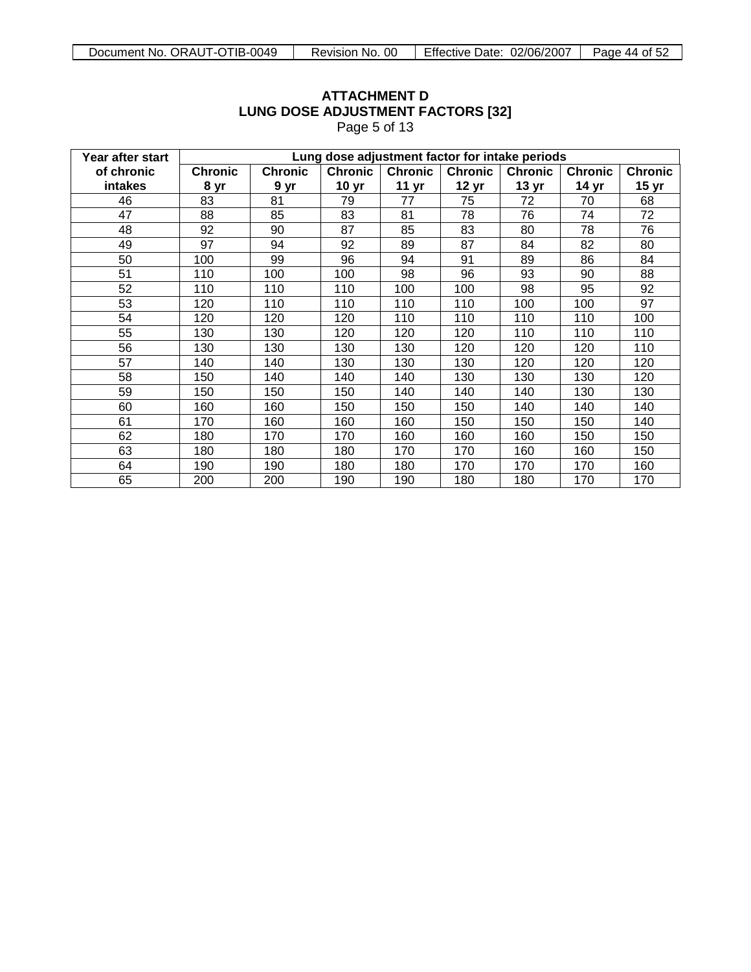| Year after start |                | Lung dose adjustment factor for intake periods |                  |                  |                  |                  |                |                  |  |  |  |
|------------------|----------------|------------------------------------------------|------------------|------------------|------------------|------------------|----------------|------------------|--|--|--|
| of chronic       | <b>Chronic</b> | <b>Chronic</b>                                 | <b>Chronic</b>   | <b>Chronic</b>   | <b>Chronic</b>   | <b>Chronic</b>   | <b>Chronic</b> | <b>Chronic</b>   |  |  |  |
| intakes          | 8 yr           | 9 yr                                           | 10 <sub>yr</sub> | 11 <sub>yr</sub> | 12 <sub>yr</sub> | 13 <sub>yr</sub> | 14 yr          | 15 <sub>yr</sub> |  |  |  |
| 46               | 83             | 81                                             | 79               | 77               | 75               | 72               | 70             | 68               |  |  |  |
| 47               | 88             | 85                                             | 83               | 81               | 78               | 76               | 74             | 72               |  |  |  |
| 48               | 92             | 90                                             | 87               | 85               | 83               | 80               | 78             | 76               |  |  |  |
| 49               | 97             | 94                                             | 92               | 89               | 87               | 84               | 82             | 80               |  |  |  |
| 50               | 100            | 99                                             | 96               | 94               | 91               | 89               | 86             | 84               |  |  |  |
| 51               | 110            | 100                                            | 100              | 98               | 96               | 93               | 90             | 88               |  |  |  |
| 52               | 110            | 110                                            | 110              | 100              | 100              | 98               | 95             | 92               |  |  |  |
| 53               | 120            | 110                                            | 110              | 110              | 110              | 100              | 100            | 97               |  |  |  |
| 54               | 120            | 120                                            | 120              | 110              | 110              | 110              | 110            | 100              |  |  |  |
| 55               | 130            | 130                                            | 120              | 120              | 120              | 110              | 110            | 110              |  |  |  |
| 56               | 130            | 130                                            | 130              | 130              | 120              | 120              | 120            | 110              |  |  |  |
| 57               | 140            | 140                                            | 130              | 130              | 130              | 120              | 120            | 120              |  |  |  |
| 58               | 150            | 140                                            | 140              | 140              | 130              | 130              | 130            | 120              |  |  |  |
| 59               | 150            | 150                                            | 150              | 140              | 140              | 140              | 130            | 130              |  |  |  |
| 60               | 160            | 160                                            | 150              | 150              | 150              | 140              | 140            | 140              |  |  |  |
| 61               | 170            | 160                                            | 160              | 160              | 150              | 150              | 150            | 140              |  |  |  |
| 62               | 180            | 170                                            | 170              | 160              | 160              | 160              | 150            | 150              |  |  |  |
| 63               | 180            | 180                                            | 180              | 170              | 170              | 160              | 160            | 150              |  |  |  |
| 64               | 190            | 190                                            | 180              | 180              | 170              | 170              | 170            | 160              |  |  |  |
| 65               | 200            | 200                                            | 190              | 190              | 180              | 180              | 170            | 170              |  |  |  |

# **ATTACHMENT D LUNG DOSE ADJUSTMENT FACTORS [32]** Page 5 of 13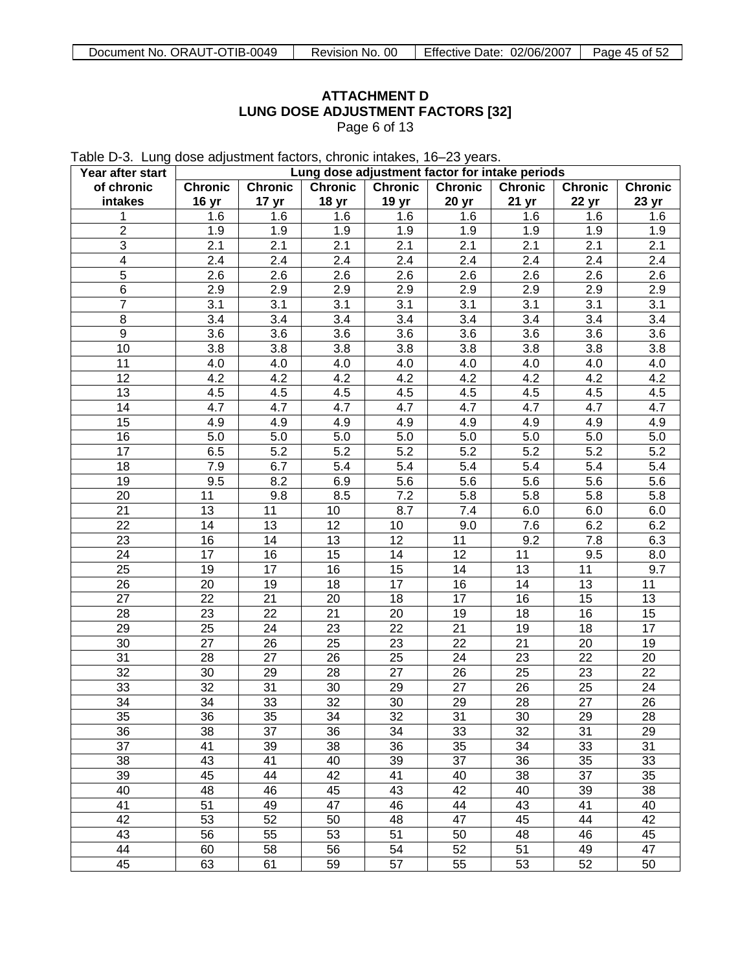# **ATTACHMENT D LUNG DOSE ADJUSTMENT FACTORS [32]** Page 6 of 13

Table D-3. Lung dose adjustment factors, chronic intakes, 16–23 years.

| Year after start | Lung dose adjustment factor for intake periods |                  |                 |                 |                |         |                |                |
|------------------|------------------------------------------------|------------------|-----------------|-----------------|----------------|---------|----------------|----------------|
| of chronic       | <b>Chronic</b>                                 | <b>Chronic</b>   | <b>Chronic</b>  | <b>Chronic</b>  | <b>Chronic</b> | Chronic | <b>Chronic</b> | <b>Chronic</b> |
| intakes          | 16 yr                                          | 17 <sub>yr</sub> | 18 yr           | 19 yr           | 20 yr          | 21 yr   | 22 yr          | 23 yr          |
| 1                | 1.6                                            | 1.6              | 1.6             | 1.6             | 1.6            | 1.6     | 1.6            | 1.6            |
| $\overline{2}$   | 1.9                                            | 1.9              | 1.9             | 1.9             | 1.9            | 1.9     | 1.9            | 1.9            |
| 3                | 2.1                                            | 2.1              | 2.1             | 2.1             | 2.1            | 2.1     | 2.1            | 2.1            |
| 4                | 2.4                                            | 2.4              | 2.4             | 2.4             | 2.4            | 2.4     | 2.4            | 2.4            |
| 5                | 2.6                                            | 2.6              | 2.6             | 2.6             | 2.6            | 2.6     | 2.6            | 2.6            |
| 6                | 2.9                                            | 2.9              | 2.9             | 2.9             | 2.9            | 2.9     | 2.9            | 2.9            |
| $\overline{7}$   | 3.1                                            | 3.1              | 3.1             | 3.1             | 3.1            | 3.1     | 3.1            | 3.1            |
| 8                | 3.4                                            | 3.4              | 3.4             | 3.4             | 3.4            | 3.4     | 3.4            | 3.4            |
| $\boldsymbol{9}$ | 3.6                                            | 3.6              | 3.6             | 3.6             | 3.6            | 3.6     | 3.6            | 3.6            |
| 10               | 3.8                                            | 3.8              | 3.8             | 3.8             | 3.8            | 3.8     | 3.8            | 3.8            |
| 11               | 4.0                                            | 4.0              | 4.0             | 4.0             | 4.0            | 4.0     | 4.0            | 4.0            |
| 12               | 4.2                                            | 4.2              | 4.2             | 4.2             | 4.2            | 4.2     | 4.2            | 4.2            |
| 13               | 4.5                                            | 4.5              | 4.5             | 4.5             | 4.5            | 4.5     | 4.5            | 4.5            |
| 14               | 4.7                                            | 4.7              | 4.7             | 4.7             | 4.7            | 4.7     | 4.7            | 4.7            |
| 15               | 4.9                                            | 4.9              | 4.9             | 4.9             | 4.9            | 4.9     | 4.9            | 4.9            |
| 16               | 5.0                                            | 5.0              | 5.0             | 5.0             | 5.0            | 5.0     | 5.0            | 5.0            |
| 17               | 6.5                                            | 5.2              | 5.2             | 5.2             | 5.2            | 5.2     | 5.2            | 5.2            |
| 18               | 7.9                                            | 6.7              | 5.4             | 5.4             | 5.4            | 5.4     | 5.4            | 5.4            |
| 19               | 9.5                                            | 8.2              | 6.9             | 5.6             | 5.6            | 5.6     | 5.6            | 5.6            |
| 20               | 11                                             | 9.8              | 8.5             | 7.2             | 5.8            | 5.8     | 5.8            | 5.8            |
| 21               | 13                                             | 11               | 10              | 8.7             | 7.4            | 6.0     | 6.0            | 6.0            |
| 22               | 14                                             | 13               | 12              | 10              | 9.0            | 7.6     | 6.2            | 6.2            |
| 23               | 16                                             | 14               | 13              | 12              | 11             | 9.2     | 7.8            | 6.3            |
| 24               | 17                                             | 16               | 15              | 14              | 12             | 11      | 9.5            | 8.0            |
| 25               | 19                                             | 17               | 16              | 15              | 14             | 13      | 11             | 9.7            |
| 26               | 20                                             | 19               | 18              | 17              | 16             | 14      | 13             | 11             |
| 27               | 22                                             | 21               | 20              | 18              | 17             | 16      | 15             | 13             |
| 28               | 23                                             | 22               | 21              | 20              | 19             | 18      | 16             | 15             |
|                  |                                                |                  |                 |                 |                |         |                |                |
| 29               | 25                                             | 24               | 23              | 22              | 21             | 19      | 18             | 17             |
| 30               | 27                                             | 26               | 25              | 23              | 22             | 21      | 20             | 19             |
| 31               | 28                                             | 27               | 26              | 25              | 24             | 23      | 22             | 20             |
| 32               | 30                                             | 29               | 28              | 27              | 26             | 25      | 23             | 22             |
| 33               | 32                                             | 31               | 30              | 29              | 27             | 26      | 25             | 24             |
| 34               | 34                                             | 33               | 32              | 30              | 29             | 28      | 27             | 26             |
| 35               | 36                                             | $\overline{35}$  | $\overline{34}$ | $\overline{32}$ | 31             | 30      | 29             | 28             |
| 36               | 38                                             | 37               | 36              | 34              | 33             | 32      | 31             | 29             |
| 37               | 41                                             | 39               | 38              | 36              | 35             | 34      | 33             | 31             |
| 38               | 43                                             | 41               | 40              | 39              | 37             | 36      | 35             | 33             |
| 39               | 45                                             | 44               | 42              | 41              | 40             | 38      | 37             | 35             |
| 40               | 48                                             | 46               | 45              | 43              | 42             | 40      | 39             | 38             |
| 41               | 51                                             | 49               | 47              | 46              | 44             | 43      | 41             | 40             |
| 42               | 53                                             | 52               | 50              | 48              | 47             | 45      | 44             | 42             |
| 43               | 56                                             | 55               | 53              | 51              | 50             | 48      | 46             | 45             |
| 44               | 60                                             | 58               | 56              | 54              | 52             | 51      | 49             | 47             |
| 45               | 63                                             | 61               | 59              | 57              | 55             | 53      | 52             | 50             |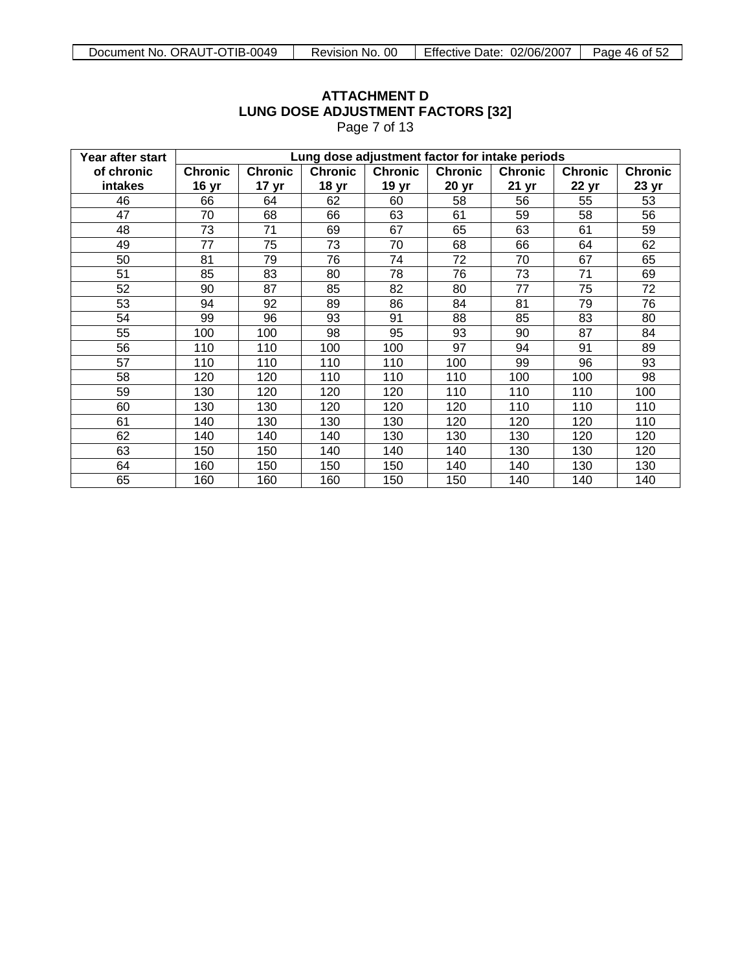| Year after start |                | Lung dose adjustment factor for intake periods |                  |                |                  |                  |                |                |  |
|------------------|----------------|------------------------------------------------|------------------|----------------|------------------|------------------|----------------|----------------|--|
| of chronic       | <b>Chronic</b> | <b>Chronic</b>                                 | <b>Chronic</b>   | <b>Chronic</b> | <b>Chronic</b>   | <b>Chronic</b>   | <b>Chronic</b> | <b>Chronic</b> |  |
| <b>intakes</b>   | 16 yr          | 17 <sub>yr</sub>                               | 18 <sub>yr</sub> | 19 yr          | 20 <sub>yr</sub> | 21 <sub>yr</sub> | 22 yr          | 23 yr          |  |
| 46               | 66             | 64                                             | 62               | 60             | 58               | 56               | 55             | 53             |  |
| 47               | 70             | 68                                             | 66               | 63             | 61               | 59               | 58             | 56             |  |
| 48               | 73             | 71                                             | 69               | 67             | 65               | 63               | 61             | 59             |  |
| 49               | 77             | 75                                             | 73               | 70             | 68               | 66               | 64             | 62             |  |
| 50               | 81             | 79                                             | 76               | 74             | 72               | 70               | 67             | 65             |  |
| 51               | 85             | 83                                             | 80               | 78             | 76               | 73               | 71             | 69             |  |
| 52               | 90             | 87                                             | 85               | 82             | 80               | 77               | 75             | 72             |  |
| 53               | 94             | 92                                             | 89               | 86             | 84               | 81               | 79             | 76             |  |
| 54               | 99             | 96                                             | 93               | 91             | 88               | 85               | 83             | 80             |  |
| 55               | 100            | 100                                            | 98               | 95             | 93               | 90               | 87             | 84             |  |
| 56               | 110            | 110                                            | 100              | 100            | 97               | 94               | 91             | 89             |  |
| 57               | 110            | 110                                            | 110              | 110            | 100              | 99               | 96             | 93             |  |
| 58               | 120            | 120                                            | 110              | 110            | 110              | 100              | 100            | 98             |  |
| 59               | 130            | 120                                            | 120              | 120            | 110              | 110              | 110            | 100            |  |
| 60               | 130            | 130                                            | 120              | 120            | 120              | 110              | 110            | 110            |  |
| 61               | 140            | 130                                            | 130              | 130            | 120              | 120              | 120            | 110            |  |
| 62               | 140            | 140                                            | 140              | 130            | 130              | 130              | 120            | 120            |  |
| 63               | 150            | 150                                            | 140              | 140            | 140              | 130              | 130            | 120            |  |
| 64               | 160            | 150                                            | 150              | 150            | 140              | 140              | 130            | 130            |  |
| 65               | 160            | 160                                            | 160              | 150            | 150              | 140              | 140            | 140            |  |

# **ATTACHMENT D LUNG DOSE ADJUSTMENT FACTORS [32]** Page 7 of 13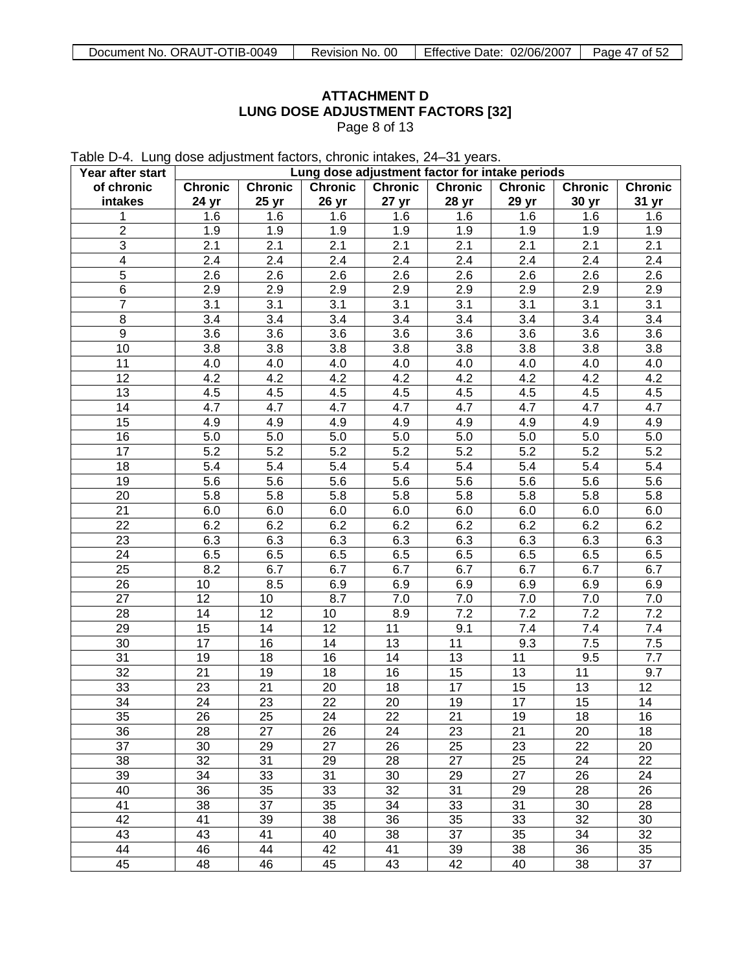# **ATTACHMENT D LUNG DOSE ADJUSTMENT FACTORS [32]** Page 8 of 13

Table D-4. Lung dose adjustment factors, chronic intakes, 24–31 years.

| Year after start        | Lung dose adjustment factor for intake periods |                |                |                  |                |                |                |         |
|-------------------------|------------------------------------------------|----------------|----------------|------------------|----------------|----------------|----------------|---------|
| of chronic              | <b>Chronic</b>                                 | <b>Chronic</b> | <b>Chronic</b> | <b>Chronic</b>   | <b>Chronic</b> | <b>Chronic</b> | <b>Chronic</b> | Chronic |
| intakes                 | 24 yr                                          | 25 yr          | 26 yr          | 27 <sub>yr</sub> | 28 yr          | 29 yr          | 30 yr          | 31 yr   |
| 1                       | 1.6                                            | 1.6            | 1.6            | 1.6              | 1.6            | 1.6            | 1.6            | 1.6     |
| $\overline{2}$          | 1.9                                            | 1.9            | 1.9            | 1.9              | 1.9            | 1.9            | 1.9            | 1.9     |
| 3                       | 2.1                                            | 2.1            | 2.1            | 2.1              | 2.1            | 2.1            | 2.1            | 2.1     |
| $\overline{\mathbf{4}}$ | 2.4                                            | 2.4            | 2.4            | 2.4              | 2.4            | 2.4            | 2.4            | 2.4     |
| 5                       | 2.6                                            | 2.6            | 2.6            | 2.6              | 2.6            | 2.6            | 2.6            | 2.6     |
| 6                       | 2.9                                            | 2.9            | 2.9            | 2.9              | 2.9            | 2.9            | 2.9            | 2.9     |
| $\overline{7}$          | 3.1                                            | 3.1            | 3.1            | 3.1              | 3.1            | 3.1            | 3.1            | 3.1     |
| $\,8\,$                 | 3.4                                            | 3.4            | 3.4            | 3.4              | 3.4            | 3.4            | 3.4            | 3.4     |
| 9                       | 3.6                                            | 3.6            | 3.6            | 3.6              | 3.6            | 3.6            | 3.6            | 3.6     |
| 10                      | 3.8                                            | 3.8            | 3.8            | 3.8              | 3.8            | 3.8            | 3.8            | 3.8     |
| 11                      | 4.0                                            | 4.0            | 4.0            | 4.0              | 4.0            | 4.0            | 4.0            | 4.0     |
| 12                      | 4.2                                            | 4.2            | 4.2            | 4.2              | 4.2            | 4.2            | 4.2            | 4.2     |
| 13                      | 4.5                                            | 4.5            | 4.5            | 4.5              | 4.5            | 4.5            | 4.5            | 4.5     |
| 14                      | 4.7                                            | 4.7            | 4.7            | 4.7              | 4.7            | 4.7            | 4.7            | 4.7     |
| 15                      | 4.9                                            | 4.9            | 4.9            | 4.9              | 4.9            | 4.9            | 4.9            | 4.9     |
| 16                      | 5.0                                            | 5.0            | 5.0            | 5.0              | 5.0            | 5.0            | 5.0            | 5.0     |
| 17                      | 5.2                                            | 5.2            | 5.2            | 5.2              | 5.2            | 5.2            | 5.2            | 5.2     |
| 18                      | 5.4                                            | 5.4            | 5.4            | 5.4              | 5.4            | 5.4            | 5.4            | 5.4     |
|                         |                                                |                |                |                  |                |                |                |         |
| 19                      | 5.6                                            | 5.6            | 5.6            | 5.6              | 5.6            | 5.6            | 5.6            | 5.6     |
| 20                      | 5.8                                            | 5.8            | 5.8            | 5.8              | 5.8            | 5.8            | 5.8            | 5.8     |
| 21                      | 6.0                                            | 6.0            | 6.0            | 6.0              | 6.0            | 6.0            | 6.0            | 6.0     |
| 22                      | 6.2                                            | 6.2            | 6.2            | 6.2              | 6.2            | 6.2            | 6.2            | 6.2     |
| 23                      | 6.3                                            | 6.3            | 6.3            | 6.3              | 6.3            | 6.3            | 6.3            | 6.3     |
| 24                      | 6.5                                            | 6.5            | 6.5            | 6.5              | 6.5            | 6.5            | 6.5            | 6.5     |
| 25                      | 8.2                                            | 6.7            | 6.7            | 6.7              | 6.7            | 6.7            | 6.7            | 6.7     |
| 26                      | 10                                             | 8.5            | 6.9            | 6.9              | 6.9            | 6.9            | 6.9            | 6.9     |
| 27                      | 12                                             | 10             | 8.7            | 7.0              | 7.0            | 7.0            | 7.0            | 7.0     |
| 28                      | 14                                             | 12             | 10             | 8.9              | 7.2            | 7.2            | 7.2            | 7.2     |
| 29                      | 15                                             | 14             | 12             | 11               | 9.1            | 7.4            | 7.4            | 7.4     |
| 30                      | 17                                             | 16             | 14             | 13               | 11             | 9.3            | 7.5            | 7.5     |
| 31                      | 19                                             | 18             | 16             | 14               | 13             | 11             | 9.5            | 7.7     |
| 32                      | 21                                             | 19             | 18             | 16               | 15             | 13             | 11             | 9.7     |
| 33                      | 23                                             | 21             | 20             | 18               | 17             | 15             | 13             | 12      |
| 34                      | 24                                             | 23             | 22             | 20               | 19             | 17             | 15             | 14      |
| 35                      | 26                                             | 25             | 24             | $\overline{22}$  | 21             | 19             | 18             | 16      |
| 36                      | 28                                             | 27             | 26             | 24               | 23             | 21             | 20             | 18      |
| 37                      | 30                                             | 29             | 27             | 26               | 25             | 23             | 22             | 20      |
| 38                      | 32                                             | 31             | 29             | 28               | 27             | 25             | 24             | 22      |
| 39                      | 34                                             | 33             | 31             | 30               | 29             | 27             | 26             | 24      |
| 40                      | 36                                             | 35             | 33             | 32               | 31             | 29             | 28             | 26      |
| 41                      | 38                                             | 37             | 35             | 34               | 33             | 31             | 30             | 28      |
| 42                      | 41                                             | 39             | 38             | 36               | 35             | 33             | 32             | 30      |
| 43                      | 43                                             | 41             | 40             | 38               | 37             | 35             | 34             | 32      |
| 44                      | 46                                             | 44             | 42             | 41               | 39             | 38             | 36             | 35      |
| 45                      | 48                                             | 46             | 45             | 43               | 42             | 40             | 38             | 37      |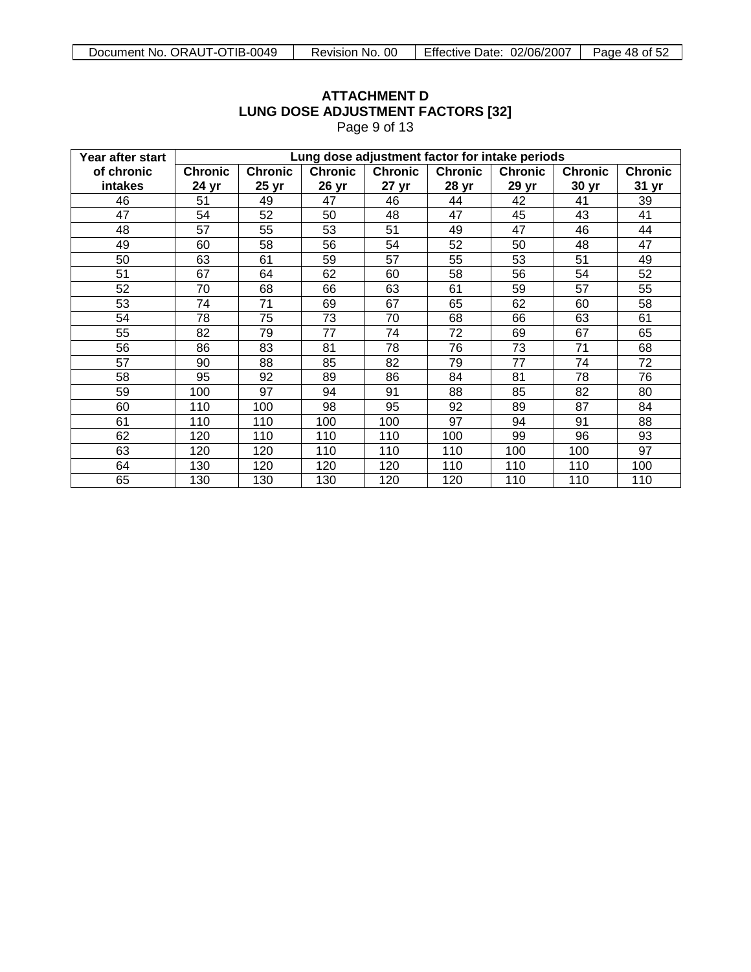| Year after start |                | Lung dose adjustment factor for intake periods |                |                  |                |                |                |                |  |  |
|------------------|----------------|------------------------------------------------|----------------|------------------|----------------|----------------|----------------|----------------|--|--|
| of chronic       | <b>Chronic</b> | <b>Chronic</b>                                 | <b>Chronic</b> | <b>Chronic</b>   | <b>Chronic</b> | <b>Chronic</b> | <b>Chronic</b> | <b>Chronic</b> |  |  |
| intakes          | 24 yr          | 25 yr                                          | 26 yr          | 27 <sub>yr</sub> | 28 yr          | 29 yr          | 30 yr          | 31 yr          |  |  |
| 46               | 51             | 49                                             | 47             | 46               | 44             | 42             | 41             | 39             |  |  |
| 47               | 54             | 52                                             | 50             | 48               | 47             | 45             | 43             | 41             |  |  |
| 48               | 57             | 55                                             | 53             | 51               | 49             | 47             | 46             | 44             |  |  |
| 49               | 60             | 58                                             | 56             | 54               | 52             | 50             | 48             | 47             |  |  |
| 50               | 63             | 61                                             | 59             | 57               | 55             | 53             | 51             | 49             |  |  |
| 51               | 67             | 64                                             | 62             | 60               | 58             | 56             | 54             | 52             |  |  |
| 52               | 70             | 68                                             | 66             | 63               | 61             | 59             | 57             | 55             |  |  |
| 53               | 74             | 71                                             | 69             | 67               | 65             | 62             | 60             | 58             |  |  |
| 54               | 78             | 75                                             | 73             | 70               | 68             | 66             | 63             | 61             |  |  |
| 55               | 82             | 79                                             | 77             | 74               | 72             | 69             | 67             | 65             |  |  |
| 56               | 86             | 83                                             | 81             | 78               | 76             | 73             | 71             | 68             |  |  |
| 57               | 90             | 88                                             | 85             | 82               | 79             | 77             | 74             | 72             |  |  |
| 58               | 95             | 92                                             | 89             | 86               | 84             | 81             | 78             | 76             |  |  |
| 59               | 100            | 97                                             | 94             | 91               | 88             | 85             | 82             | 80             |  |  |
| 60               | 110            | 100                                            | 98             | 95               | 92             | 89             | 87             | 84             |  |  |
| 61               | 110            | 110                                            | 100            | 100              | 97             | 94             | 91             | 88             |  |  |
| 62               | 120            | 110                                            | 110            | 110              | 100            | 99             | 96             | 93             |  |  |
| 63               | 120            | 120                                            | 110            | 110              | 110            | 100            | 100            | 97             |  |  |
| 64               | 130            | 120                                            | 120            | 120              | 110            | 110            | 110            | 100            |  |  |
| 65               | 130            | 130                                            | 130            | 120              | 120            | 110            | 110            | 110            |  |  |

# **ATTACHMENT D LUNG DOSE ADJUSTMENT FACTORS [32]** Page 9 of 13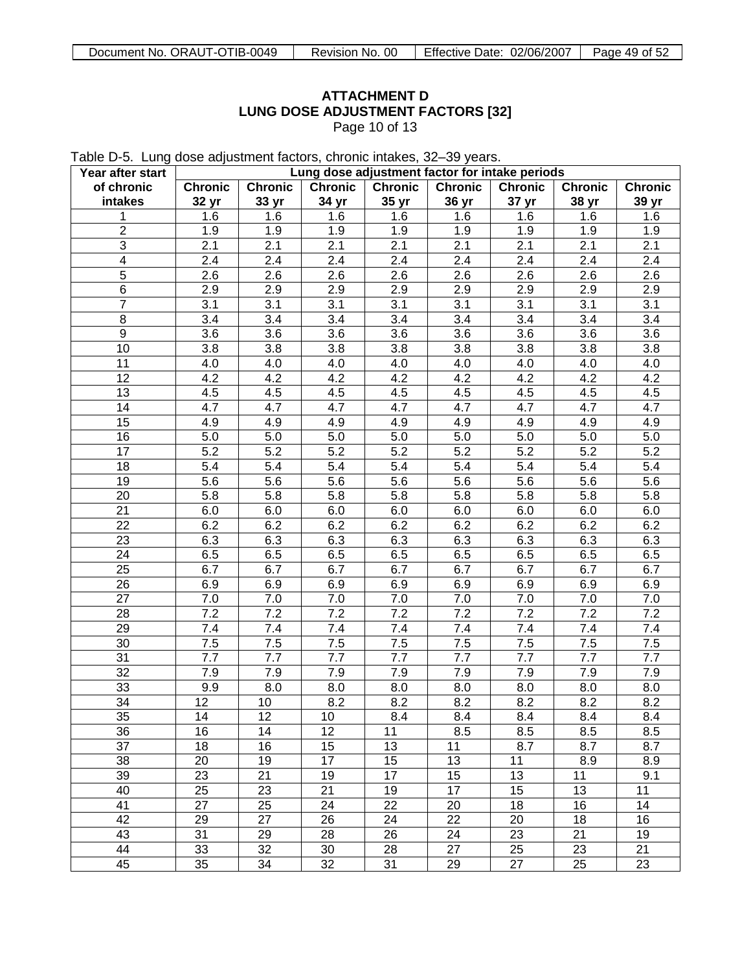# **ATTACHMENT D LUNG DOSE ADJUSTMENT FACTORS [32]** Page 10 of 13

Table D-5. Lung dose adjustment factors, chronic intakes, 32–39 years.

| Year after start |                |                |                | Lung dose adjustment factor for intake periods |                |                |                |                |
|------------------|----------------|----------------|----------------|------------------------------------------------|----------------|----------------|----------------|----------------|
| of chronic       | <b>Chronic</b> | <b>Chronic</b> | <b>Chronic</b> | <b>Chronic</b>                                 | <b>Chronic</b> | <b>Chronic</b> | <b>Chronic</b> | <b>Chronic</b> |
| intakes          | 32 yr          | 33 yr          | 34 yr          | 35 yr                                          | 36 yr          | 37 yr          | 38 yr          | 39 yr          |
| 1                | 1.6            | 1.6            | 1.6            | 1.6                                            | 1.6            | 1.6            | 1.6            | 1.6            |
| $\overline{2}$   | 1.9            | 1.9            | 1.9            | 1.9                                            | 1.9            | 1.9            | 1.9            | 1.9            |
| $\mathfrak{S}$   | 2.1            | 2.1            | 2.1            | 2.1                                            | 2.1            | 2.1            | 2.1            | 2.1            |
| 4                | 2.4            | 2.4            | 2.4            | 2.4                                            | 2.4            | 2.4            | 2.4            | 2.4            |
| 5                | 2.6            | 2.6            | 2.6            | 2.6                                            | 2.6            | 2.6            | 2.6            | 2.6            |
| 6                | 2.9            | 2.9            | 2.9            | 2.9                                            | 2.9            | 2.9            | 2.9            | 2.9            |
| $\overline{7}$   | 3.1            | 3.1            | 3.1            | 3.1                                            | 3.1            | 3.1            | 3.1            | 3.1            |
| $\,8\,$          | 3.4            | 3.4            | 3.4            | 3.4                                            | 3.4            | 3.4            | 3.4            | 3.4            |
| 9                | 3.6            | 3.6            | 3.6            | 3.6                                            | 3.6            | 3.6            | 3.6            | 3.6            |
| 10               | 3.8            | 3.8            | 3.8            | 3.8                                            | 3.8            | 3.8            | 3.8            | 3.8            |
| 11               | 4.0            | 4.0            | 4.0            | 4.0                                            | 4.0            | 4.0            | 4.0            | 4.0            |
| 12               | 4.2            | 4.2            | 4.2            | 4.2                                            | 4.2            | 4.2            | 4.2            | 4.2            |
|                  |                |                |                |                                                |                |                |                |                |
| 13               | 4.5            | 4.5            | 4.5            | 4.5                                            | 4.5            | 4.5            | 4.5            | 4.5            |
| 14               | 4.7            | 4.7            | 4.7            | 4.7                                            | 4.7            | 4.7            | 4.7            | 4.7            |
| 15               | 4.9            | 4.9            | 4.9            | 4.9                                            | 4.9            | 4.9            | 4.9            | 4.9            |
| 16               | 5.0            | 5.0            | 5.0            | 5.0                                            | 5.0            | $5.0\,$        | 5.0            | 5.0            |
| 17               | 5.2            | 5.2            | 5.2            | 5.2                                            | 5.2            | 5.2            | 5.2            | 5.2            |
| 18               | 5.4            | 5.4            | 5.4            | 5.4                                            | 5.4            | 5.4            | 5.4            | 5.4            |
| 19               | 5.6            | 5.6            | 5.6            | 5.6                                            | 5.6            | 5.6            | 5.6            | 5.6            |
| 20               | 5.8            | 5.8            | 5.8            | 5.8                                            | 5.8            | 5.8            | 5.8            | 5.8            |
| 21               | 6.0            | 6.0            | 6.0            | $6.0\,$                                        | 6.0            | 6.0            | 6.0            | 6.0            |
| 22               | 6.2            | 6.2            | 6.2            | 6.2                                            | 6.2            | 6.2            | 6.2            | 6.2            |
| 23               | 6.3            | 6.3            | 6.3            | 6.3                                            | 6.3            | 6.3            | 6.3            | 6.3            |
| 24               | 6.5            | 6.5            | 6.5            | 6.5                                            | 6.5            | 6.5            | 6.5            | 6.5            |
| 25               | 6.7            | 6.7            | 6.7            | 6.7                                            | 6.7            | 6.7            | 6.7            | 6.7            |
| 26               | 6.9            | 6.9            | 6.9            | 6.9                                            | 6.9            | 6.9            | 6.9            | 6.9            |
| 27               | 7.0            | 7.0            | 7.0            | 7.0                                            | 7.0            | 7.0            | 7.0            | 7.0            |
| 28               | 7.2            | 7.2            | 7.2            | 7.2                                            | 7.2            | 7.2            | 7.2            | 7.2            |
| 29               | 7.4            | 7.4            | 7.4            | 7.4                                            | 7.4            | 7.4            | 7.4            | 7.4            |
| 30               | 7.5            | 7.5            | 7.5            | 7.5                                            | 7.5            | 7.5            | 7.5            | 7.5            |
| 31               | 7.7            | 7.7            | 7.7            | 7.7                                            | 7.7            | 7.7            | 7.7            | 7.7            |
| 32               | 7.9            | 7.9            | 7.9            | 7.9                                            | 7.9            | 7.9            | 7.9            | 7.9            |
| 33               | 9.9            | 8.0            | 8.0            | 8.0                                            | 8.0            | 8.0            | 8.0            | 8.0            |
| 34               | 12             | 10             | 8.2            | 8.2                                            | 8.2            | 8.2            | 8.2            | 8.2            |
| 35               | 14             | 12             | 10             | 8.4                                            | 8.4            | 8.4            | 8.4            | 8.4            |
|                  | 16             | 14             | 12             | 11                                             |                | 8.5            | 8.5            |                |
| 36               |                |                |                |                                                | 8.5            |                |                | 8.5            |
| 37               | 18             | 16             | 15             | 13                                             | 11             | 8.7            | 8.7            | 8.7            |
| 38               | 20             | 19             | 17             | 15                                             | 13             | 11             | 8.9            | 8.9            |
| 39               | 23             | 21             | 19             | 17                                             | 15             | 13             | 11             | 9.1            |
| 40               | 25             | 23             | 21             | 19                                             | 17             | 15             | 13             | 11             |
| 41               | 27             | 25             | 24             | 22                                             | 20             | 18             | 16             | 14             |
| 42               | 29             | 27             | 26             | 24                                             | 22             | 20             | 18             | 16             |
| 43               | 31             | 29             | 28             | 26                                             | 24             | 23             | 21             | 19             |
| 44               | 33             | 32             | 30             | 28                                             | 27             | 25             | 23             | 21             |
| 45               | 35             | 34             | 32             | 31                                             | 29             | 27             | 25             | 23             |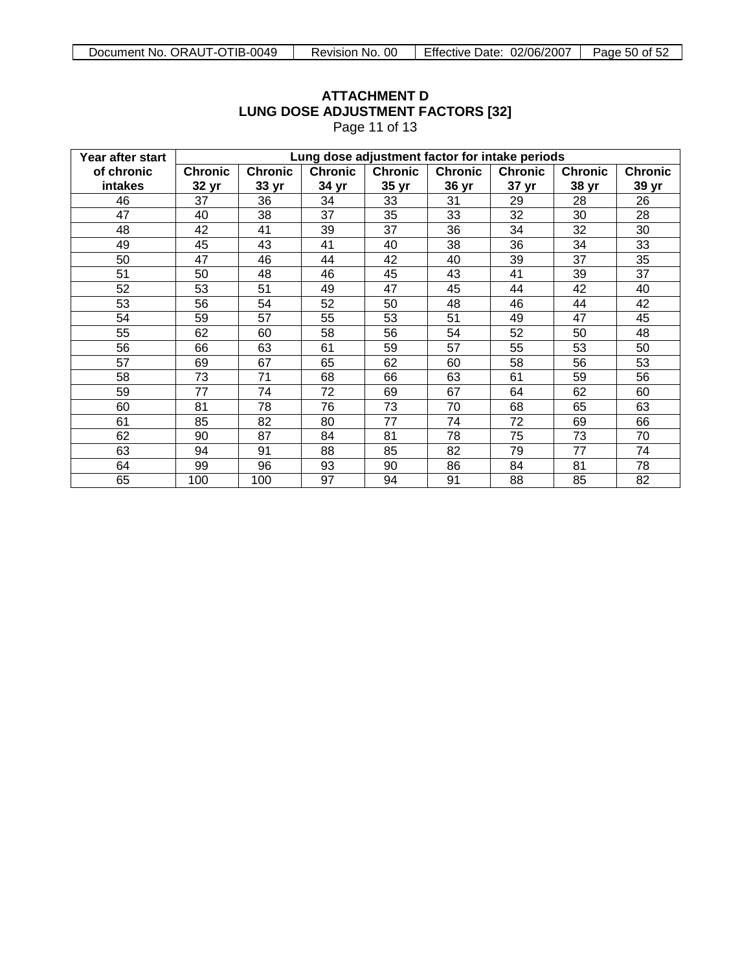| Year after start |                | Lung dose adjustment factor for intake periods |                |                |                |                |                |                |  |  |
|------------------|----------------|------------------------------------------------|----------------|----------------|----------------|----------------|----------------|----------------|--|--|
| of chronic       | <b>Chronic</b> | <b>Chronic</b>                                 | <b>Chronic</b> | <b>Chronic</b> | <b>Chronic</b> | <b>Chronic</b> | <b>Chronic</b> | <b>Chronic</b> |  |  |
| intakes          | 32 yr          | 33 yr                                          | 34 yr          | 35 yr          | 36 yr          | 37 yr          | 38 yr          | 39 yr          |  |  |
| 46               | 37             | 36                                             | 34             | 33             | 31             | 29             | 28             | 26             |  |  |
| 47               | 40             | 38                                             | 37             | 35             | 33             | 32             | 30             | 28             |  |  |
| 48               | 42             | 41                                             | 39             | 37             | 36             | 34             | 32             | 30             |  |  |
| 49               | 45             | 43                                             | 41             | 40             | 38             | 36             | 34             | 33             |  |  |
| 50               | 47             | 46                                             | 44             | 42             | 40             | 39             | 37             | 35             |  |  |
| 51               | 50             | 48                                             | 46             | 45             | 43             | 41             | 39             | 37             |  |  |
| 52               | 53             | 51                                             | 49             | 47             | 45             | 44             | 42             | 40             |  |  |
| 53               | 56             | 54                                             | 52             | 50             | 48             | 46             | 44             | 42             |  |  |
| 54               | 59             | 57                                             | 55             | 53             | 51             | 49             | 47             | 45             |  |  |
| 55               | 62             | 60                                             | 58             | 56             | 54             | 52             | 50             | 48             |  |  |
| 56               | 66             | 63                                             | 61             | 59             | 57             | 55             | 53             | 50             |  |  |
| 57               | 69             | 67                                             | 65             | 62             | 60             | 58             | 56             | 53             |  |  |
| 58               | 73             | 71                                             | 68             | 66             | 63             | 61             | 59             | 56             |  |  |
| 59               | 77             | 74                                             | 72             | 69             | 67             | 64             | 62             | 60             |  |  |
| 60               | 81             | 78                                             | 76             | 73             | 70             | 68             | 65             | 63             |  |  |
| 61               | 85             | 82                                             | 80             | 77             | 74             | 72             | 69             | 66             |  |  |
| 62               | 90             | 87                                             | 84             | 81             | 78             | 75             | 73             | 70             |  |  |
| 63               | 94             | 91                                             | 88             | 85             | 82             | 79             | 77             | 74             |  |  |
| 64               | 99             | 96                                             | 93             | 90             | 86             | 84             | 81             | 78             |  |  |
| 65               | 100            | 100                                            | 97             | 94             | 91             | 88             | 85             | 82             |  |  |

# **ATTACHMENT D LUNG DOSE ADJUSTMENT FACTORS [32]** Page 11 of 13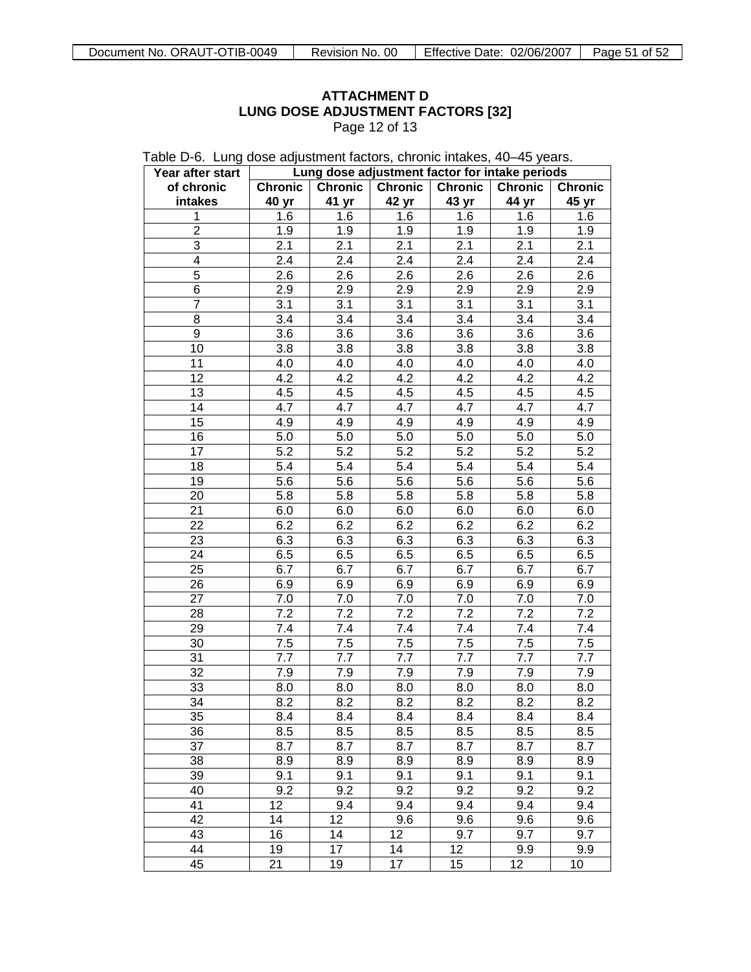$\overline{\phantom{0}}$ 

# **ATTACHMENT D LUNG DOSE ADJUSTMENT FACTORS [32]** Page 12 of 13

| Table D-6. Lung dose adjustment factors, chronic intakes, 40–45 years. |  |  |  |  |
|------------------------------------------------------------------------|--|--|--|--|
|------------------------------------------------------------------------|--|--|--|--|

| of chronic<br><b>Chronic</b><br><b>Chronic</b><br><b>Chronic</b><br><b>Chronic</b><br><b>Chronic</b><br><b>Chronic</b><br>41 yr<br>42 yr<br>43 yr<br>44 yr<br>intakes<br>40 yr<br>45 yr<br>1.6<br>1.6<br>1.6<br>1.6<br>1.6<br>1.6<br>1<br>$\overline{2}$<br>1.9<br>1.9<br>1.9<br>1.9<br>1.9<br>1.9<br>3<br>2.1<br>2.1<br>2.1<br>2.1<br>2.1<br>2.1<br>2.4<br>2.4<br>2.4<br>2.4<br>2.4<br>2.4<br>4<br>5<br>2.6<br>2.6<br>2.6<br>2.6<br>2.6<br>2.6<br>6<br>2.9<br>2.9<br>2.9<br>2.9<br>2.9<br>2.9<br>$\overline{7}$<br>3.1<br>3.1<br>3.1<br>3.1<br>3.1<br>3.1<br>8<br>3.4<br>3.4<br>3.4<br>3.4<br>3.4<br>3.4<br>9<br>3.6<br>3.6<br>3.6<br>3.6<br>3.6<br>3.6<br>3.8<br>10<br>3.8<br>3.8<br>3.8<br>3.8<br>3.8<br>11<br>4.0<br>4.0<br>4.0<br>4.0<br>4.0<br>4.0<br>12<br>4.2<br>4.2<br>4.2<br>4.2<br>4.2<br>4.2<br>4.5<br>4.5<br>13<br>4.5<br>4.5<br>4.5<br>4.5<br>4.7<br>14<br>4.7<br>4.7<br>4.7<br>4.7<br>4.7<br>4.9<br>15<br>4.9<br>4.9<br>4.9<br>4.9<br>4.9<br>5.0<br>5.0<br>16<br>5.0<br>5.0<br>5.0<br>5.0<br>5.2<br>5.2<br>5.2<br>5.2<br>5.2<br>5.2<br>17<br>5.4<br>5.4<br>5.4<br>18<br>5.4<br>5.4<br>5.4<br>5.6<br>5.6<br>5.6<br>5.6<br>19<br>5.6<br>5.6<br>5.8<br>5.8<br>5.8<br>5.8<br>20<br>5.8<br>5.8<br>21<br>6.0<br>6.0<br>6.0<br>6.0<br>6.0<br>6.0<br>22<br>6.2<br>6.2<br>6.2<br>6.2<br>6.2<br>6.2<br>23<br>6.3<br>6.3<br>6.3<br>6.3<br>6.3<br>6.3<br>24<br>6.5<br>6.5<br>6.5<br>6.5<br>6.5<br>6.5<br>25<br>6.7<br>6.7<br>6.7<br>6.7<br>6.7<br>6.7<br>26<br>6.9<br>6.9<br>6.9<br>6.9<br>6.9<br>6.9<br>27<br>7.0<br>7.0<br>7.0<br>7.0<br>7.0<br>7.0<br>7.2<br>7.2<br>7.2<br>7.2<br>7.2<br>7.2<br>28<br>7.4<br>7.4<br>7.4<br>7.4<br>7.4<br>29<br>7.4<br>7.5<br>7.5<br>7.5<br>7.5<br>7.5<br>30<br>7.5<br>31<br>7.7<br>7.7<br>7.7<br>7.7<br>7.7<br>7.7<br>32<br>7.9<br>7.9<br>7.9<br>7.9<br>7.9<br>7.9<br>33<br>8.0<br>8.0<br>8.0<br>8.0<br>8.0<br>8.0<br>34<br>8.2<br>8.2<br>8.2<br>8.2<br>8.2<br>8.2<br>35<br>8.4<br>8.4<br>8.4<br>8.4<br>8.4<br>8.4<br>36<br>8.5<br>8.5<br>8.5<br>8.5<br>8.5<br>8.5<br>37<br>8.7<br>8.7<br>8.7<br>8.7<br>8.7<br>8.7<br>38<br>8.9<br>8.9<br>8.9<br>8.9<br>8.9<br>8.9<br>39<br>9.1<br>9.1<br>9.1<br>9.1<br>9.1<br>9.1<br>9.2<br>9.2<br>9.2<br>9.2<br>9.2<br>9.2<br>40<br>12<br>9.4<br>41<br>9.4<br>9.4<br>9.4<br>9.4<br>42<br>14<br>12<br>9.6<br>9.6<br>9.6<br>9.6<br>16<br>12<br>43<br>14<br>9.7<br>9.7<br>9.7<br>17<br>12<br>44<br>19<br>14<br>9.9<br>9.9<br>21<br>45<br>19<br>17<br>15<br>12<br>10 | Year after start |  | Lung dose adjustment factor for intake periods |  |
|------------------------------------------------------------------------------------------------------------------------------------------------------------------------------------------------------------------------------------------------------------------------------------------------------------------------------------------------------------------------------------------------------------------------------------------------------------------------------------------------------------------------------------------------------------------------------------------------------------------------------------------------------------------------------------------------------------------------------------------------------------------------------------------------------------------------------------------------------------------------------------------------------------------------------------------------------------------------------------------------------------------------------------------------------------------------------------------------------------------------------------------------------------------------------------------------------------------------------------------------------------------------------------------------------------------------------------------------------------------------------------------------------------------------------------------------------------------------------------------------------------------------------------------------------------------------------------------------------------------------------------------------------------------------------------------------------------------------------------------------------------------------------------------------------------------------------------------------------------------------------------------------------------------------------------------------------------------------------------------------------------------------------------------------------------------------------------------------------------------------------------------------------------------------------------------------------------------------------------------------------------------------------------------------------------------------------------------------------------------------------------------------------------------------------------------|------------------|--|------------------------------------------------|--|
|                                                                                                                                                                                                                                                                                                                                                                                                                                                                                                                                                                                                                                                                                                                                                                                                                                                                                                                                                                                                                                                                                                                                                                                                                                                                                                                                                                                                                                                                                                                                                                                                                                                                                                                                                                                                                                                                                                                                                                                                                                                                                                                                                                                                                                                                                                                                                                                                                                          |                  |  |                                                |  |
|                                                                                                                                                                                                                                                                                                                                                                                                                                                                                                                                                                                                                                                                                                                                                                                                                                                                                                                                                                                                                                                                                                                                                                                                                                                                                                                                                                                                                                                                                                                                                                                                                                                                                                                                                                                                                                                                                                                                                                                                                                                                                                                                                                                                                                                                                                                                                                                                                                          |                  |  |                                                |  |
|                                                                                                                                                                                                                                                                                                                                                                                                                                                                                                                                                                                                                                                                                                                                                                                                                                                                                                                                                                                                                                                                                                                                                                                                                                                                                                                                                                                                                                                                                                                                                                                                                                                                                                                                                                                                                                                                                                                                                                                                                                                                                                                                                                                                                                                                                                                                                                                                                                          |                  |  |                                                |  |
|                                                                                                                                                                                                                                                                                                                                                                                                                                                                                                                                                                                                                                                                                                                                                                                                                                                                                                                                                                                                                                                                                                                                                                                                                                                                                                                                                                                                                                                                                                                                                                                                                                                                                                                                                                                                                                                                                                                                                                                                                                                                                                                                                                                                                                                                                                                                                                                                                                          |                  |  |                                                |  |
|                                                                                                                                                                                                                                                                                                                                                                                                                                                                                                                                                                                                                                                                                                                                                                                                                                                                                                                                                                                                                                                                                                                                                                                                                                                                                                                                                                                                                                                                                                                                                                                                                                                                                                                                                                                                                                                                                                                                                                                                                                                                                                                                                                                                                                                                                                                                                                                                                                          |                  |  |                                                |  |
|                                                                                                                                                                                                                                                                                                                                                                                                                                                                                                                                                                                                                                                                                                                                                                                                                                                                                                                                                                                                                                                                                                                                                                                                                                                                                                                                                                                                                                                                                                                                                                                                                                                                                                                                                                                                                                                                                                                                                                                                                                                                                                                                                                                                                                                                                                                                                                                                                                          |                  |  |                                                |  |
|                                                                                                                                                                                                                                                                                                                                                                                                                                                                                                                                                                                                                                                                                                                                                                                                                                                                                                                                                                                                                                                                                                                                                                                                                                                                                                                                                                                                                                                                                                                                                                                                                                                                                                                                                                                                                                                                                                                                                                                                                                                                                                                                                                                                                                                                                                                                                                                                                                          |                  |  |                                                |  |
|                                                                                                                                                                                                                                                                                                                                                                                                                                                                                                                                                                                                                                                                                                                                                                                                                                                                                                                                                                                                                                                                                                                                                                                                                                                                                                                                                                                                                                                                                                                                                                                                                                                                                                                                                                                                                                                                                                                                                                                                                                                                                                                                                                                                                                                                                                                                                                                                                                          |                  |  |                                                |  |
|                                                                                                                                                                                                                                                                                                                                                                                                                                                                                                                                                                                                                                                                                                                                                                                                                                                                                                                                                                                                                                                                                                                                                                                                                                                                                                                                                                                                                                                                                                                                                                                                                                                                                                                                                                                                                                                                                                                                                                                                                                                                                                                                                                                                                                                                                                                                                                                                                                          |                  |  |                                                |  |
|                                                                                                                                                                                                                                                                                                                                                                                                                                                                                                                                                                                                                                                                                                                                                                                                                                                                                                                                                                                                                                                                                                                                                                                                                                                                                                                                                                                                                                                                                                                                                                                                                                                                                                                                                                                                                                                                                                                                                                                                                                                                                                                                                                                                                                                                                                                                                                                                                                          |                  |  |                                                |  |
|                                                                                                                                                                                                                                                                                                                                                                                                                                                                                                                                                                                                                                                                                                                                                                                                                                                                                                                                                                                                                                                                                                                                                                                                                                                                                                                                                                                                                                                                                                                                                                                                                                                                                                                                                                                                                                                                                                                                                                                                                                                                                                                                                                                                                                                                                                                                                                                                                                          |                  |  |                                                |  |
|                                                                                                                                                                                                                                                                                                                                                                                                                                                                                                                                                                                                                                                                                                                                                                                                                                                                                                                                                                                                                                                                                                                                                                                                                                                                                                                                                                                                                                                                                                                                                                                                                                                                                                                                                                                                                                                                                                                                                                                                                                                                                                                                                                                                                                                                                                                                                                                                                                          |                  |  |                                                |  |
|                                                                                                                                                                                                                                                                                                                                                                                                                                                                                                                                                                                                                                                                                                                                                                                                                                                                                                                                                                                                                                                                                                                                                                                                                                                                                                                                                                                                                                                                                                                                                                                                                                                                                                                                                                                                                                                                                                                                                                                                                                                                                                                                                                                                                                                                                                                                                                                                                                          |                  |  |                                                |  |
|                                                                                                                                                                                                                                                                                                                                                                                                                                                                                                                                                                                                                                                                                                                                                                                                                                                                                                                                                                                                                                                                                                                                                                                                                                                                                                                                                                                                                                                                                                                                                                                                                                                                                                                                                                                                                                                                                                                                                                                                                                                                                                                                                                                                                                                                                                                                                                                                                                          |                  |  |                                                |  |
|                                                                                                                                                                                                                                                                                                                                                                                                                                                                                                                                                                                                                                                                                                                                                                                                                                                                                                                                                                                                                                                                                                                                                                                                                                                                                                                                                                                                                                                                                                                                                                                                                                                                                                                                                                                                                                                                                                                                                                                                                                                                                                                                                                                                                                                                                                                                                                                                                                          |                  |  |                                                |  |
|                                                                                                                                                                                                                                                                                                                                                                                                                                                                                                                                                                                                                                                                                                                                                                                                                                                                                                                                                                                                                                                                                                                                                                                                                                                                                                                                                                                                                                                                                                                                                                                                                                                                                                                                                                                                                                                                                                                                                                                                                                                                                                                                                                                                                                                                                                                                                                                                                                          |                  |  |                                                |  |
|                                                                                                                                                                                                                                                                                                                                                                                                                                                                                                                                                                                                                                                                                                                                                                                                                                                                                                                                                                                                                                                                                                                                                                                                                                                                                                                                                                                                                                                                                                                                                                                                                                                                                                                                                                                                                                                                                                                                                                                                                                                                                                                                                                                                                                                                                                                                                                                                                                          |                  |  |                                                |  |
|                                                                                                                                                                                                                                                                                                                                                                                                                                                                                                                                                                                                                                                                                                                                                                                                                                                                                                                                                                                                                                                                                                                                                                                                                                                                                                                                                                                                                                                                                                                                                                                                                                                                                                                                                                                                                                                                                                                                                                                                                                                                                                                                                                                                                                                                                                                                                                                                                                          |                  |  |                                                |  |
|                                                                                                                                                                                                                                                                                                                                                                                                                                                                                                                                                                                                                                                                                                                                                                                                                                                                                                                                                                                                                                                                                                                                                                                                                                                                                                                                                                                                                                                                                                                                                                                                                                                                                                                                                                                                                                                                                                                                                                                                                                                                                                                                                                                                                                                                                                                                                                                                                                          |                  |  |                                                |  |
|                                                                                                                                                                                                                                                                                                                                                                                                                                                                                                                                                                                                                                                                                                                                                                                                                                                                                                                                                                                                                                                                                                                                                                                                                                                                                                                                                                                                                                                                                                                                                                                                                                                                                                                                                                                                                                                                                                                                                                                                                                                                                                                                                                                                                                                                                                                                                                                                                                          |                  |  |                                                |  |
|                                                                                                                                                                                                                                                                                                                                                                                                                                                                                                                                                                                                                                                                                                                                                                                                                                                                                                                                                                                                                                                                                                                                                                                                                                                                                                                                                                                                                                                                                                                                                                                                                                                                                                                                                                                                                                                                                                                                                                                                                                                                                                                                                                                                                                                                                                                                                                                                                                          |                  |  |                                                |  |
|                                                                                                                                                                                                                                                                                                                                                                                                                                                                                                                                                                                                                                                                                                                                                                                                                                                                                                                                                                                                                                                                                                                                                                                                                                                                                                                                                                                                                                                                                                                                                                                                                                                                                                                                                                                                                                                                                                                                                                                                                                                                                                                                                                                                                                                                                                                                                                                                                                          |                  |  |                                                |  |
|                                                                                                                                                                                                                                                                                                                                                                                                                                                                                                                                                                                                                                                                                                                                                                                                                                                                                                                                                                                                                                                                                                                                                                                                                                                                                                                                                                                                                                                                                                                                                                                                                                                                                                                                                                                                                                                                                                                                                                                                                                                                                                                                                                                                                                                                                                                                                                                                                                          |                  |  |                                                |  |
|                                                                                                                                                                                                                                                                                                                                                                                                                                                                                                                                                                                                                                                                                                                                                                                                                                                                                                                                                                                                                                                                                                                                                                                                                                                                                                                                                                                                                                                                                                                                                                                                                                                                                                                                                                                                                                                                                                                                                                                                                                                                                                                                                                                                                                                                                                                                                                                                                                          |                  |  |                                                |  |
|                                                                                                                                                                                                                                                                                                                                                                                                                                                                                                                                                                                                                                                                                                                                                                                                                                                                                                                                                                                                                                                                                                                                                                                                                                                                                                                                                                                                                                                                                                                                                                                                                                                                                                                                                                                                                                                                                                                                                                                                                                                                                                                                                                                                                                                                                                                                                                                                                                          |                  |  |                                                |  |
|                                                                                                                                                                                                                                                                                                                                                                                                                                                                                                                                                                                                                                                                                                                                                                                                                                                                                                                                                                                                                                                                                                                                                                                                                                                                                                                                                                                                                                                                                                                                                                                                                                                                                                                                                                                                                                                                                                                                                                                                                                                                                                                                                                                                                                                                                                                                                                                                                                          |                  |  |                                                |  |
|                                                                                                                                                                                                                                                                                                                                                                                                                                                                                                                                                                                                                                                                                                                                                                                                                                                                                                                                                                                                                                                                                                                                                                                                                                                                                                                                                                                                                                                                                                                                                                                                                                                                                                                                                                                                                                                                                                                                                                                                                                                                                                                                                                                                                                                                                                                                                                                                                                          |                  |  |                                                |  |
|                                                                                                                                                                                                                                                                                                                                                                                                                                                                                                                                                                                                                                                                                                                                                                                                                                                                                                                                                                                                                                                                                                                                                                                                                                                                                                                                                                                                                                                                                                                                                                                                                                                                                                                                                                                                                                                                                                                                                                                                                                                                                                                                                                                                                                                                                                                                                                                                                                          |                  |  |                                                |  |
|                                                                                                                                                                                                                                                                                                                                                                                                                                                                                                                                                                                                                                                                                                                                                                                                                                                                                                                                                                                                                                                                                                                                                                                                                                                                                                                                                                                                                                                                                                                                                                                                                                                                                                                                                                                                                                                                                                                                                                                                                                                                                                                                                                                                                                                                                                                                                                                                                                          |                  |  |                                                |  |
|                                                                                                                                                                                                                                                                                                                                                                                                                                                                                                                                                                                                                                                                                                                                                                                                                                                                                                                                                                                                                                                                                                                                                                                                                                                                                                                                                                                                                                                                                                                                                                                                                                                                                                                                                                                                                                                                                                                                                                                                                                                                                                                                                                                                                                                                                                                                                                                                                                          |                  |  |                                                |  |
|                                                                                                                                                                                                                                                                                                                                                                                                                                                                                                                                                                                                                                                                                                                                                                                                                                                                                                                                                                                                                                                                                                                                                                                                                                                                                                                                                                                                                                                                                                                                                                                                                                                                                                                                                                                                                                                                                                                                                                                                                                                                                                                                                                                                                                                                                                                                                                                                                                          |                  |  |                                                |  |
|                                                                                                                                                                                                                                                                                                                                                                                                                                                                                                                                                                                                                                                                                                                                                                                                                                                                                                                                                                                                                                                                                                                                                                                                                                                                                                                                                                                                                                                                                                                                                                                                                                                                                                                                                                                                                                                                                                                                                                                                                                                                                                                                                                                                                                                                                                                                                                                                                                          |                  |  |                                                |  |
|                                                                                                                                                                                                                                                                                                                                                                                                                                                                                                                                                                                                                                                                                                                                                                                                                                                                                                                                                                                                                                                                                                                                                                                                                                                                                                                                                                                                                                                                                                                                                                                                                                                                                                                                                                                                                                                                                                                                                                                                                                                                                                                                                                                                                                                                                                                                                                                                                                          |                  |  |                                                |  |
|                                                                                                                                                                                                                                                                                                                                                                                                                                                                                                                                                                                                                                                                                                                                                                                                                                                                                                                                                                                                                                                                                                                                                                                                                                                                                                                                                                                                                                                                                                                                                                                                                                                                                                                                                                                                                                                                                                                                                                                                                                                                                                                                                                                                                                                                                                                                                                                                                                          |                  |  |                                                |  |
|                                                                                                                                                                                                                                                                                                                                                                                                                                                                                                                                                                                                                                                                                                                                                                                                                                                                                                                                                                                                                                                                                                                                                                                                                                                                                                                                                                                                                                                                                                                                                                                                                                                                                                                                                                                                                                                                                                                                                                                                                                                                                                                                                                                                                                                                                                                                                                                                                                          |                  |  |                                                |  |
|                                                                                                                                                                                                                                                                                                                                                                                                                                                                                                                                                                                                                                                                                                                                                                                                                                                                                                                                                                                                                                                                                                                                                                                                                                                                                                                                                                                                                                                                                                                                                                                                                                                                                                                                                                                                                                                                                                                                                                                                                                                                                                                                                                                                                                                                                                                                                                                                                                          |                  |  |                                                |  |
|                                                                                                                                                                                                                                                                                                                                                                                                                                                                                                                                                                                                                                                                                                                                                                                                                                                                                                                                                                                                                                                                                                                                                                                                                                                                                                                                                                                                                                                                                                                                                                                                                                                                                                                                                                                                                                                                                                                                                                                                                                                                                                                                                                                                                                                                                                                                                                                                                                          |                  |  |                                                |  |
|                                                                                                                                                                                                                                                                                                                                                                                                                                                                                                                                                                                                                                                                                                                                                                                                                                                                                                                                                                                                                                                                                                                                                                                                                                                                                                                                                                                                                                                                                                                                                                                                                                                                                                                                                                                                                                                                                                                                                                                                                                                                                                                                                                                                                                                                                                                                                                                                                                          |                  |  |                                                |  |
|                                                                                                                                                                                                                                                                                                                                                                                                                                                                                                                                                                                                                                                                                                                                                                                                                                                                                                                                                                                                                                                                                                                                                                                                                                                                                                                                                                                                                                                                                                                                                                                                                                                                                                                                                                                                                                                                                                                                                                                                                                                                                                                                                                                                                                                                                                                                                                                                                                          |                  |  |                                                |  |
|                                                                                                                                                                                                                                                                                                                                                                                                                                                                                                                                                                                                                                                                                                                                                                                                                                                                                                                                                                                                                                                                                                                                                                                                                                                                                                                                                                                                                                                                                                                                                                                                                                                                                                                                                                                                                                                                                                                                                                                                                                                                                                                                                                                                                                                                                                                                                                                                                                          |                  |  |                                                |  |
|                                                                                                                                                                                                                                                                                                                                                                                                                                                                                                                                                                                                                                                                                                                                                                                                                                                                                                                                                                                                                                                                                                                                                                                                                                                                                                                                                                                                                                                                                                                                                                                                                                                                                                                                                                                                                                                                                                                                                                                                                                                                                                                                                                                                                                                                                                                                                                                                                                          |                  |  |                                                |  |
|                                                                                                                                                                                                                                                                                                                                                                                                                                                                                                                                                                                                                                                                                                                                                                                                                                                                                                                                                                                                                                                                                                                                                                                                                                                                                                                                                                                                                                                                                                                                                                                                                                                                                                                                                                                                                                                                                                                                                                                                                                                                                                                                                                                                                                                                                                                                                                                                                                          |                  |  |                                                |  |
|                                                                                                                                                                                                                                                                                                                                                                                                                                                                                                                                                                                                                                                                                                                                                                                                                                                                                                                                                                                                                                                                                                                                                                                                                                                                                                                                                                                                                                                                                                                                                                                                                                                                                                                                                                                                                                                                                                                                                                                                                                                                                                                                                                                                                                                                                                                                                                                                                                          |                  |  |                                                |  |
|                                                                                                                                                                                                                                                                                                                                                                                                                                                                                                                                                                                                                                                                                                                                                                                                                                                                                                                                                                                                                                                                                                                                                                                                                                                                                                                                                                                                                                                                                                                                                                                                                                                                                                                                                                                                                                                                                                                                                                                                                                                                                                                                                                                                                                                                                                                                                                                                                                          |                  |  |                                                |  |
|                                                                                                                                                                                                                                                                                                                                                                                                                                                                                                                                                                                                                                                                                                                                                                                                                                                                                                                                                                                                                                                                                                                                                                                                                                                                                                                                                                                                                                                                                                                                                                                                                                                                                                                                                                                                                                                                                                                                                                                                                                                                                                                                                                                                                                                                                                                                                                                                                                          |                  |  |                                                |  |
|                                                                                                                                                                                                                                                                                                                                                                                                                                                                                                                                                                                                                                                                                                                                                                                                                                                                                                                                                                                                                                                                                                                                                                                                                                                                                                                                                                                                                                                                                                                                                                                                                                                                                                                                                                                                                                                                                                                                                                                                                                                                                                                                                                                                                                                                                                                                                                                                                                          |                  |  |                                                |  |
|                                                                                                                                                                                                                                                                                                                                                                                                                                                                                                                                                                                                                                                                                                                                                                                                                                                                                                                                                                                                                                                                                                                                                                                                                                                                                                                                                                                                                                                                                                                                                                                                                                                                                                                                                                                                                                                                                                                                                                                                                                                                                                                                                                                                                                                                                                                                                                                                                                          |                  |  |                                                |  |